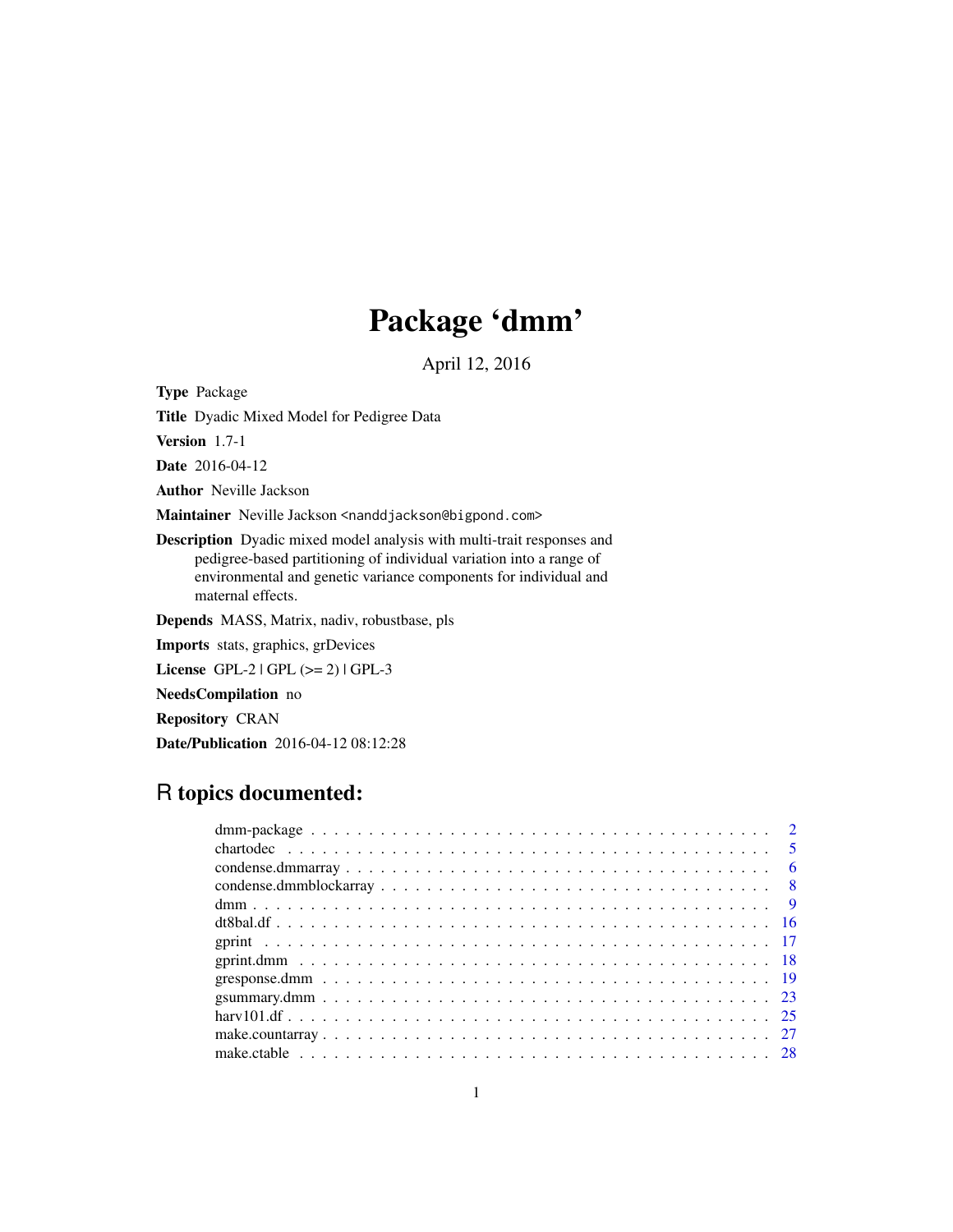# Package 'dmm'

April 12, 2016

Type Package

Title Dyadic Mixed Model for Pedigree Data

Version 1.7-1

Date 2016-04-12

Author Neville Jackson

Maintainer Neville Jackson <nanddjackson@bigpond.com>

Description Dyadic mixed model analysis with multi-trait responses and pedigree-based partitioning of individual variation into a range of environmental and genetic variance components for individual and maternal effects.

Depends MASS, Matrix, nadiv, robustbase, pls

Imports stats, graphics, grDevices

License  $GPL-2 | GPL (> = 2) | GPL-3$ 

NeedsCompilation no

Repository CRAN

Date/Publication 2016-04-12 08:12:28

# R topics documented: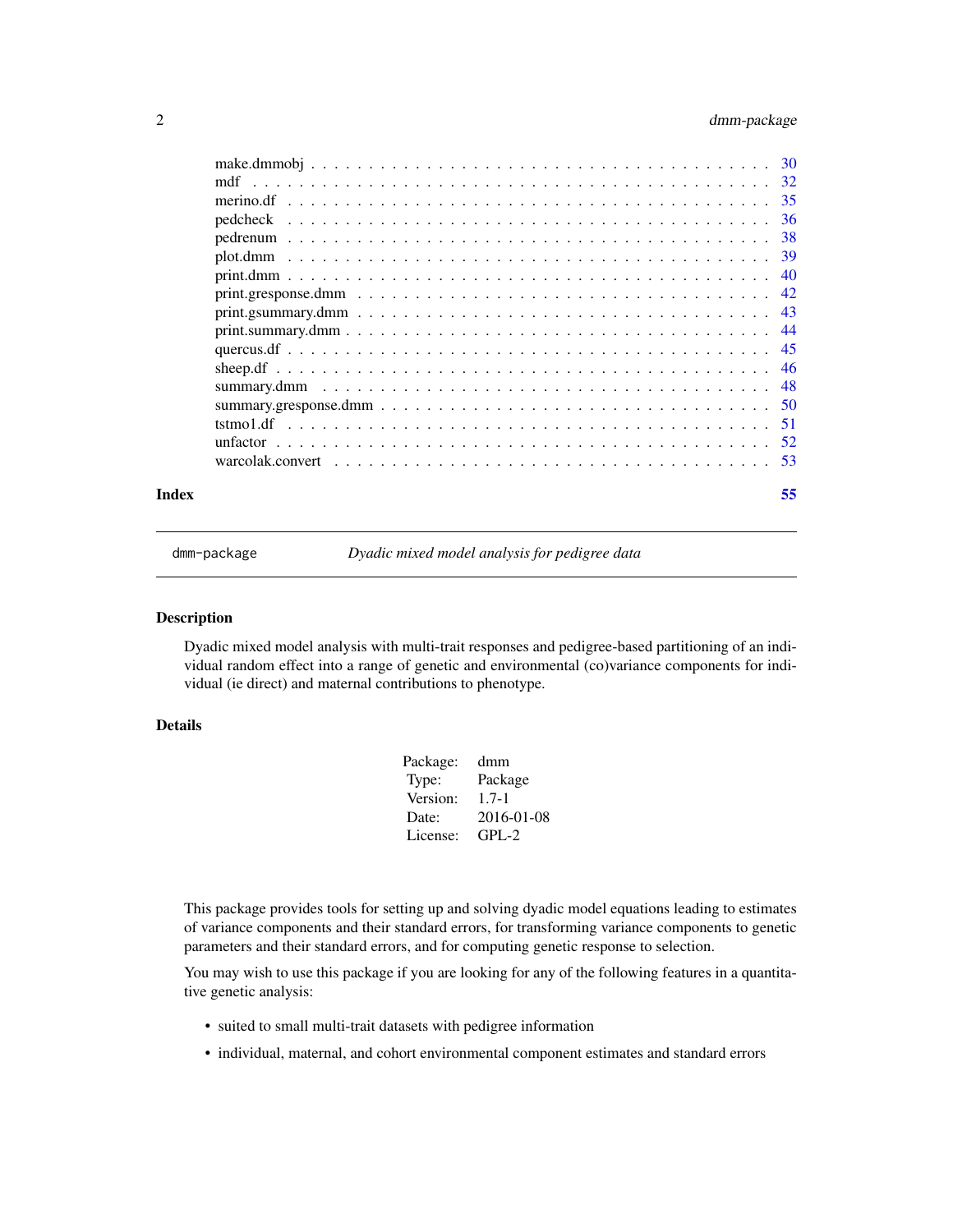# <span id="page-1-0"></span>2 dmm-package

|       | warcolak.convert $\ldots \ldots \ldots \ldots \ldots \ldots \ldots \ldots \ldots \ldots \ldots \ldots \ldots$ |    |
|-------|---------------------------------------------------------------------------------------------------------------|----|
| Index |                                                                                                               | 55 |

dmm-package *Dyadic mixed model analysis for pedigree data*

# Description

Dyadic mixed model analysis with multi-trait responses and pedigree-based partitioning of an individual random effect into a range of genetic and environmental (co)variance components for individual (ie direct) and maternal contributions to phenotype.

# Details

| Package: | dmm        |
|----------|------------|
| Type:    | Package    |
| Version: | $1.7 - 1$  |
| Date:    | 2016-01-08 |
| License: | $GPL-2$    |
|          |            |

This package provides tools for setting up and solving dyadic model equations leading to estimates of variance components and their standard errors, for transforming variance components to genetic parameters and their standard errors, and for computing genetic response to selection.

You may wish to use this package if you are looking for any of the following features in a quantitative genetic analysis:

- suited to small multi-trait datasets with pedigree information
- individual, maternal, and cohort environmental component estimates and standard errors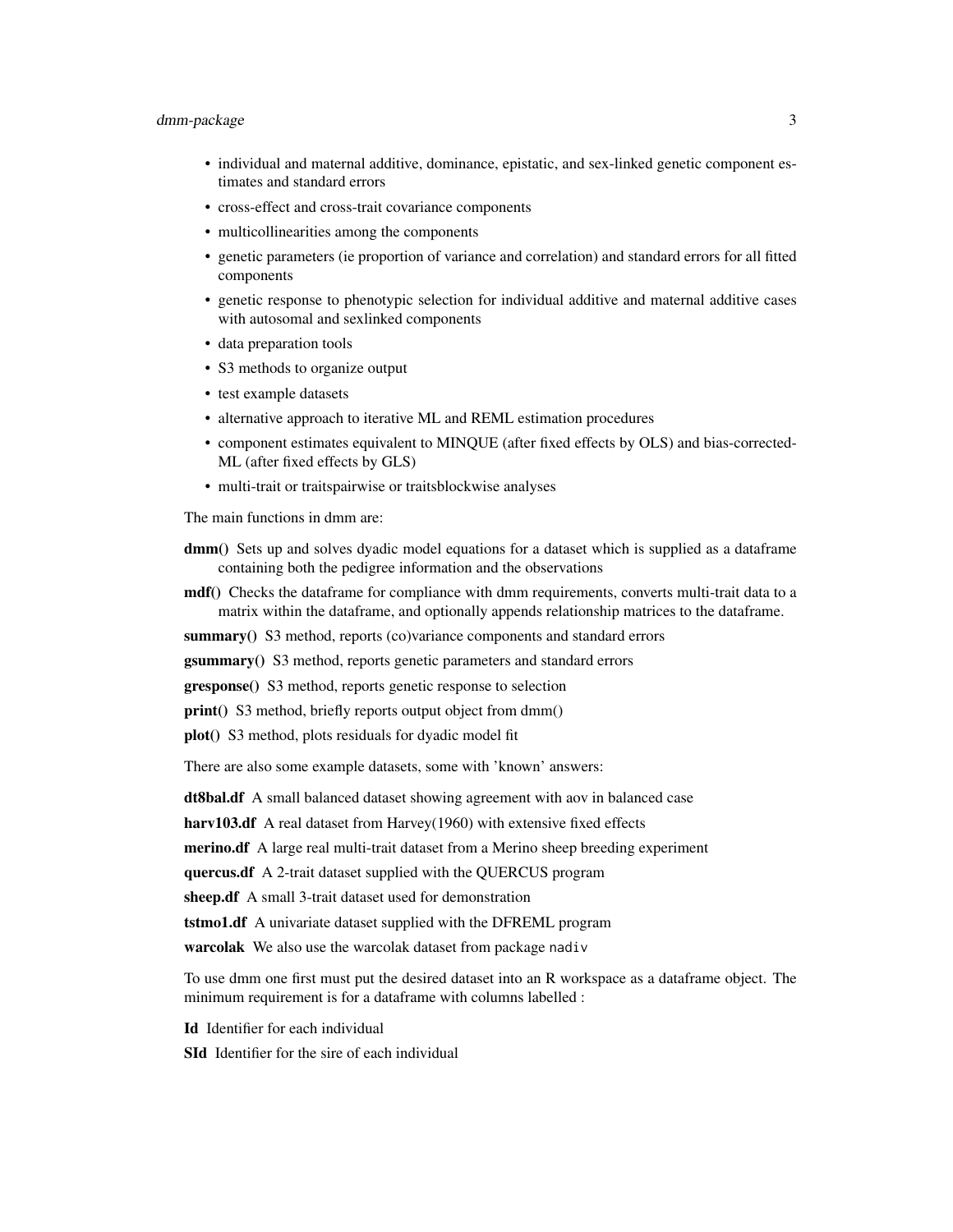# dmm-package 3

- individual and maternal additive, dominance, epistatic, and sex-linked genetic component estimates and standard errors
- cross-effect and cross-trait covariance components
- multicollinearities among the components
- genetic parameters (ie proportion of variance and correlation) and standard errors for all fitted components
- genetic response to phenotypic selection for individual additive and maternal additive cases with autosomal and sexlinked components
- data preparation tools
- S3 methods to organize output
- test example datasets
- alternative approach to iterative ML and REML estimation procedures
- component estimates equivalent to MINQUE (after fixed effects by OLS) and bias-corrected-ML (after fixed effects by GLS)
- multi-trait or traitspairwise or traitsblockwise analyses

The main functions in dmm are:

- dmm() Sets up and solves dyadic model equations for a dataset which is supplied as a dataframe containing both the pedigree information and the observations
- **mdf**() Checks the dataframe for compliance with dmm requirements, converts multi-trait data to a matrix within the dataframe, and optionally appends relationship matrices to the dataframe.
- summary() S3 method, reports (co)variance components and standard errors

gsummary() S3 method, reports genetic parameters and standard errors

gresponse() S3 method, reports genetic response to selection

print() S3 method, briefly reports output object from dmm()

plot() S3 method, plots residuals for dyadic model fit

There are also some example datasets, some with 'known' answers:

dt8bal.df A small balanced dataset showing agreement with aov in balanced case

harv103.df A real dataset from Harvey(1960) with extensive fixed effects

merino.df A large real multi-trait dataset from a Merino sheep breeding experiment

quercus.df A 2-trait dataset supplied with the QUERCUS program

sheep.df A small 3-trait dataset used for demonstration

tstmo1.df A univariate dataset supplied with the DFREML program

warcolak We also use the warcolak dataset from package nadiv

To use dmm one first must put the desired dataset into an R workspace as a dataframe object. The minimum requirement is for a dataframe with columns labelled :

Id Identifier for each individual

SId Identifier for the sire of each individual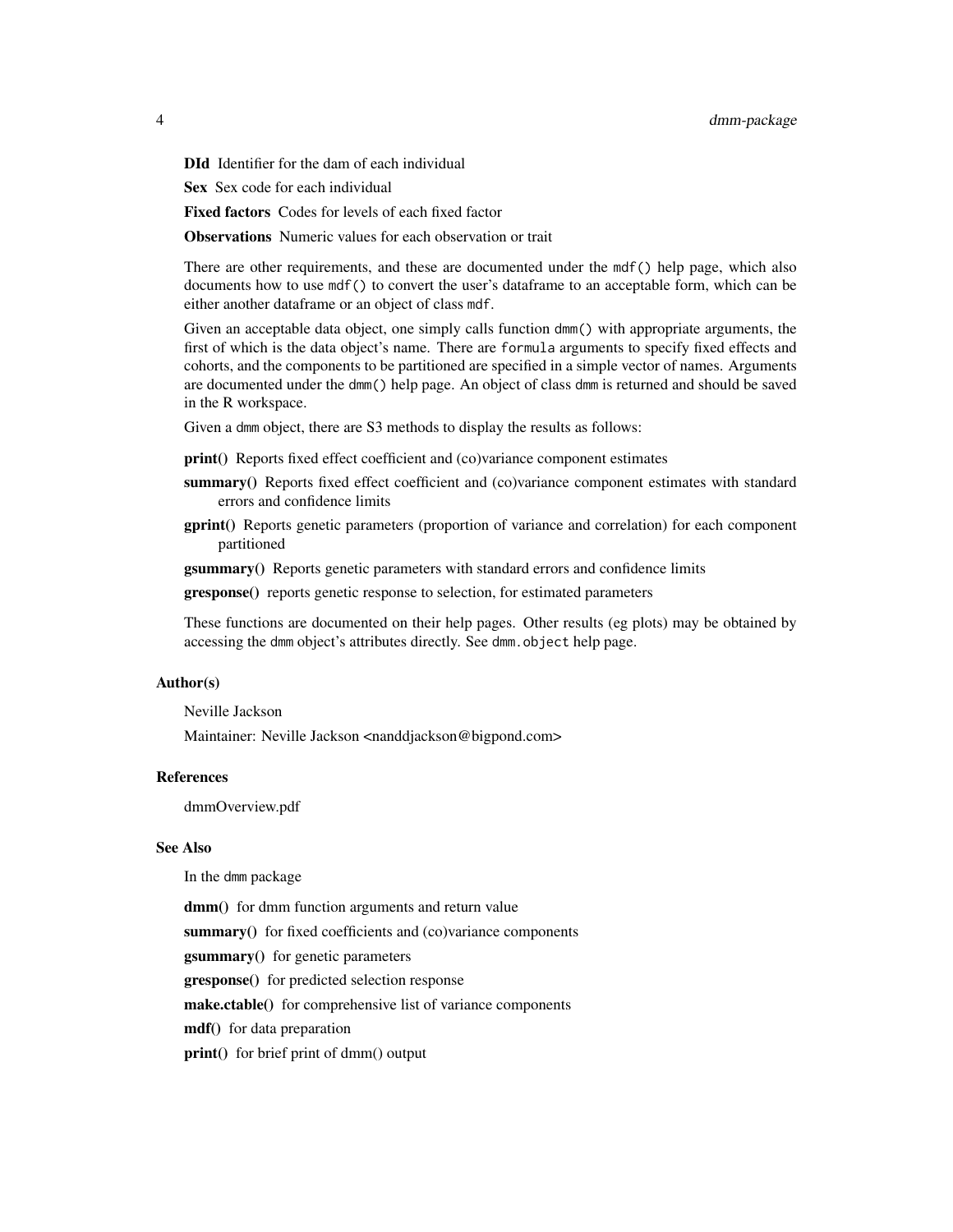DId Identifier for the dam of each individual

Sex Sex code for each individual

Fixed factors Codes for levels of each fixed factor

**Observations** Numeric values for each observation or trait

There are other requirements, and these are documented under the mdf() help page, which also documents how to use mdf() to convert the user's dataframe to an acceptable form, which can be either another dataframe or an object of class mdf.

Given an acceptable data object, one simply calls function dmm() with appropriate arguments, the first of which is the data object's name. There are formula arguments to specify fixed effects and cohorts, and the components to be partitioned are specified in a simple vector of names. Arguments are documented under the dmm() help page. An object of class dmm is returned and should be saved in the R workspace.

Given a dmm object, there are S3 methods to display the results as follows:

- print() Reports fixed effect coefficient and (co)variance component estimates
- summary() Reports fixed effect coefficient and (co)variance component estimates with standard errors and confidence limits
- gprint() Reports genetic parameters (proportion of variance and correlation) for each component partitioned

gsummary() Reports genetic parameters with standard errors and confidence limits

gresponse() reports genetic response to selection, for estimated parameters

These functions are documented on their help pages. Other results (eg plots) may be obtained by accessing the dmm object's attributes directly. See dmm. object help page.

# Author(s)

Neville Jackson

Maintainer: Neville Jackson <nanddjackson@bigpond.com>

# References

dmmOverview.pdf

# See Also

In the dmm package

dmm() for dmm function arguments and return value summary() for fixed coefficients and (co)variance components gsummary() for genetic parameters gresponse() for predicted selection response make.ctable() for comprehensive list of variance components mdf() for data preparation print() for brief print of dmm() output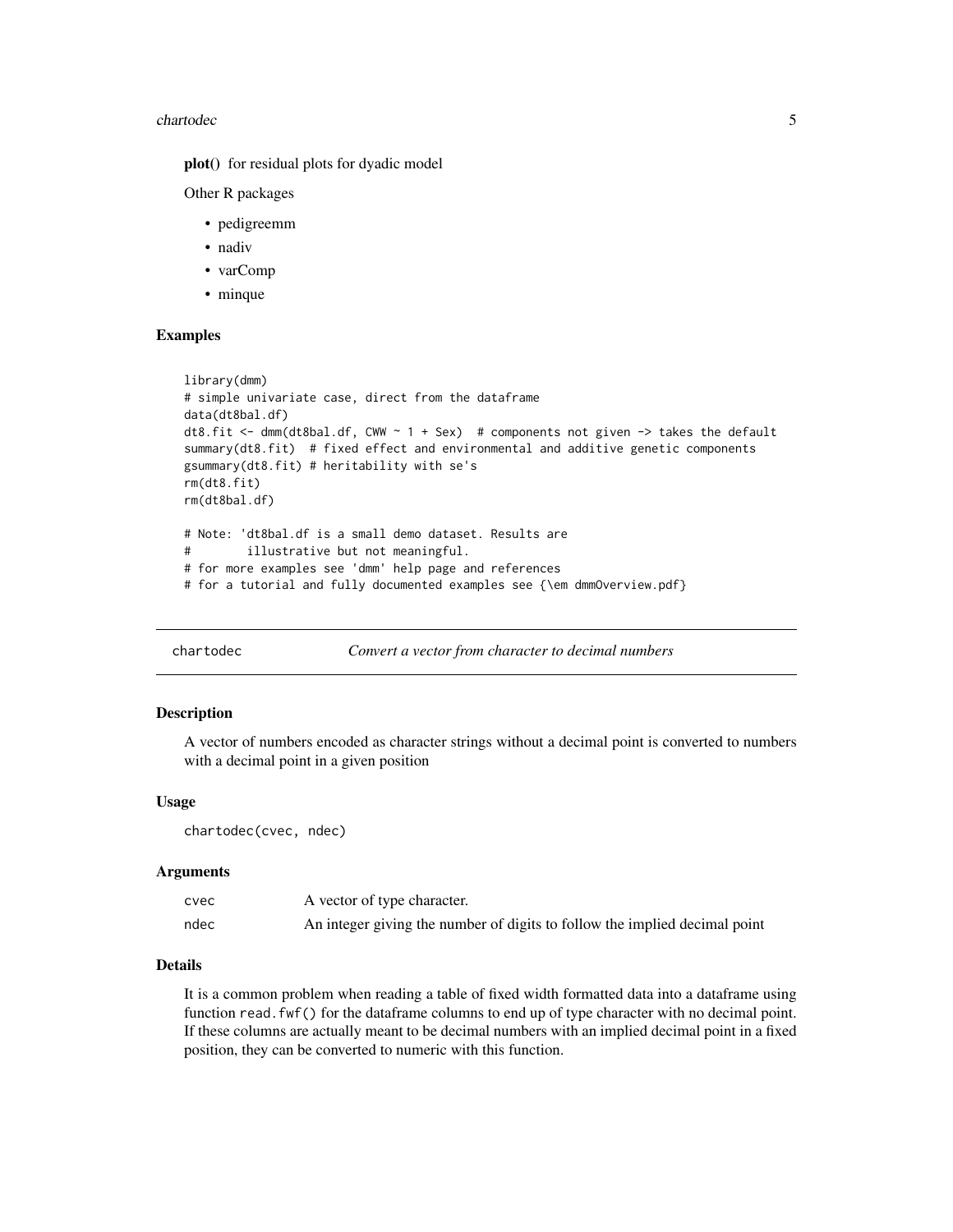#### <span id="page-4-0"></span>chartodec 5

plot() for residual plots for dyadic model

Other R packages

- pedigreemm
- nadiv
- varComp
- minque

# Examples

```
library(dmm)
# simple univariate case, direct from the dataframe
data(dt8bal.df)
dt8.fit <- dmm(dt8bal.df, CWW \sim 1 + Sex) # components not given -> takes the default
summary(dt8.fit) # fixed effect and environmental and additive genetic components
gsummary(dt8.fit) # heritability with se's
rm(dt8.fit)
rm(dt8bal.df)
# Note: 'dt8bal.df is a small demo dataset. Results are
# illustrative but not meaningful.
# for more examples see 'dmm' help page and references
# for a tutorial and fully documented examples see {\em dmmOverview.pdf}
```

```
chartodec Convert a vector from character to decimal numbers
```
#### Description

A vector of numbers encoded as character strings without a decimal point is converted to numbers with a decimal point in a given position

#### Usage

chartodec(cvec, ndec)

# Arguments

| cvec | A vector of type character.                                                |
|------|----------------------------------------------------------------------------|
| ndec | An integer giving the number of digits to follow the implied decimal point |

#### Details

It is a common problem when reading a table of fixed width formatted data into a dataframe using function read.fwf() for the dataframe columns to end up of type character with no decimal point. If these columns are actually meant to be decimal numbers with an implied decimal point in a fixed position, they can be converted to numeric with this function.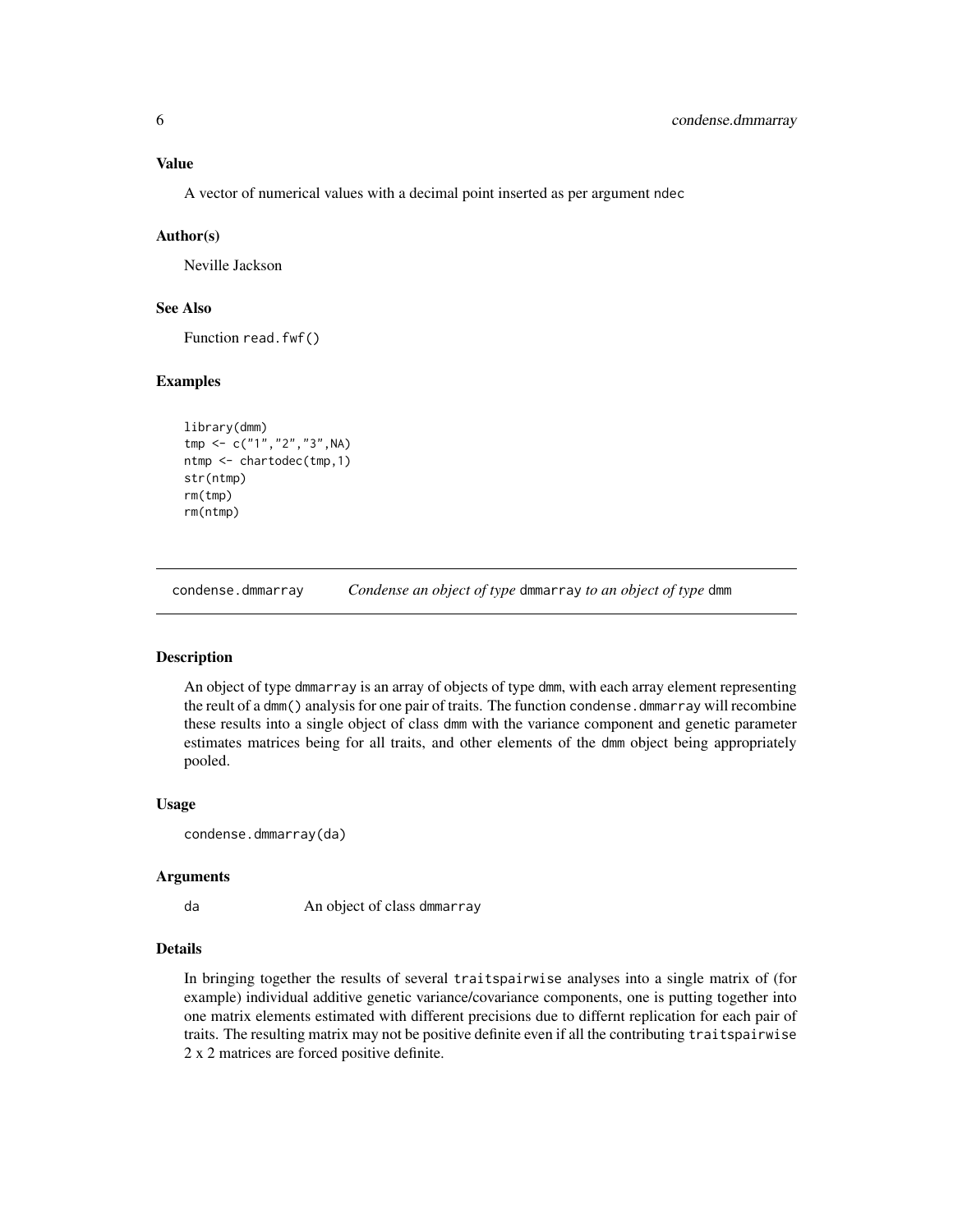# <span id="page-5-0"></span>Value

A vector of numerical values with a decimal point inserted as per argument ndec

#### Author(s)

Neville Jackson

# See Also

Function read.fwf()

# Examples

```
library(dmm)
tmp <- c("1","2","3",NA)
ntmp <- chartodec(tmp,1)
str(ntmp)
rm(tmp)
rm(ntmp)
```
condense.dmmarray *Condense an object of type* dmmarray *to an object of type* dmm

# Description

An object of type dmmarray is an array of objects of type dmm, with each array element representing the reult of a dmm() analysis for one pair of traits. The function condense, dmmarray will recombine these results into a single object of class dmm with the variance component and genetic parameter estimates matrices being for all traits, and other elements of the dmm object being appropriately pooled.

#### Usage

condense.dmmarray(da)

#### Arguments

da An object of class dmmarray

# Details

In bringing together the results of several traitspairwise analyses into a single matrix of (for example) individual additive genetic variance/covariance components, one is putting together into one matrix elements estimated with different precisions due to differnt replication for each pair of traits. The resulting matrix may not be positive definite even if all the contributing traitspairwise 2 x 2 matrices are forced positive definite.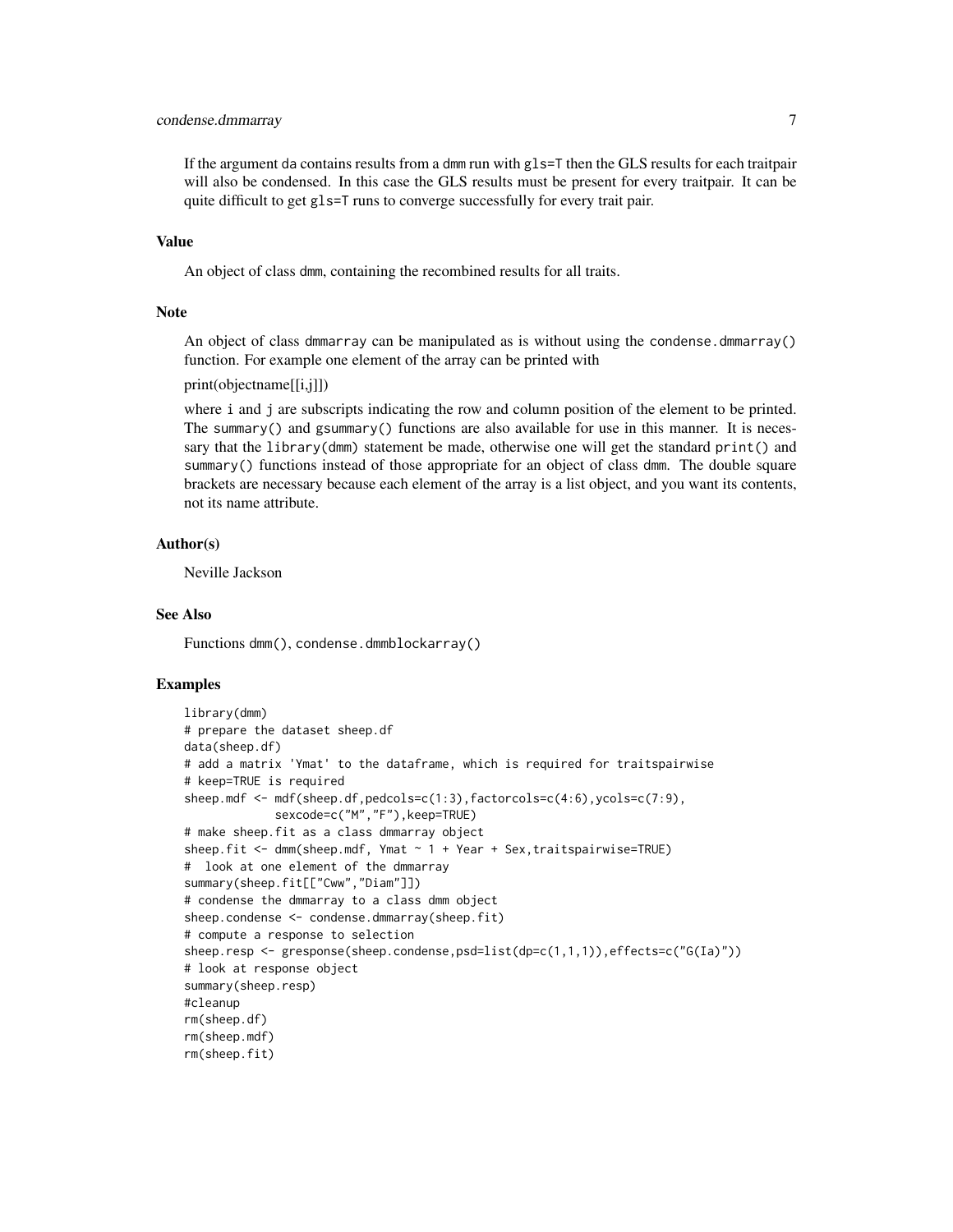# condense.dmmarray 7

If the argument da contains results from a dmm run with gls=T then the GLS results for each traitpair will also be condensed. In this case the GLS results must be present for every traitpair. It can be quite difficult to get gls=T runs to converge successfully for every trait pair.

#### Value

An object of class dmm, containing the recombined results for all traits.

#### **Note**

An object of class dmmarray can be manipulated as is without using the condense.dmmarray() function. For example one element of the array can be printed with

```
print(objectname[[i,j]])
```
where i and j are subscripts indicating the row and column position of the element to be printed. The summary() and gsummary() functions are also available for use in this manner. It is necessary that the library(dmm) statement be made, otherwise one will get the standard print() and summary() functions instead of those appropriate for an object of class dmm. The double square brackets are necessary because each element of the array is a list object, and you want its contents, not its name attribute.

#### Author(s)

Neville Jackson

#### See Also

Functions dmm(), condense.dmmblockarray()

```
library(dmm)
# prepare the dataset sheep.df
data(sheep.df)
# add a matrix 'Ymat' to the dataframe, which is required for traitspairwise
# keep=TRUE is required
sheep.mdf <- mdf(sheep.df,pedcols=c(1:3),factorcols=c(4:6),ycols=c(7:9),
             sexcode=c("M","F"),keep=TRUE)
# make sheep.fit as a class dmmarray object
sheep.fit \leq dmm(sheep.mdf, Ymat \sim 1 + Year + Sex, traitspairwise=TRUE)
# look at one element of the dmmarray
summary(sheep.fit[["Cww","Diam"]])
# condense the dmmarray to a class dmm object
sheep.condense <- condense.dmmarray(sheep.fit)
# compute a response to selection
sheep.resp <- gresponse(sheep.condense,psd=list(dp=c(1,1,1)),effects=c("G(Ia)"))
# look at response object
summary(sheep.resp)
#cleanup
rm(sheep.df)
rm(sheep.mdf)
rm(sheep.fit)
```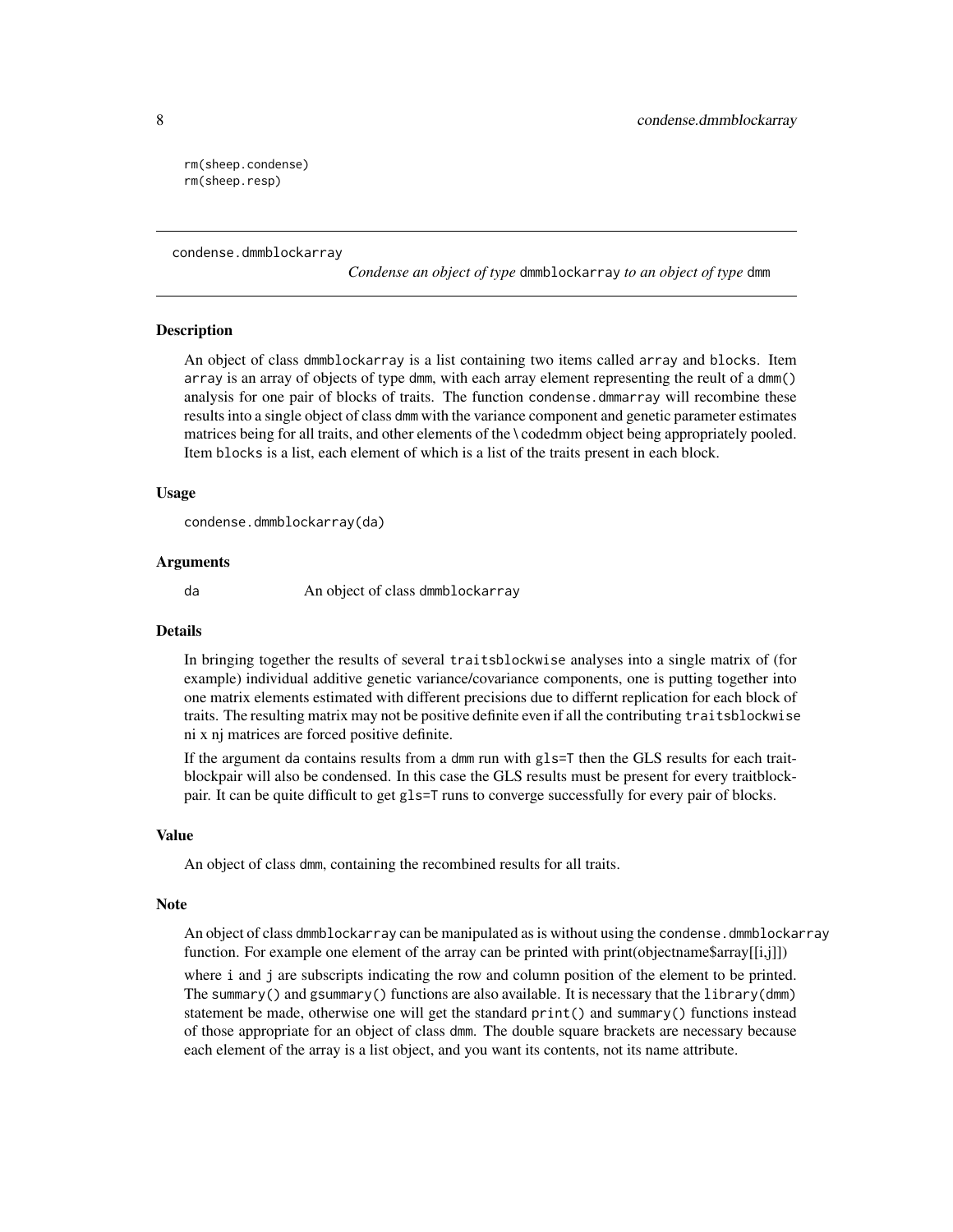rm(sheep.condense) rm(sheep.resp)

condense.dmmblockarray

*Condense an object of type* dmmblockarray *to an object of type* dmm

#### **Description**

An object of class dmmblockarray is a list containing two items called array and blocks. Item array is an array of objects of type dmm, with each array element representing the reult of a dmm() analysis for one pair of blocks of traits. The function condense.dmmarray will recombine these results into a single object of class dmm with the variance component and genetic parameter estimates matrices being for all traits, and other elements of the \ codedmm object being appropriately pooled. Item blocks is a list, each element of which is a list of the traits present in each block.

#### Usage

condense.dmmblockarray(da)

#### Arguments

da An object of class dmmblockarray

#### Details

In bringing together the results of several traitsblockwise analyses into a single matrix of (for example) individual additive genetic variance/covariance components, one is putting together into one matrix elements estimated with different precisions due to differnt replication for each block of traits. The resulting matrix may not be positive definite even if all the contributing traitsblockwise ni x nj matrices are forced positive definite.

If the argument da contains results from a dmm run with gls=T then the GLS results for each traitblockpair will also be condensed. In this case the GLS results must be present for every traitblockpair. It can be quite difficult to get gls=T runs to converge successfully for every pair of blocks.

#### Value

An object of class dmm, containing the recombined results for all traits.

#### Note

An object of class dmmblockarray can be manipulated as is without using the condense.dmmblockarray function. For example one element of the array can be printed with print(objectname\$array[[i,j]])

where i and j are subscripts indicating the row and column position of the element to be printed. The summary() and gsummary() functions are also available. It is necessary that the library(dmm) statement be made, otherwise one will get the standard print() and summary() functions instead of those appropriate for an object of class dmm. The double square brackets are necessary because each element of the array is a list object, and you want its contents, not its name attribute.

<span id="page-7-0"></span>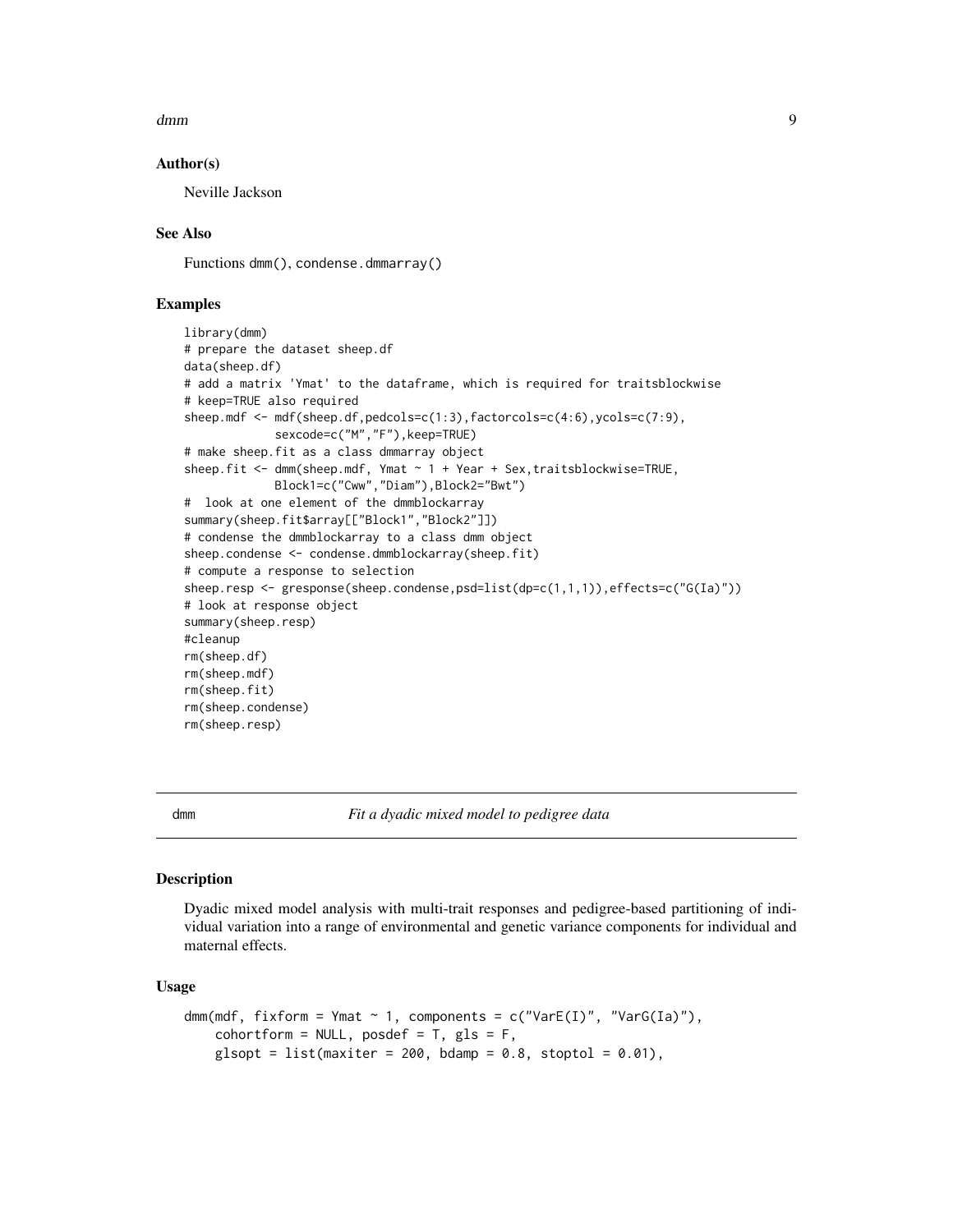#### <span id="page-8-0"></span>dmm 9

# Author(s)

Neville Jackson

# See Also

Functions dmm(), condense.dmmarray()

# Examples

```
library(dmm)
# prepare the dataset sheep.df
data(sheep.df)
# add a matrix 'Ymat' to the dataframe, which is required for traitsblockwise
# keep=TRUE also required
sheep.mdf <- mdf(sheep.df,pedcols=c(1:3),factorcols=c(4:6),ycols=c(7:9),
             sexcode=c("M","F"),keep=TRUE)
# make sheep.fit as a class dmmarray object
sheep.fit <- dmm(sheep.mdf, Ymat ~ 1 + Year + Sex,traitsblockwise=TRUE,
             Block1=c("Cww","Diam"),Block2="Bwt")
# look at one element of the dmmblockarray
summary(sheep.fit$array[["Block1","Block2"]])
# condense the dmmblockarray to a class dmm object
sheep.condense <- condense.dmmblockarray(sheep.fit)
# compute a response to selection
sheep.resp <- gresponse(sheep.condense,psd=list(dp=c(1,1,1)),effects=c("G(Ia)"))
# look at response object
summary(sheep.resp)
#cleanup
rm(sheep.df)
rm(sheep.mdf)
rm(sheep.fit)
rm(sheep.condense)
rm(sheep.resp)
```
dmm *Fit a dyadic mixed model to pedigree data*

#### **Description**

Dyadic mixed model analysis with multi-trait responses and pedigree-based partitioning of individual variation into a range of environmental and genetic variance components for individual and maternal effects.

#### Usage

```
dmm(mdf, fixform = Ymat \sim 1, components = c("VarE(I)", "VarG(Ia)"),
    cohortform = NULL, posdef = T, gls = F,glsopt = list(maxiter = 200, bdamp = 0.8, stoptol = 0.01),
```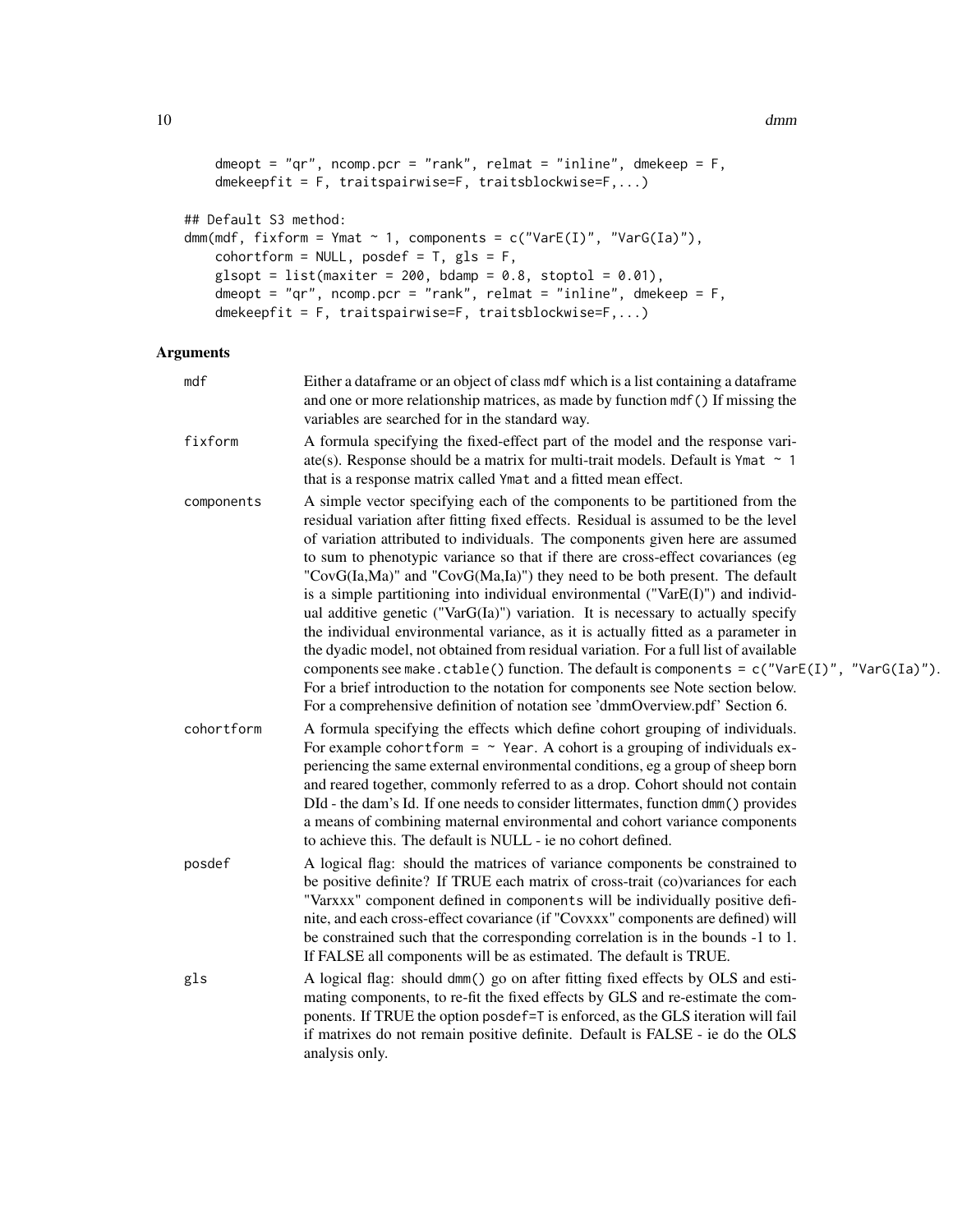```
dmeopt = "qr", ncomp.pcr = "rank", relmat = "inline", dmekeep = F,
    dmekeepfit = F, traitspairwise=F, traitsblockwise=F,...)
## Default S3 method:
dmm(mdf, fixform = Ymat \sim 1, components = c("VarE(I)", "VarG(Ia)"),
   cohortform = NULL, posdef = T, gls = F,glsopt = list(maxiter = 200, bdamp = 0.8, stoptol = 0.01),
   dmeopt = "qr", ncomp.pcr = "rank", relmat = "inline", dmekeep = F,
   dmekeepfit = F, traitspairwise=F, traitsblockwise=F,...)
```
# Arguments

| mdf        | Either a dataframe or an object of class mdf which is a list containing a dataframe<br>and one or more relationship matrices, as made by function mdf () If missing the<br>variables are searched for in the standard way.                                                                                                                                                                                                                                                                                                                                                                                                                                                                                                                                                                                                                                                                                                                                                                                                                           |
|------------|------------------------------------------------------------------------------------------------------------------------------------------------------------------------------------------------------------------------------------------------------------------------------------------------------------------------------------------------------------------------------------------------------------------------------------------------------------------------------------------------------------------------------------------------------------------------------------------------------------------------------------------------------------------------------------------------------------------------------------------------------------------------------------------------------------------------------------------------------------------------------------------------------------------------------------------------------------------------------------------------------------------------------------------------------|
| fixform    | A formula specifying the fixed-effect part of the model and the response vari-<br>ate(s). Response should be a matrix for multi-trait models. Default is Ymat $\sim$ 1<br>that is a response matrix called Ymat and a fitted mean effect.                                                                                                                                                                                                                                                                                                                                                                                                                                                                                                                                                                                                                                                                                                                                                                                                            |
| components | A simple vector specifying each of the components to be partitioned from the<br>residual variation after fitting fixed effects. Residual is assumed to be the level<br>of variation attributed to individuals. The components given here are assumed<br>to sum to phenotypic variance so that if there are cross-effect covariances (eg<br>"CovG(Ia,Ma)" and "CovG(Ma,Ia)") they need to be both present. The default<br>is a simple partitioning into individual environmental (" $VarE(I)$ ") and individ-<br>ual additive genetic ("Var $G(Ia)$ ") variation. It is necessary to actually specify<br>the individual environmental variance, as it is actually fitted as a parameter in<br>the dyadic model, not obtained from residual variation. For a full list of available<br>components see make.ctable() function. The default is components = $c("VarE(I)", "VarG(Ia)",$<br>For a brief introduction to the notation for components see Note section below.<br>For a comprehensive definition of notation see 'dmmOverview.pdf' Section 6. |
| cohortform | A formula specifying the effects which define cohort grouping of individuals.<br>For example cohortform = $\sim$ Year. A cohort is a grouping of individuals ex-<br>periencing the same external environmental conditions, eg a group of sheep born<br>and reared together, commonly referred to as a drop. Cohort should not contain<br>DId - the dam's Id. If one needs to consider littermates, function dmm() provides<br>a means of combining maternal environmental and cohort variance components<br>to achieve this. The default is NULL - ie no cohort defined.                                                                                                                                                                                                                                                                                                                                                                                                                                                                             |
| posdef     | A logical flag: should the matrices of variance components be constrained to<br>be positive definite? If TRUE each matrix of cross-trait (co)variances for each<br>"Varxxx" component defined in components will be individually positive defi-<br>nite, and each cross-effect covariance (if "Covxxx" components are defined) will<br>be constrained such that the corresponding correlation is in the bounds -1 to 1.<br>If FALSE all components will be as estimated. The default is TRUE.                                                                                                                                                                                                                                                                                                                                                                                                                                                                                                                                                        |
| gls        | A logical flag: should dmm() go on after fitting fixed effects by OLS and esti-<br>mating components, to re-fit the fixed effects by GLS and re-estimate the com-<br>ponents. If TRUE the option posdef=T is enforced, as the GLS iteration will fail<br>if matrixes do not remain positive definite. Default is FALSE - ie do the OLS<br>analysis only.                                                                                                                                                                                                                                                                                                                                                                                                                                                                                                                                                                                                                                                                                             |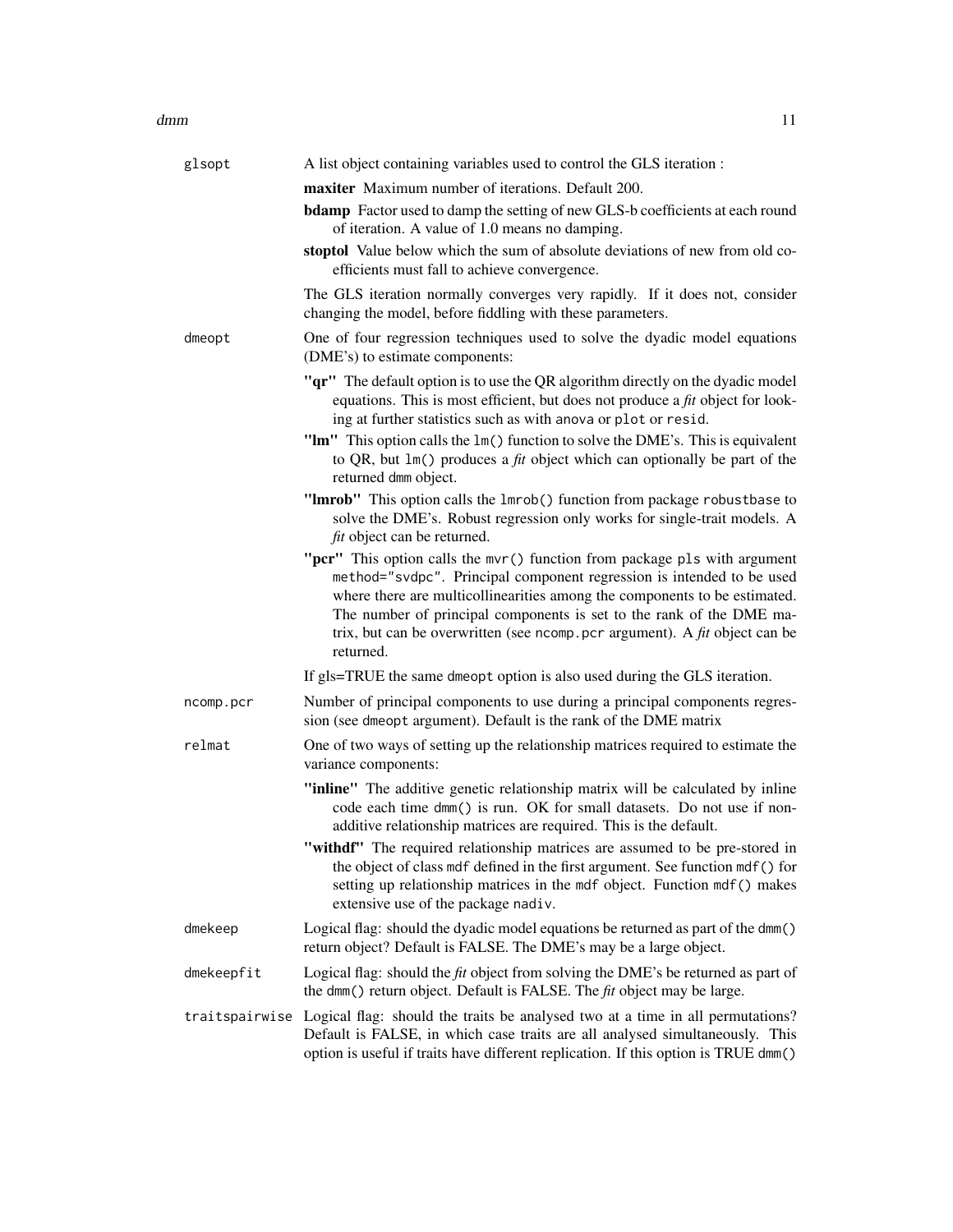#### dmm 11

| glsopt     | A list object containing variables used to control the GLS iteration :                                                                                                                                                                                                                                                                                                                                      |
|------------|-------------------------------------------------------------------------------------------------------------------------------------------------------------------------------------------------------------------------------------------------------------------------------------------------------------------------------------------------------------------------------------------------------------|
|            | maxiter Maximum number of iterations. Default 200.                                                                                                                                                                                                                                                                                                                                                          |
|            | <b>bdamp</b> Factor used to damp the setting of new GLS-b coefficients at each round<br>of iteration. A value of 1.0 means no damping.                                                                                                                                                                                                                                                                      |
|            | stoptol Value below which the sum of absolute deviations of new from old co-<br>efficients must fall to achieve convergence.                                                                                                                                                                                                                                                                                |
|            | The GLS iteration normally converges very rapidly. If it does not, consider<br>changing the model, before fiddling with these parameters.                                                                                                                                                                                                                                                                   |
| dmeopt     | One of four regression techniques used to solve the dyadic model equations<br>(DME's) to estimate components:                                                                                                                                                                                                                                                                                               |
|            | "qr" The default option is to use the QR algorithm directly on the dyadic model<br>equations. This is most efficient, but does not produce a $fit$ object for look-<br>ing at further statistics such as with anova or plot or resid.                                                                                                                                                                       |
|            | "Im" This option calls the 1m() function to solve the DME's. This is equivalent<br>to QR, but $lm()$ produces a <i>fit</i> object which can optionally be part of the<br>returned dmm object.                                                                                                                                                                                                               |
|            | "Imrob" This option calls the 1mrob() function from package robustbase to<br>solve the DME's. Robust regression only works for single-trait models. A<br><i>fit</i> object can be returned.                                                                                                                                                                                                                 |
|            | "pcr" This option calls the mvr() function from package pls with argument<br>method="svdpc". Principal component regression is intended to be used<br>where there are multicollinearities among the components to be estimated.<br>The number of principal components is set to the rank of the DME ma-<br>trix, but can be overwritten (see ncomp. pcr argument). A $\hat{f}$ t object can be<br>returned. |
|            | If gls=TRUE the same dmeopt option is also used during the GLS iteration.                                                                                                                                                                                                                                                                                                                                   |
| ncomp.pcr  | Number of principal components to use during a principal components regres-<br>sion (see dmeopt argument). Default is the rank of the DME matrix                                                                                                                                                                                                                                                            |
| relmat     | One of two ways of setting up the relationship matrices required to estimate the<br>variance components:                                                                                                                                                                                                                                                                                                    |
|            | "inline" The additive genetic relationship matrix will be calculated by inline<br>code each time dmm() is run. OK for small datasets. Do not use if non-<br>additive relationship matrices are required. This is the default.                                                                                                                                                                               |
|            | "withdf" The required relationship matrices are assumed to be pre-stored in<br>the object of class mdf defined in the first argument. See function mdf() for<br>setting up relationship matrices in the mdf object. Function mdf() makes<br>extensive use of the package nadiv.                                                                                                                             |
| dmekeep    | Logical flag: should the dyadic model equations be returned as part of the dmm()<br>return object? Default is FALSE. The DME's may be a large object.                                                                                                                                                                                                                                                       |
| dmekeepfit | Logical flag: should the <i>fit</i> object from solving the DME's be returned as part of<br>the dmm() return object. Default is FALSE. The fit object may be large.                                                                                                                                                                                                                                         |
|            | traitspairwise Logical flag: should the traits be analysed two at a time in all permutations?<br>Default is FALSE, in which case traits are all analysed simultaneously. This<br>option is useful if traits have different replication. If this option is TRUE dmm()                                                                                                                                        |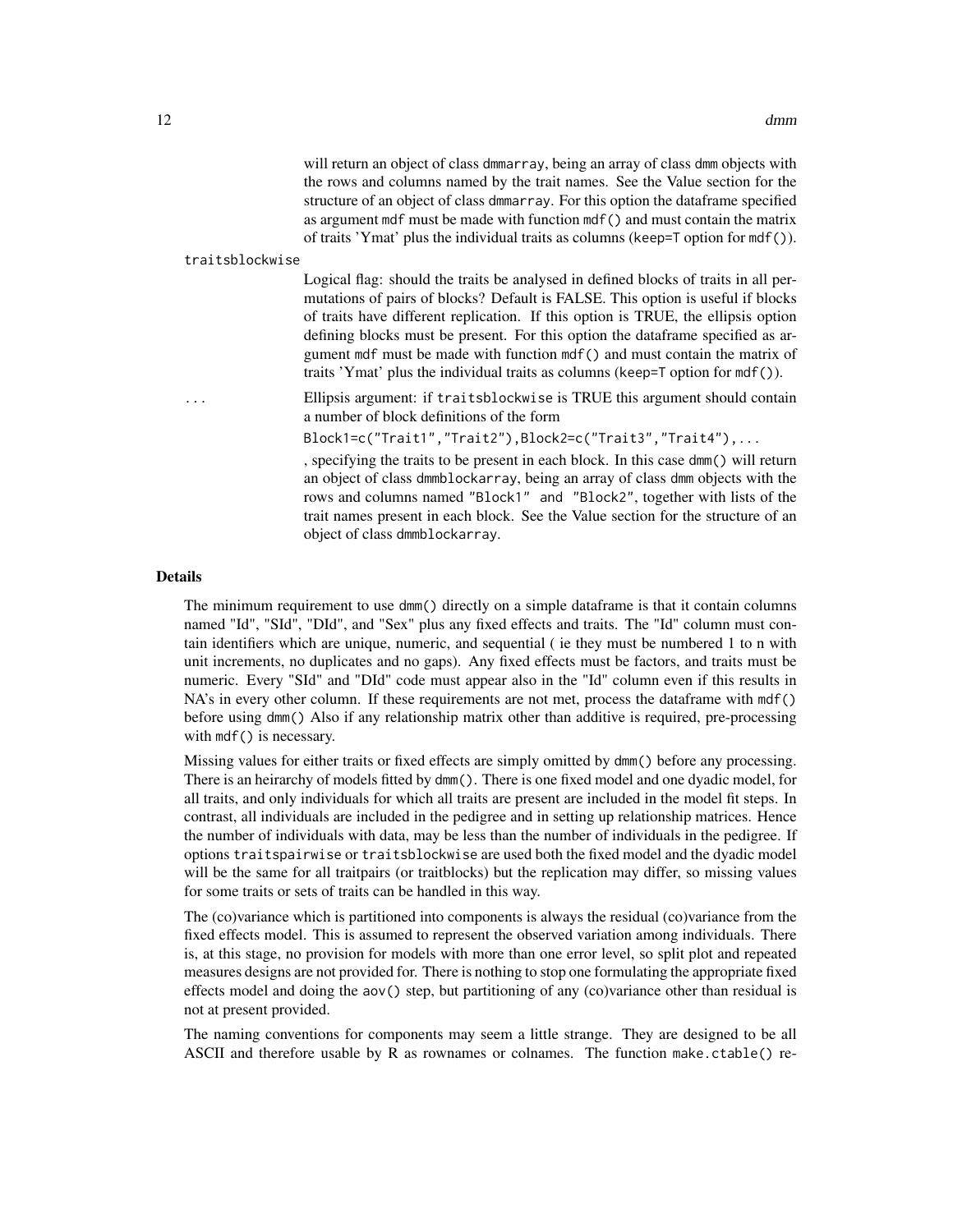will return an object of class dmmarray, being an array of class dmm objects with the rows and columns named by the trait names. See the Value section for the structure of an object of class dmmarray. For this option the dataframe specified as argument mdf must be made with function mdf() and must contain the matrix of traits 'Ymat' plus the individual traits as columns (keep=T option for mdf()).

traitsblockwise

Logical flag: should the traits be analysed in defined blocks of traits in all permutations of pairs of blocks? Default is FALSE. This option is useful if blocks of traits have different replication. If this option is TRUE, the ellipsis option defining blocks must be present. For this option the dataframe specified as argument mdf must be made with function mdf() and must contain the matrix of traits 'Ymat' plus the individual traits as columns (keep=T option for mdf()).

... Ellipsis argument: if traitsblockwise is TRUE this argument should contain a number of block definitions of the form

Block1=c("Trait1","Trait2"),Block2=c("Trait3","Trait4"),...

, specifying the traits to be present in each block. In this case dmm() will return an object of class dmmblockarray, being an array of class dmm objects with the rows and columns named "Block1" and "Block2", together with lists of the trait names present in each block. See the Value section for the structure of an object of class dmmblockarray.

#### Details

The minimum requirement to use dmm() directly on a simple dataframe is that it contain columns named "Id", "SId", "DId", and "Sex" plus any fixed effects and traits. The "Id" column must contain identifiers which are unique, numeric, and sequential ( ie they must be numbered 1 to n with unit increments, no duplicates and no gaps). Any fixed effects must be factors, and traits must be numeric. Every "SId" and "DId" code must appear also in the "Id" column even if this results in NA's in every other column. If these requirements are not met, process the dataframe with mdf() before using dmm() Also if any relationship matrix other than additive is required, pre-processing with  $mdf()$  is necessary.

Missing values for either traits or fixed effects are simply omitted by dmm() before any processing. There is an heirarchy of models fitted by dmm(). There is one fixed model and one dyadic model, for all traits, and only individuals for which all traits are present are included in the model fit steps. In contrast, all individuals are included in the pedigree and in setting up relationship matrices. Hence the number of individuals with data, may be less than the number of individuals in the pedigree. If options traitspairwise or traitsblockwise are used both the fixed model and the dyadic model will be the same for all traitpairs (or traitblocks) but the replication may differ, so missing values for some traits or sets of traits can be handled in this way.

The (co)variance which is partitioned into components is always the residual (co)variance from the fixed effects model. This is assumed to represent the observed variation among individuals. There is, at this stage, no provision for models with more than one error level, so split plot and repeated measures designs are not provided for. There is nothing to stop one formulating the appropriate fixed effects model and doing the aov() step, but partitioning of any (co)variance other than residual is not at present provided.

The naming conventions for components may seem a little strange. They are designed to be all ASCII and therefore usable by R as rownames or colnames. The function make.ctable() re-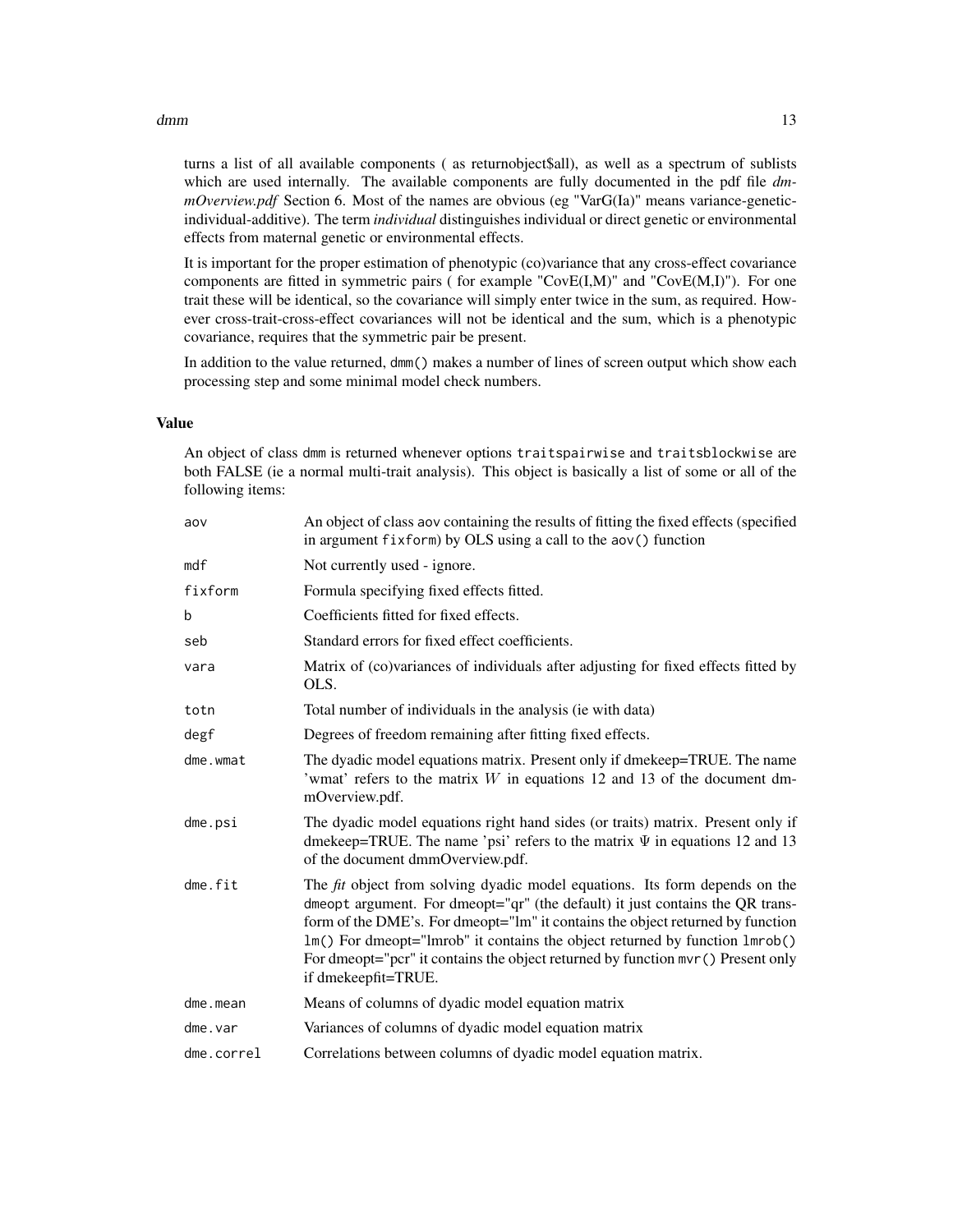#### $d$ mm  $13$

turns a list of all available components ( as returnobject\$all), as well as a spectrum of sublists which are used internally. The available components are fully documented in the pdf file *dmmOverview.pdf* Section 6. Most of the names are obvious (eg "VarG(Ia)" means variance-geneticindividual-additive). The term *individual* distinguishes individual or direct genetic or environmental effects from maternal genetic or environmental effects.

It is important for the proper estimation of phenotypic (co)variance that any cross-effect covariance components are fitted in symmetric pairs ( for example "CovE(I,M)" and "CovE(M,I)"). For one trait these will be identical, so the covariance will simply enter twice in the sum, as required. However cross-trait-cross-effect covariances will not be identical and the sum, which is a phenotypic covariance, requires that the symmetric pair be present.

In addition to the value returned, dmm() makes a number of lines of screen output which show each processing step and some minimal model check numbers.

#### Value

An object of class dmm is returned whenever options traitspairwise and traitsblockwise are both FALSE (ie a normal multi-trait analysis). This object is basically a list of some or all of the following items:

| aov        | An object of class aov containing the results of fitting the fixed effects (specified<br>in argument fixform) by OLS using a call to the aov() function                                                                                                                                                                                                                                                                                         |
|------------|-------------------------------------------------------------------------------------------------------------------------------------------------------------------------------------------------------------------------------------------------------------------------------------------------------------------------------------------------------------------------------------------------------------------------------------------------|
| mdf        | Not currently used - ignore.                                                                                                                                                                                                                                                                                                                                                                                                                    |
| fixform    | Formula specifying fixed effects fitted.                                                                                                                                                                                                                                                                                                                                                                                                        |
| b          | Coefficients fitted for fixed effects.                                                                                                                                                                                                                                                                                                                                                                                                          |
| seb        | Standard errors for fixed effect coefficients.                                                                                                                                                                                                                                                                                                                                                                                                  |
| vara       | Matrix of (co)variances of individuals after adjusting for fixed effects fitted by<br>OLS.                                                                                                                                                                                                                                                                                                                                                      |
| totn       | Total number of individuals in the analysis (ie with data)                                                                                                                                                                                                                                                                                                                                                                                      |
| degf       | Degrees of freedom remaining after fitting fixed effects.                                                                                                                                                                                                                                                                                                                                                                                       |
| dme.wmat   | The dyadic model equations matrix. Present only if dmekeep=TRUE. The name<br>'wmat' refers to the matrix $W$ in equations 12 and 13 of the document dm-<br>mOverview.pdf.                                                                                                                                                                                                                                                                       |
| $d$ me.psi | The dyadic model equations right hand sides (or traits) matrix. Present only if<br>dmekeep=TRUE. The name 'psi' refers to the matrix $\Psi$ in equations 12 and 13<br>of the document dmmOverview.pdf.                                                                                                                                                                                                                                          |
| dme.fit    | The <i>fit</i> object from solving dyadic model equations. Its form depends on the<br>dmeopt argument. For dmeopt="qr" (the default) it just contains the QR trans-<br>form of the DME's. For dmeopt="lm" it contains the object returned by function<br>1m() For dmeopt="lmrob" it contains the object returned by function 1mrob()<br>For dmeopt="pcr" it contains the object returned by function mvr () Present only<br>if dmekeepfit=TRUE. |
| dme.mean   | Means of columns of dyadic model equation matrix                                                                                                                                                                                                                                                                                                                                                                                                |
| dme.var    | Variances of columns of dyadic model equation matrix                                                                                                                                                                                                                                                                                                                                                                                            |
| dme.correl | Correlations between columns of dyadic model equation matrix.                                                                                                                                                                                                                                                                                                                                                                                   |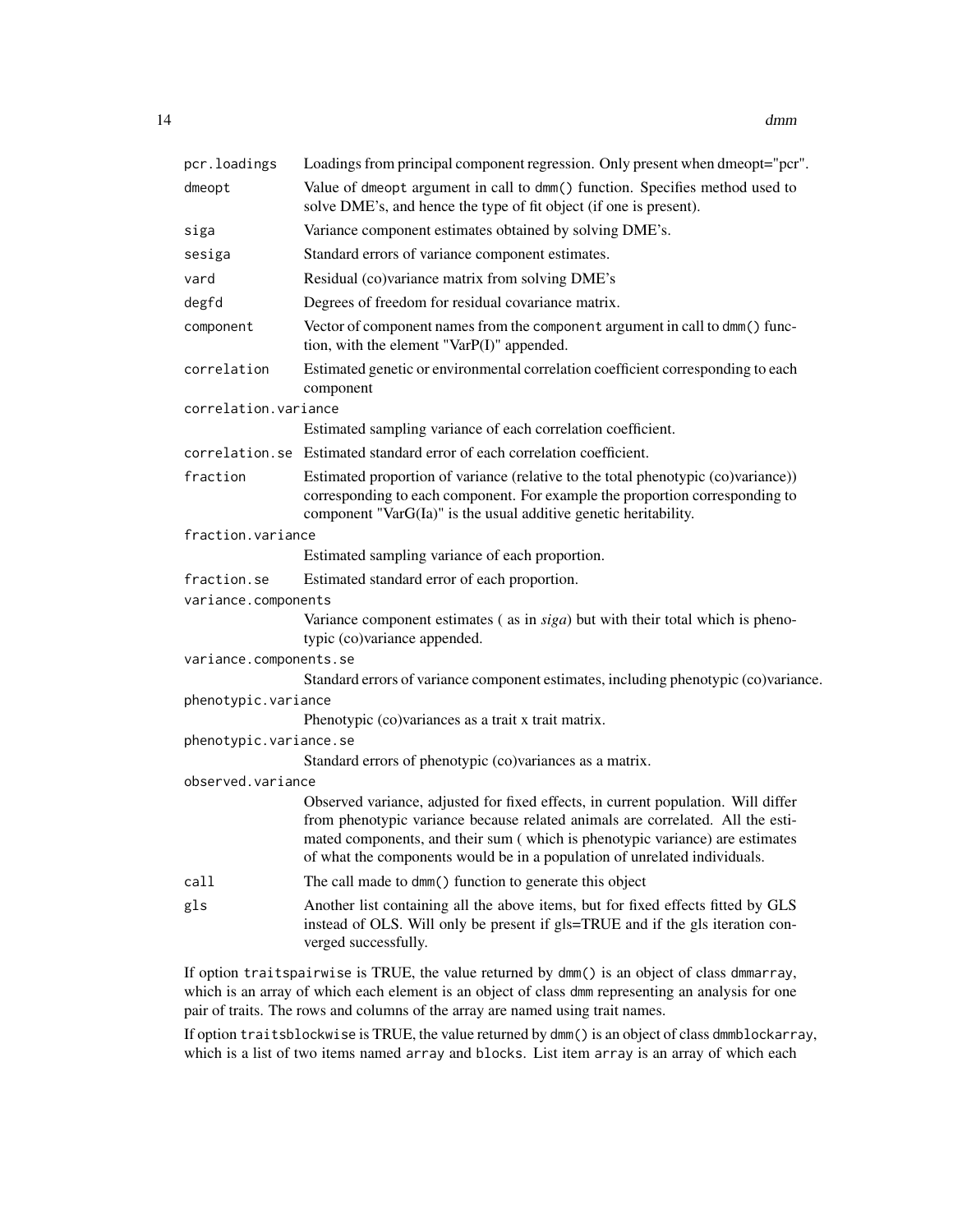| pcr.loadings           | Loadings from principal component regression. Only present when dmeopt="pcr".                                                                                                                                                                                                                                                    |
|------------------------|----------------------------------------------------------------------------------------------------------------------------------------------------------------------------------------------------------------------------------------------------------------------------------------------------------------------------------|
| dmeopt                 | Value of dmeopt argument in call to dmm() function. Specifies method used to<br>solve DME's, and hence the type of fit object (if one is present).                                                                                                                                                                               |
| siga                   | Variance component estimates obtained by solving DME's.                                                                                                                                                                                                                                                                          |
| sesiga                 | Standard errors of variance component estimates.                                                                                                                                                                                                                                                                                 |
| vard                   | Residual (co)variance matrix from solving DME's                                                                                                                                                                                                                                                                                  |
| degfd                  | Degrees of freedom for residual covariance matrix.                                                                                                                                                                                                                                                                               |
| component              | Vector of component names from the component argument in call to dmm() func-<br>tion, with the element "VarP(I)" appended.                                                                                                                                                                                                       |
| correlation            | Estimated genetic or environmental correlation coefficient corresponding to each<br>component                                                                                                                                                                                                                                    |
| correlation.variance   |                                                                                                                                                                                                                                                                                                                                  |
|                        | Estimated sampling variance of each correlation coefficient.                                                                                                                                                                                                                                                                     |
|                        | correlation.se Estimated standard error of each correlation coefficient.                                                                                                                                                                                                                                                         |
| fraction               | Estimated proportion of variance (relative to the total phenotypic (co)variance))<br>corresponding to each component. For example the proportion corresponding to<br>component "VarG(Ia)" is the usual additive genetic heritability.                                                                                            |
| fraction.variance      |                                                                                                                                                                                                                                                                                                                                  |
|                        | Estimated sampling variance of each proportion.                                                                                                                                                                                                                                                                                  |
| fraction.se            | Estimated standard error of each proportion.                                                                                                                                                                                                                                                                                     |
| variance.components    |                                                                                                                                                                                                                                                                                                                                  |
|                        | Variance component estimates (as in siga) but with their total which is pheno-<br>typic (co)variance appended.                                                                                                                                                                                                                   |
| variance.components.se |                                                                                                                                                                                                                                                                                                                                  |
|                        | Standard errors of variance component estimates, including phenotypic (co)variance.                                                                                                                                                                                                                                              |
| phenotypic.variance    |                                                                                                                                                                                                                                                                                                                                  |
| phenotypic.variance.se | Phenotypic (co)variances as a trait x trait matrix.                                                                                                                                                                                                                                                                              |
|                        | Standard errors of phenotypic (co)variances as a matrix.                                                                                                                                                                                                                                                                         |
| observed.variance      |                                                                                                                                                                                                                                                                                                                                  |
|                        | Observed variance, adjusted for fixed effects, in current population. Will differ<br>from phenotypic variance because related animals are correlated. All the esti-<br>mated components, and their sum (which is phenotypic variance) are estimates<br>of what the components would be in a population of unrelated individuals. |
| call                   | The call made to dmm() function to generate this object                                                                                                                                                                                                                                                                          |
| gls                    | Another list containing all the above items, but for fixed effects fitted by GLS<br>instead of OLS. Will only be present if gls=TRUE and if the gls iteration con-<br>verged successfully.                                                                                                                                       |

If option traitspairwise is TRUE, the value returned by dmm() is an object of class dmmarray, which is an array of which each element is an object of class dmm representing an analysis for one pair of traits. The rows and columns of the array are named using trait names.

If option traitsblockwise is TRUE, the value returned by dmm() is an object of class dmmblockarray, which is a list of two items named array and blocks. List item array is an array of which each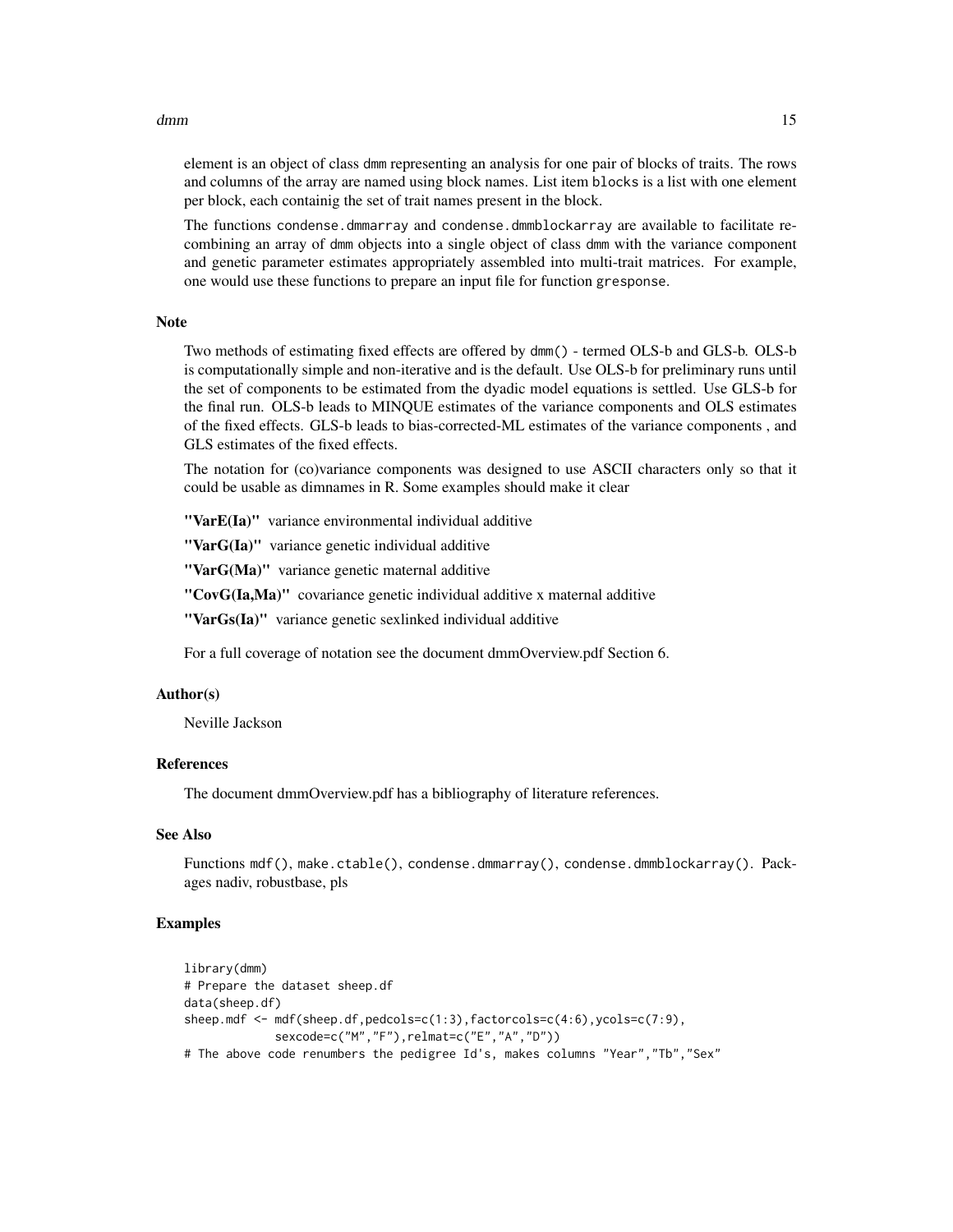#### dmm 15

element is an object of class dmm representing an analysis for one pair of blocks of traits. The rows and columns of the array are named using block names. List item blocks is a list with one element per block, each containig the set of trait names present in the block.

The functions condense.dmmarray and condense.dmmblockarray are available to facilitate recombining an array of dmm objects into a single object of class dmm with the variance component and genetic parameter estimates appropriately assembled into multi-trait matrices. For example, one would use these functions to prepare an input file for function gresponse.

#### Note

Two methods of estimating fixed effects are offered by dmm() - termed OLS-b and GLS-b. OLS-b is computationally simple and non-iterative and is the default. Use OLS-b for preliminary runs until the set of components to be estimated from the dyadic model equations is settled. Use GLS-b for the final run. OLS-b leads to MINQUE estimates of the variance components and OLS estimates of the fixed effects. GLS-b leads to bias-corrected-ML estimates of the variance components , and GLS estimates of the fixed effects.

The notation for (co)variance components was designed to use ASCII characters only so that it could be usable as dimnames in R. Some examples should make it clear

"VarE(Ia)" variance environmental individual additive

"VarG(Ia)" variance genetic individual additive

"VarG(Ma)" variance genetic maternal additive

"CovG(Ia,Ma)" covariance genetic individual additive x maternal additive

"VarGs(Ia)" variance genetic sexlinked individual additive

For a full coverage of notation see the document dmmOverview.pdf Section 6.

# Author(s)

Neville Jackson

#### References

The document dmmOverview.pdf has a bibliography of literature references.

# See Also

Functions mdf(), make.ctable(), condense.dmmarray(), condense.dmmblockarray(). Packages nadiv, robustbase, pls

```
library(dmm)
# Prepare the dataset sheep.df
data(sheep.df)
sheep.mdf <- mdf(sheep.df,pedcols=c(1:3),factorcols=c(4:6),ycols=c(7:9),
            sexcode=c("M","F"),relmat=c("E","A","D"))
# The above code renumbers the pedigree Id's, makes columns "Year","Tb","Sex"
```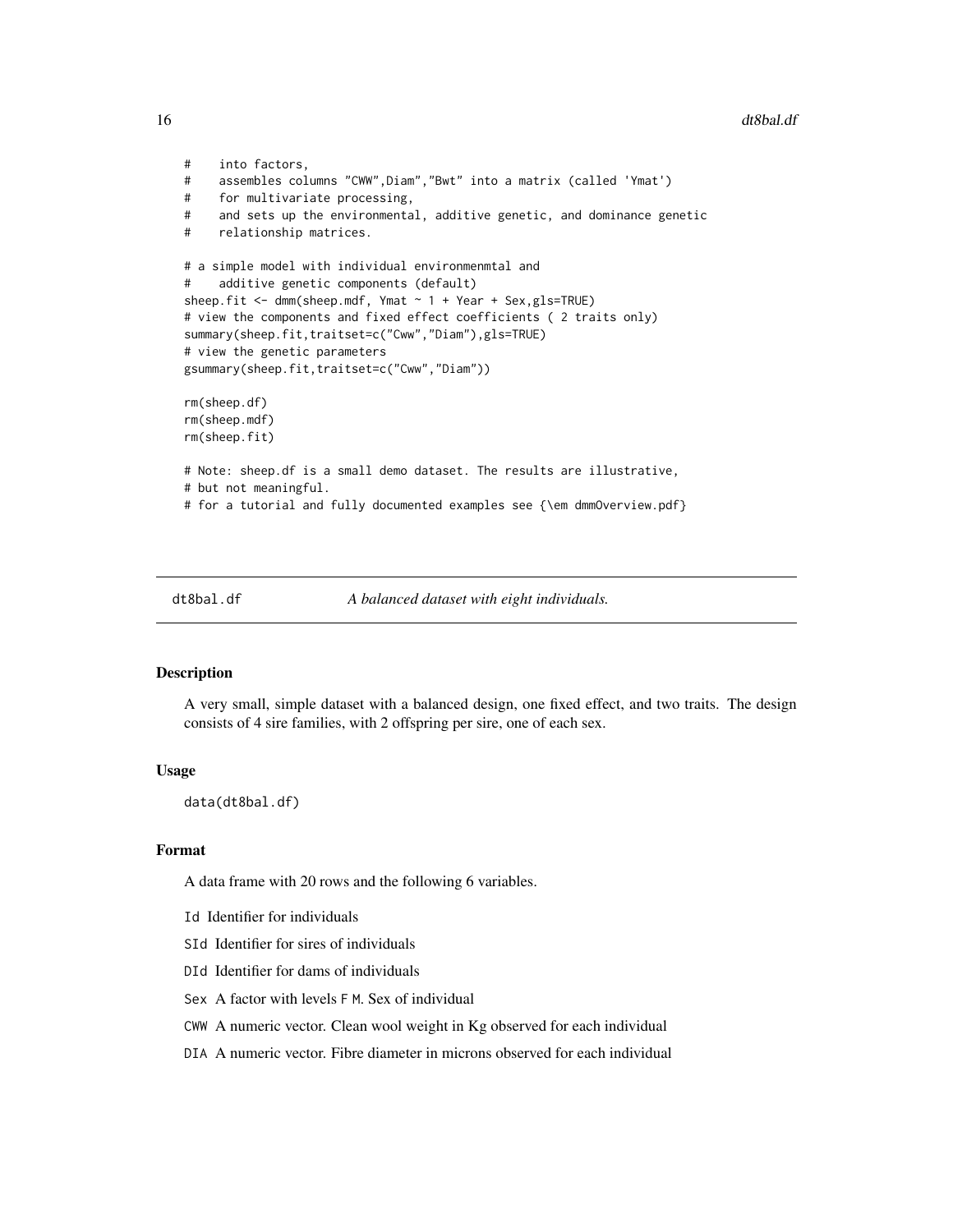#### 16 dt8bal.df

```
# into factors,
# assembles columns "CWW",Diam","Bwt" into a matrix (called 'Ymat')
# for multivariate processing,
# and sets up the environmental, additive genetic, and dominance genetic
# relationship matrices.
# a simple model with individual environmenmtal and
# additive genetic components (default)
sheep.fit \leq dmm(sheep.mdf, Ymat \sim 1 + Year + Sex,gls=TRUE)
# view the components and fixed effect coefficients ( 2 traits only)
summary(sheep.fit,traitset=c("Cww","Diam"),gls=TRUE)
# view the genetic parameters
gsummary(sheep.fit,traitset=c("Cww","Diam"))
rm(sheep.df)
rm(sheep.mdf)
rm(sheep.fit)
# Note: sheep.df is a small demo dataset. The results are illustrative,
# but not meaningful.
# for a tutorial and fully documented examples see {\em dmmOverview.pdf}
```
dt8bal.df *A balanced dataset with eight individuals.*

#### Description

A very small, simple dataset with a balanced design, one fixed effect, and two traits. The design consists of 4 sire families, with 2 offspring per sire, one of each sex.

#### Usage

data(dt8bal.df)

#### Format

A data frame with 20 rows and the following 6 variables.

- Id Identifier for individuals
- SId Identifier for sires of individuals
- DId Identifier for dams of individuals
- Sex A factor with levels F M. Sex of individual
- CWW A numeric vector. Clean wool weight in Kg observed for each individual
- DIA A numeric vector. Fibre diameter in microns observed for each individual

<span id="page-15-0"></span>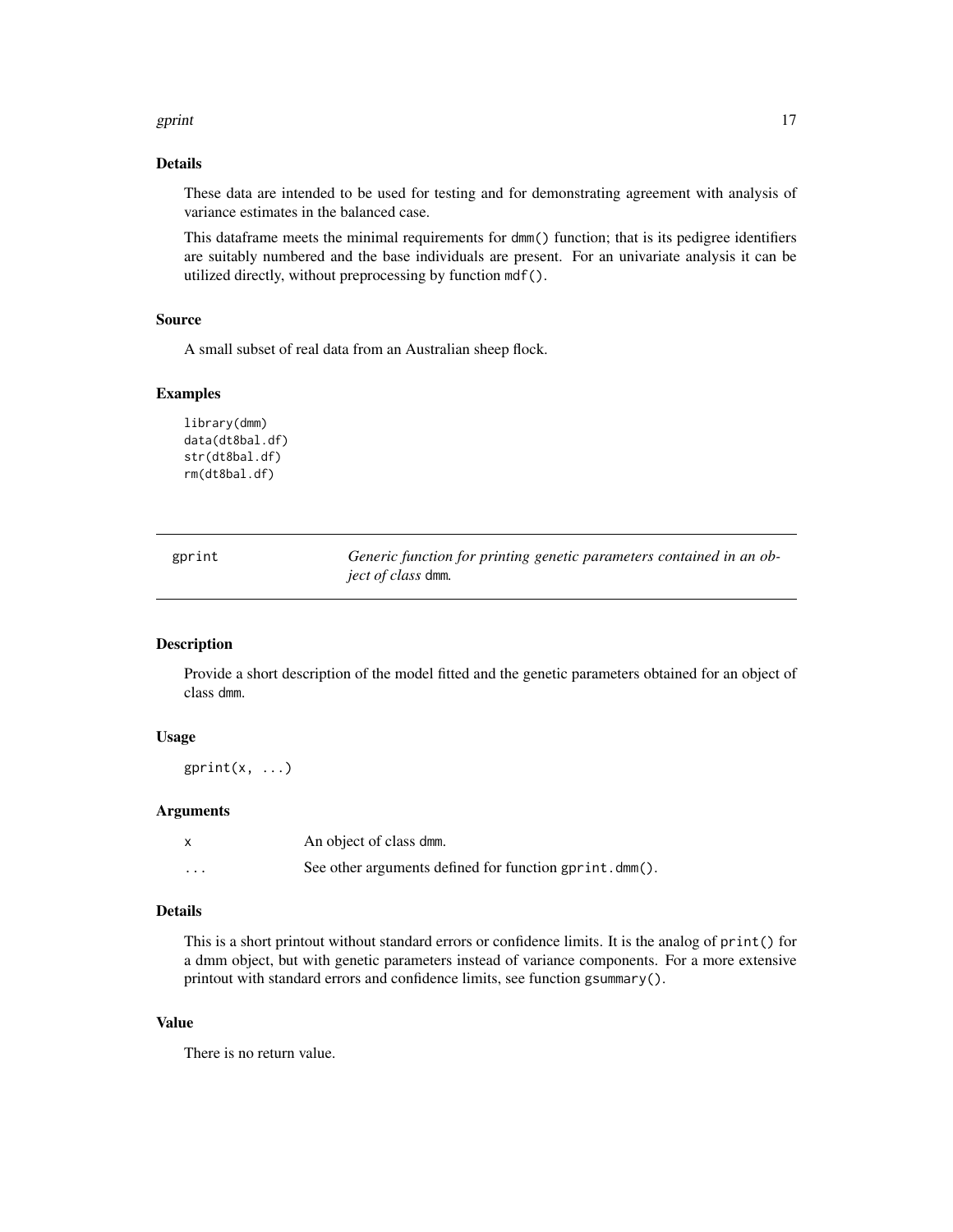#### <span id="page-16-0"></span>gprint the contract of the contract of the contract of the contract of the contract of the contract of the contract of the contract of the contract of the contract of the contract of the contract of the contract of the con

# Details

These data are intended to be used for testing and for demonstrating agreement with analysis of variance estimates in the balanced case.

This dataframe meets the minimal requirements for dmm() function; that is its pedigree identifiers are suitably numbered and the base individuals are present. For an univariate analysis it can be utilized directly, without preprocessing by function mdf().

#### Source

A small subset of real data from an Australian sheep flock.

# Examples

```
library(dmm)
data(dt8bal.df)
str(dt8bal.df)
rm(dt8bal.df)
```

| gprint | Generic function for printing genetic parameters contained in an ob- |
|--------|----------------------------------------------------------------------|
|        | <i>ject of class</i> dmm.                                            |

#### Description

Provide a short description of the model fitted and the genetic parameters obtained for an object of class dmm.

# Usage

gprint $(x, \ldots)$ 

# Arguments

|          | An object of class dmm.                                |
|----------|--------------------------------------------------------|
| $\cdots$ | See other arguments defined for function gprint.dmm(). |

# Details

This is a short printout without standard errors or confidence limits. It is the analog of print() for a dmm object, but with genetic parameters instead of variance components. For a more extensive printout with standard errors and confidence limits, see function gsummary().

#### Value

There is no return value.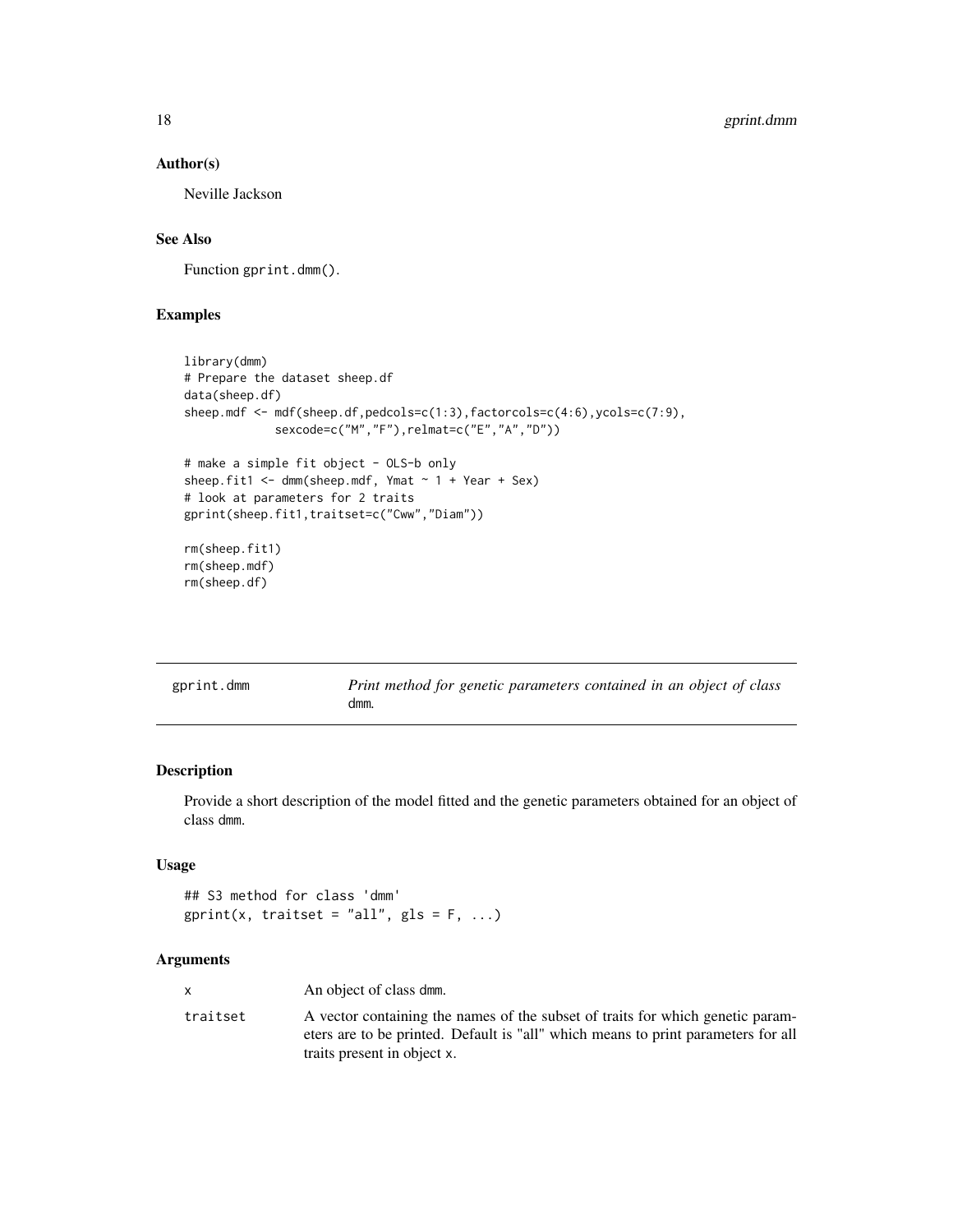# Author(s)

Neville Jackson

# See Also

Function gprint.dmm().

# Examples

```
library(dmm)
# Prepare the dataset sheep.df
data(sheep.df)
sheep.mdf <- mdf(sheep.df,pedcols=c(1:3),factorcols=c(4:6),ycols=c(7:9),
             sexcode=c("M","F"),relmat=c("E","A","D"))
# make a simple fit object - OLS-b only
sheep.fit1 <- dmm(sheep.mdf, Ymat ~ 1 + Year + Sex)# look at parameters for 2 traits
gprint(sheep.fit1,traitset=c("Cww","Diam"))
rm(sheep.fit1)
rm(sheep.mdf)
rm(sheep.df)
```

| gprint.dmm | Print method for genetic parameters contained in an object of class |
|------------|---------------------------------------------------------------------|
|            | dmm.                                                                |

# Description

Provide a short description of the model fitted and the genetic parameters obtained for an object of class dmm.

# Usage

## S3 method for class 'dmm'  $gprint(x, \text{ traitset} = "all", \text{ gls} = F, ...)$ 

# Arguments

|          | An object of class dmm.                                                                                                                                                                            |
|----------|----------------------------------------------------------------------------------------------------------------------------------------------------------------------------------------------------|
| traitset | A vector containing the names of the subset of traits for which genetic param-<br>eters are to be printed. Default is "all" which means to print parameters for all<br>traits present in object x. |

<span id="page-17-0"></span>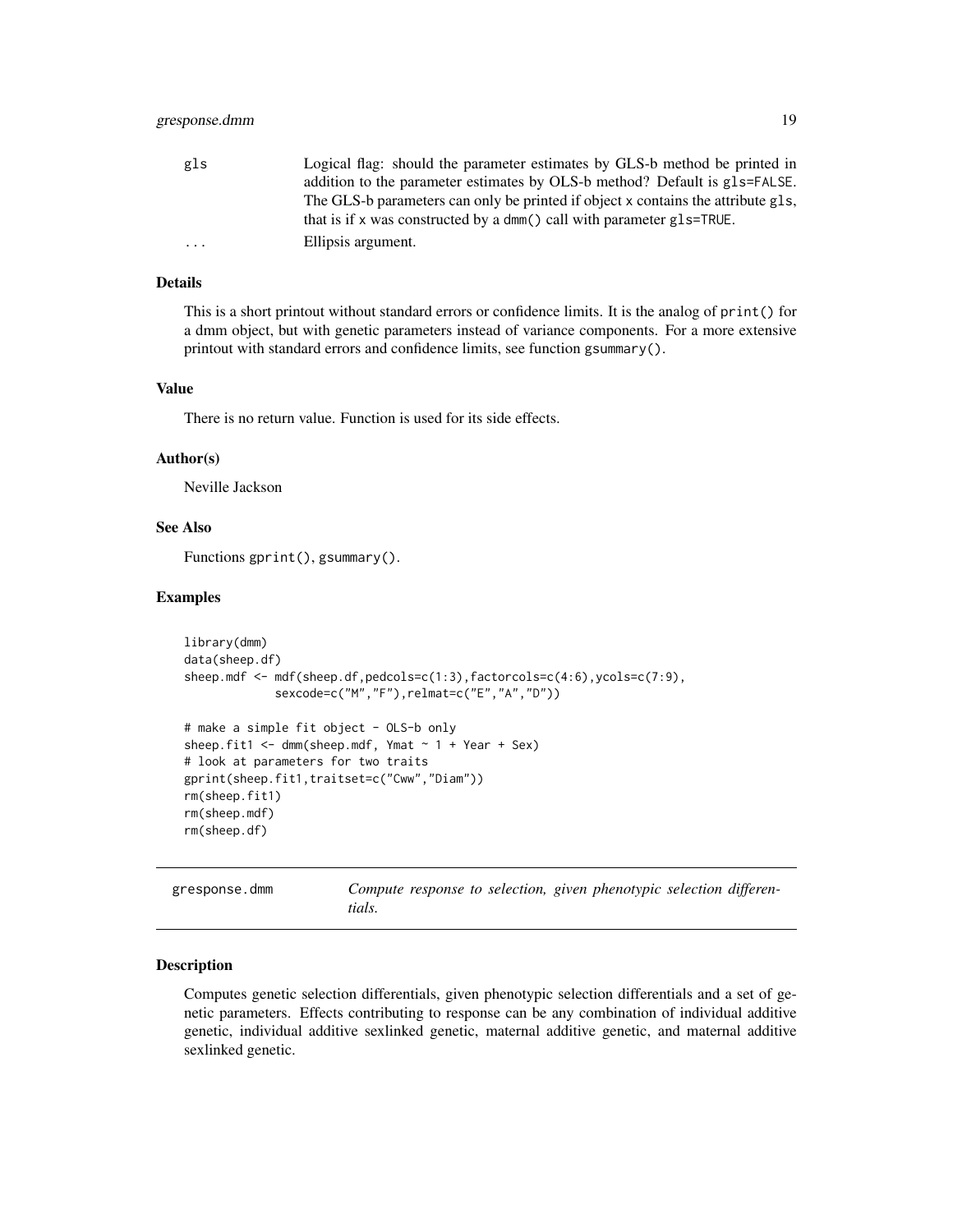<span id="page-18-0"></span>

| gls       | Logical flag: should the parameter estimates by GLS-b method be printed in       |
|-----------|----------------------------------------------------------------------------------|
|           | addition to the parameter estimates by OLS-b method? Default is gls=FALSE.       |
|           | The GLS-b parameters can only be printed if object x contains the attribute gls, |
|           | that is if x was constructed by a dmm() call with parameter $g1s$ =TRUE.         |
| $\ddotsc$ | Ellipsis argument.                                                               |

# Details

This is a short printout without standard errors or confidence limits. It is the analog of print() for a dmm object, but with genetic parameters instead of variance components. For a more extensive printout with standard errors and confidence limits, see function gsummary().

#### Value

There is no return value. Function is used for its side effects.

#### Author(s)

Neville Jackson

# See Also

Functions gprint(), gsummary().

# Examples

```
library(dmm)
data(sheep.df)
sheep.mdf <- mdf(sheep.df,pedcols=c(1:3),factorcols=c(4:6),ycols=c(7:9),
             sexcode=c("M","F"),relmat=c("E","A","D"))
# make a simple fit object - OLS-b only
sheep.fit1 <- dmm(sheep.mdf, Ymat ~ 1 + Year + Sex)# look at parameters for two traits
gprint(sheep.fit1,traitset=c("Cww","Diam"))
rm(sheep.fit1)
rm(sheep.mdf)
rm(sheep.df)
```
gresponse.dmm *Compute response to selection, given phenotypic selection differentials.*

#### Description

Computes genetic selection differentials, given phenotypic selection differentials and a set of genetic parameters. Effects contributing to response can be any combination of individual additive genetic, individual additive sexlinked genetic, maternal additive genetic, and maternal additive sexlinked genetic.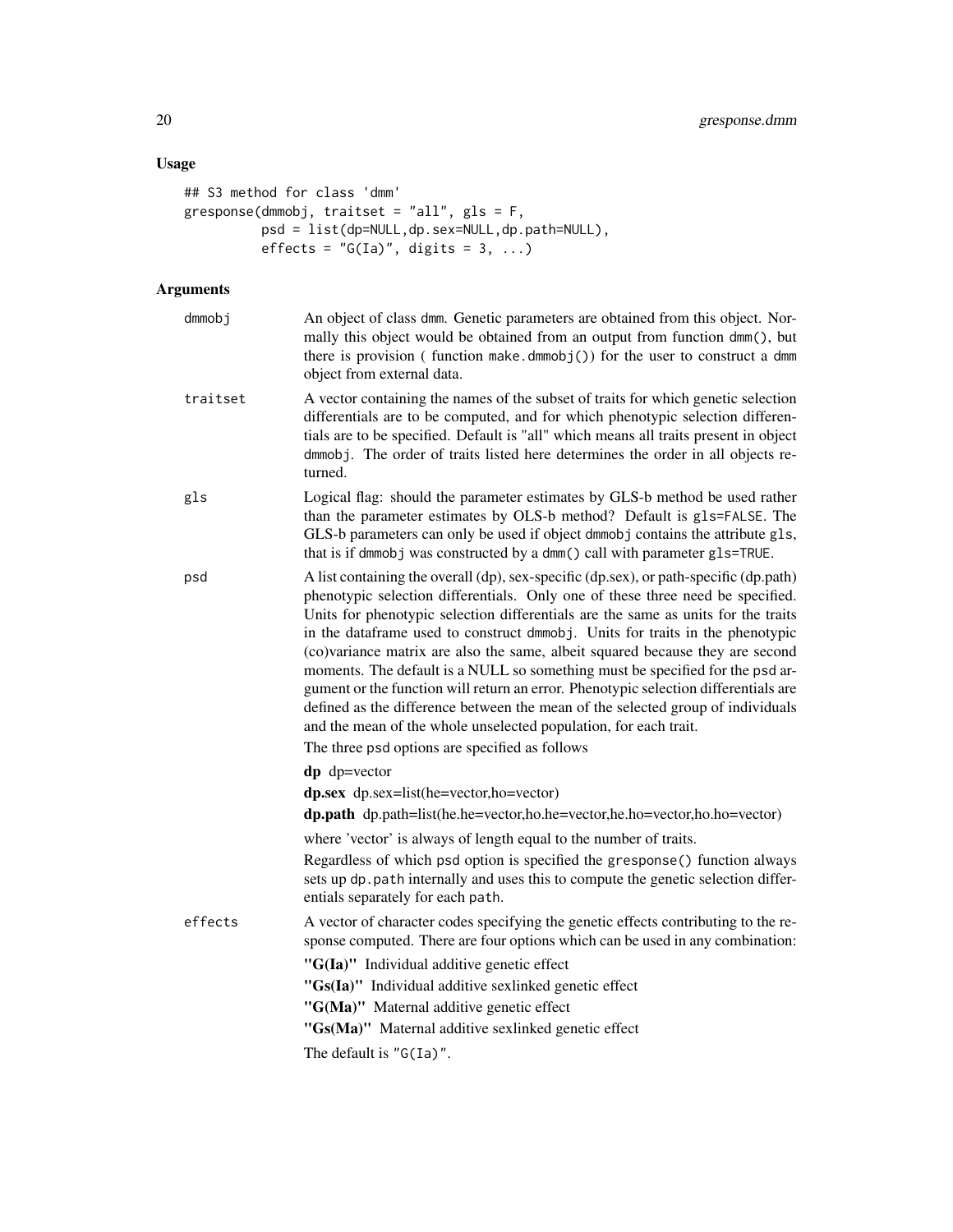# Usage

```
## S3 method for class 'dmm'
gresponse(dmmobj, traitset = "all", gls = F,
            psd = list(dp=NULL,dp.sex=NULL,dp.path=NULL),
           effects = ^{\prime\prime}G(Ia)^{\prime\prime}, digits = 3, ...)
```
# Arguments

| dmmobj   | An object of class dmm. Genetic parameters are obtained from this object. Nor-<br>mally this object would be obtained from an output from function dmm(), but<br>there is provision (function make.dmmobj()) for the user to construct a dmm<br>object from external data.                                                                                                                                                                                                                                                                                                                                                                                                                                                                                    |
|----------|---------------------------------------------------------------------------------------------------------------------------------------------------------------------------------------------------------------------------------------------------------------------------------------------------------------------------------------------------------------------------------------------------------------------------------------------------------------------------------------------------------------------------------------------------------------------------------------------------------------------------------------------------------------------------------------------------------------------------------------------------------------|
| traitset | A vector containing the names of the subset of traits for which genetic selection<br>differentials are to be computed, and for which phenotypic selection differen-<br>tials are to be specified. Default is "all" which means all traits present in object<br>dmmobj. The order of traits listed here determines the order in all objects re-<br>turned.                                                                                                                                                                                                                                                                                                                                                                                                     |
| gls      | Logical flag: should the parameter estimates by GLS-b method be used rather<br>than the parameter estimates by OLS-b method? Default is gls=FALSE. The<br>GLS-b parameters can only be used if object dmmobj contains the attribute gls,<br>that is if dmmobj was constructed by a dmm() call with parameter gls=TRUE.                                                                                                                                                                                                                                                                                                                                                                                                                                        |
| psd      | A list containing the overall (dp), sex-specific (dp.sex), or path-specific (dp.path)<br>phenotypic selection differentials. Only one of these three need be specified.<br>Units for phenotypic selection differentials are the same as units for the traits<br>in the dataframe used to construct dmmobj. Units for traits in the phenotypic<br>(co)variance matrix are also the same, albeit squared because they are second<br>moments. The default is a NULL so something must be specified for the psd ar-<br>gument or the function will return an error. Phenotypic selection differentials are<br>defined as the difference between the mean of the selected group of individuals<br>and the mean of the whole unselected population, for each trait. |
|          | The three psd options are specified as follows                                                                                                                                                                                                                                                                                                                                                                                                                                                                                                                                                                                                                                                                                                                |
|          | $dp$ dp=vector                                                                                                                                                                                                                                                                                                                                                                                                                                                                                                                                                                                                                                                                                                                                                |
|          | dp.sex dp.sex=list(he=vector,ho=vector)                                                                                                                                                                                                                                                                                                                                                                                                                                                                                                                                                                                                                                                                                                                       |
|          | dp.path dp.path=list(he.he=vector,ho.he=vector,he.ho=vector,ho.ho=vector)                                                                                                                                                                                                                                                                                                                                                                                                                                                                                                                                                                                                                                                                                     |
|          | where 'vector' is always of length equal to the number of traits.                                                                                                                                                                                                                                                                                                                                                                                                                                                                                                                                                                                                                                                                                             |
|          | Regardless of which psd option is specified the gresponse() function always<br>sets up dp. path internally and uses this to compute the genetic selection differ-<br>entials separately for each path.                                                                                                                                                                                                                                                                                                                                                                                                                                                                                                                                                        |
| effects  | A vector of character codes specifying the genetic effects contributing to the re-<br>sponse computed. There are four options which can be used in any combination:                                                                                                                                                                                                                                                                                                                                                                                                                                                                                                                                                                                           |
|          | "G(Ia)" Individual additive genetic effect                                                                                                                                                                                                                                                                                                                                                                                                                                                                                                                                                                                                                                                                                                                    |
|          | "Gs(Ia)" Individual additive sexlinked genetic effect                                                                                                                                                                                                                                                                                                                                                                                                                                                                                                                                                                                                                                                                                                         |
|          | "G(Ma)" Maternal additive genetic effect                                                                                                                                                                                                                                                                                                                                                                                                                                                                                                                                                                                                                                                                                                                      |
|          | "Gs(Ma)" Maternal additive sexlinked genetic effect                                                                                                                                                                                                                                                                                                                                                                                                                                                                                                                                                                                                                                                                                                           |
|          | The default is $"G(Ia)"$ .                                                                                                                                                                                                                                                                                                                                                                                                                                                                                                                                                                                                                                                                                                                                    |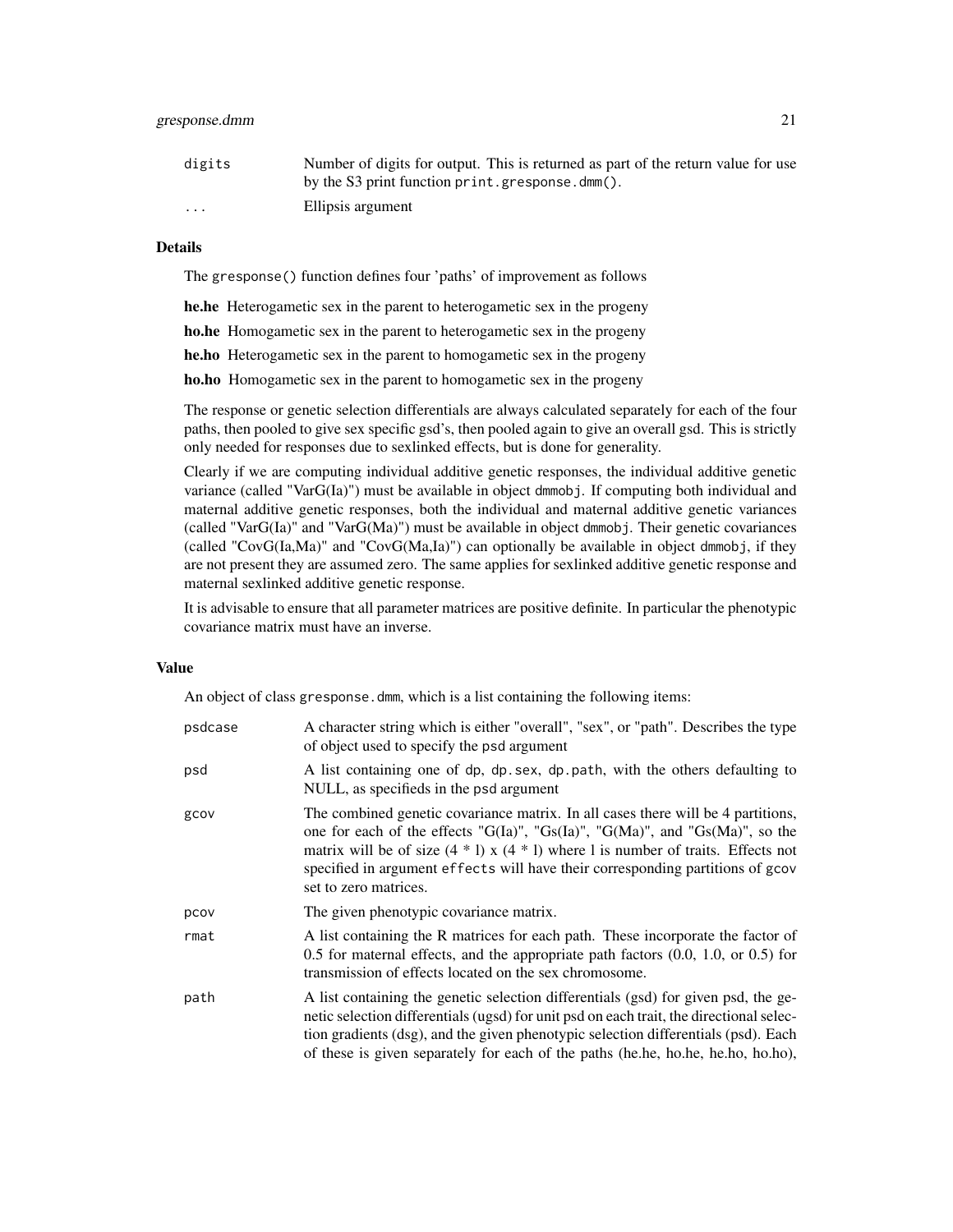#### gresponse.dmm 21

| digits                  | Number of digits for output. This is returned as part of the return value for use |
|-------------------------|-----------------------------------------------------------------------------------|
|                         | by the S3 print function print.gresponse.dmm().                                   |
| $\cdot$ $\cdot$ $\cdot$ | Ellipsis argument                                                                 |

# Details

The gresponse() function defines four 'paths' of improvement as follows

he.he Heterogametic sex in the parent to heterogametic sex in the progeny

ho.he Homogametic sex in the parent to heterogametic sex in the progeny

he.ho Heterogametic sex in the parent to homogametic sex in the progeny

ho.ho Homogametic sex in the parent to homogametic sex in the progeny

The response or genetic selection differentials are always calculated separately for each of the four paths, then pooled to give sex specific gsd's, then pooled again to give an overall gsd. This is strictly only needed for responses due to sexlinked effects, but is done for generality.

Clearly if we are computing individual additive genetic responses, the individual additive genetic variance (called "VarG(Ia)") must be available in object dmmobj. If computing both individual and maternal additive genetic responses, both the individual and maternal additive genetic variances (called "VarG(Ia)" and "VarG(Ma)") must be available in object dmmobj. Their genetic covariances (called "CovG(Ia,Ma)" and "CovG(Ma,Ia)") can optionally be available in object dmmobj, if they are not present they are assumed zero. The same applies for sexlinked additive genetic response and maternal sexlinked additive genetic response.

It is advisable to ensure that all parameter matrices are positive definite. In particular the phenotypic covariance matrix must have an inverse.

# Value

An object of class gresponse.dmm, which is a list containing the following items:

| psdcase | A character string which is either "overall", "sex", or "path". Describes the type<br>of object used to specify the psd argument                                                                                                                                                                                                                                                     |
|---------|--------------------------------------------------------------------------------------------------------------------------------------------------------------------------------------------------------------------------------------------------------------------------------------------------------------------------------------------------------------------------------------|
| psd     | A list containing one of dp, dp. sex, dp. path, with the others defaulting to<br>NULL, as specifieds in the psd argument                                                                                                                                                                                                                                                             |
| gcov    | The combined genetic covariance matrix. In all cases there will be 4 partitions,<br>one for each of the effects " $G(Ia)$ ", " $Gs(Ia)$ ", " $G(Ma)$ ", and " $Gs(Ma)$ ", so the<br>matrix will be of size $(4 * 1)$ x $(4 * 1)$ where 1 is number of traits. Effects not<br>specified in argument effects will have their corresponding partitions of gcov<br>set to zero matrices. |
| pcov    | The given phenotypic covariance matrix.                                                                                                                                                                                                                                                                                                                                              |
| rmat    | A list containing the R matrices for each path. These incorporate the factor of<br>$0.5$ for maternal effects, and the appropriate path factors $(0.0, 1.0, \text{or } 0.5)$ for<br>transmission of effects located on the sex chromosome.                                                                                                                                           |
| path    | A list containing the genetic selection differentials (gsd) for given psd, the ge-<br>netic selection differentials (ugsd) for unit psd on each trait, the directional selec-<br>tion gradients (dsg), and the given phenotypic selection differentials (psd). Each<br>of these is given separately for each of the paths (he.he, ho.he, he.ho, ho.ho),                              |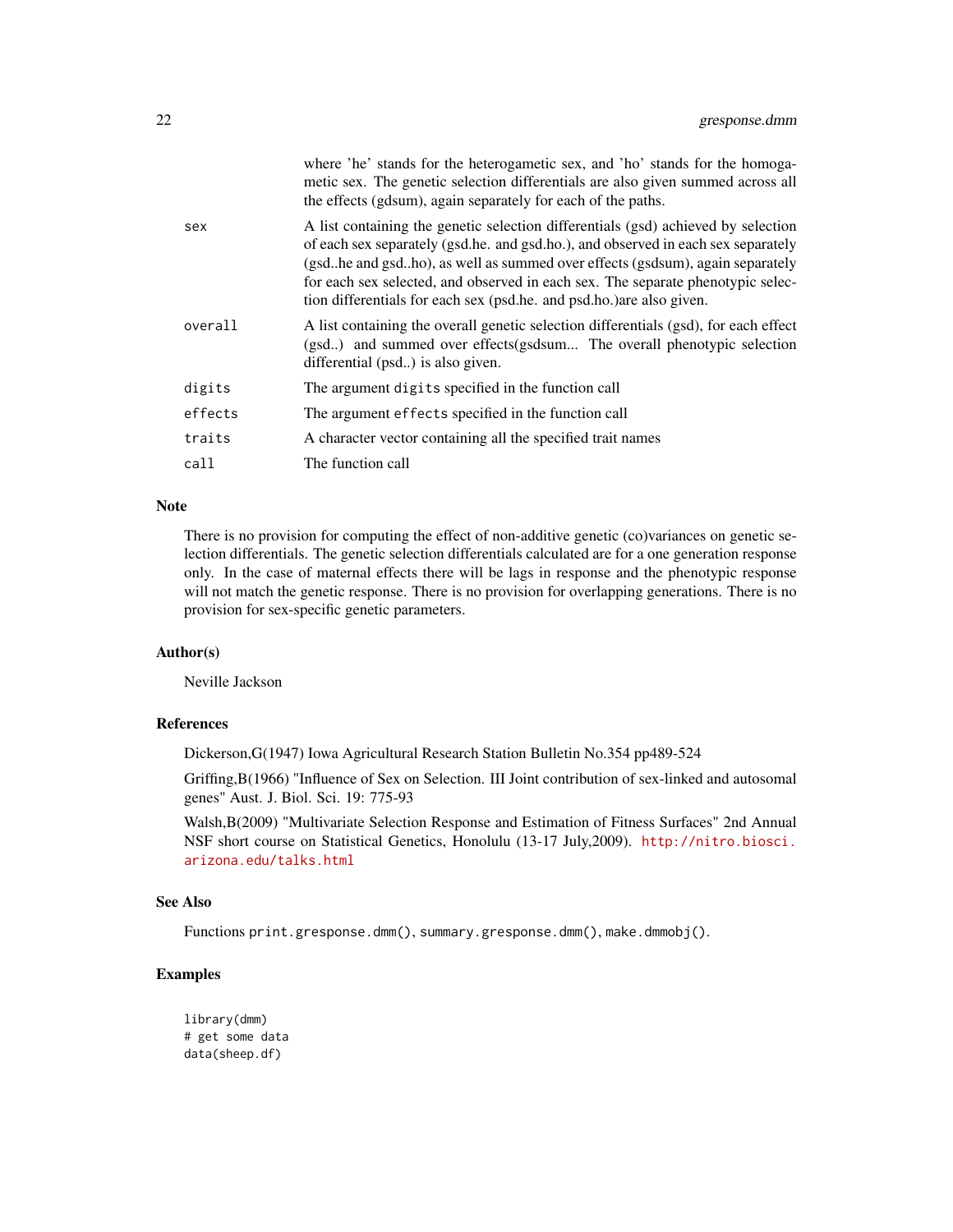|         | where 'he' stands for the heterogametic sex, and 'ho' stands for the homoga-<br>metic sex. The genetic selection differentials are also given summed across all<br>the effects (gdsum), again separately for each of the paths.                                                                                                                                                                                    |
|---------|--------------------------------------------------------------------------------------------------------------------------------------------------------------------------------------------------------------------------------------------------------------------------------------------------------------------------------------------------------------------------------------------------------------------|
| sex     | A list containing the genetic selection differentials (gsd) achieved by selection<br>of each sex separately (gsd.he. and gsd.ho.), and observed in each sex separately<br>(gsdhe and gsdho), as well as summed over effects (gsdsum), again separately<br>for each sex selected, and observed in each sex. The separate phenotypic selec-<br>tion differentials for each sex (psd.he. and psd.ho.) are also given. |
| overall | A list containing the overall genetic selection differentials (gsd), for each effect<br>(gsd) and summed over effects(gsdsum The overall phenotypic selection<br>differential (psd) is also given.                                                                                                                                                                                                                 |
| digits  | The argument digits specified in the function call                                                                                                                                                                                                                                                                                                                                                                 |
| effects | The argument effects specified in the function call                                                                                                                                                                                                                                                                                                                                                                |
| traits  | A character vector containing all the specified trait names                                                                                                                                                                                                                                                                                                                                                        |
| call    | The function call                                                                                                                                                                                                                                                                                                                                                                                                  |
|         |                                                                                                                                                                                                                                                                                                                                                                                                                    |

# Note

There is no provision for computing the effect of non-additive genetic (co)variances on genetic selection differentials. The genetic selection differentials calculated are for a one generation response only. In the case of maternal effects there will be lags in response and the phenotypic response will not match the genetic response. There is no provision for overlapping generations. There is no provision for sex-specific genetic parameters.

# Author(s)

Neville Jackson

# References

Dickerson,G(1947) Iowa Agricultural Research Station Bulletin No.354 pp489-524

Griffing,B(1966) "Influence of Sex on Selection. III Joint contribution of sex-linked and autosomal genes" Aust. J. Biol. Sci. 19: 775-93

Walsh,B(2009) "Multivariate Selection Response and Estimation of Fitness Surfaces" 2nd Annual NSF short course on Statistical Genetics, Honolulu (13-17 July,2009). [http://nitro.biosci.](http://nitro.biosci.arizona.edu/talks.html) [arizona.edu/talks.html](http://nitro.biosci.arizona.edu/talks.html)

# See Also

Functions print.gresponse.dmm(), summary.gresponse.dmm(), make.dmmobj().

```
library(dmm)
# get some data
data(sheep.df)
```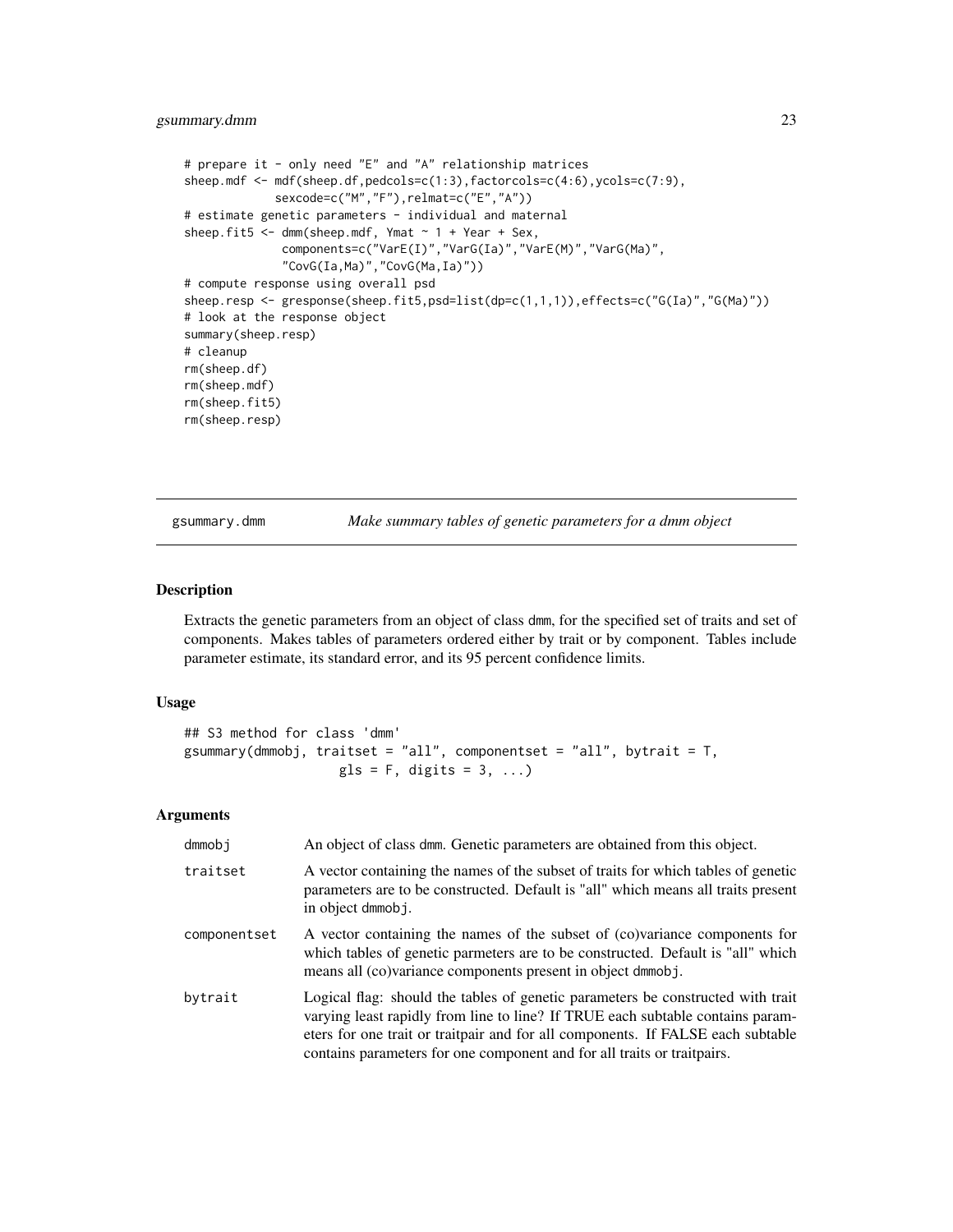```
# prepare it - only need "E" and "A" relationship matrices
sheep.mdf <- mdf(sheep.df,pedcols=c(1:3),factorcols=c(4:6),ycols=c(7:9),
             sexcode=c("M","F"),relmat=c("E","A"))
# estimate genetic parameters - individual and maternal
sheep.fit5 \leq dmm(sheep.mdf, Ymat \sim 1 + Year + Sex,
              components=c("VarE(I)","VarG(Ia)","VarE(M)","VarG(Ma)",
              "CovG(Ia,Ma)","CovG(Ma,Ia)"))
# compute response using overall psd
sheep.resp <- gresponse(sheep.fit5,psd=list(dp=c(1,1,1)),effects=c("G(Ia)","G(Ma)"))
# look at the response object
summary(sheep.resp)
# cleanup
rm(sheep.df)
rm(sheep.mdf)
rm(sheep.fit5)
rm(sheep.resp)
```
gsummary.dmm *Make summary tables of genetic parameters for a dmm object*

#### Description

Extracts the genetic parameters from an object of class dmm, for the specified set of traits and set of components. Makes tables of parameters ordered either by trait or by component. Tables include parameter estimate, its standard error, and its 95 percent confidence limits.

#### Usage

## S3 method for class 'dmm' gsummary(dmmobj, traitset = "all", componentset = "all", bytrait =  $T$ ,  $gls = F$ , digits = 3, ...)

#### Arguments

| dmmobi       | An object of class dmm. Genetic parameters are obtained from this object.                                                                                                                                                                                                                                                       |
|--------------|---------------------------------------------------------------------------------------------------------------------------------------------------------------------------------------------------------------------------------------------------------------------------------------------------------------------------------|
| traitset     | A vector containing the names of the subset of traits for which tables of genetic<br>parameters are to be constructed. Default is "all" which means all traits present<br>in object dmmobj.                                                                                                                                     |
| componentset | A vector containing the names of the subset of (co)variance components for<br>which tables of genetic parmeters are to be constructed. Default is "all" which<br>means all (co)variance components present in object dmmob j.                                                                                                   |
| bytrait      | Logical flag: should the tables of genetic parameters be constructed with trait<br>varying least rapidly from line to line? If TRUE each subtable contains param-<br>eters for one trait or traitpair and for all components. If FALSE each subtable<br>contains parameters for one component and for all traits or traitpairs. |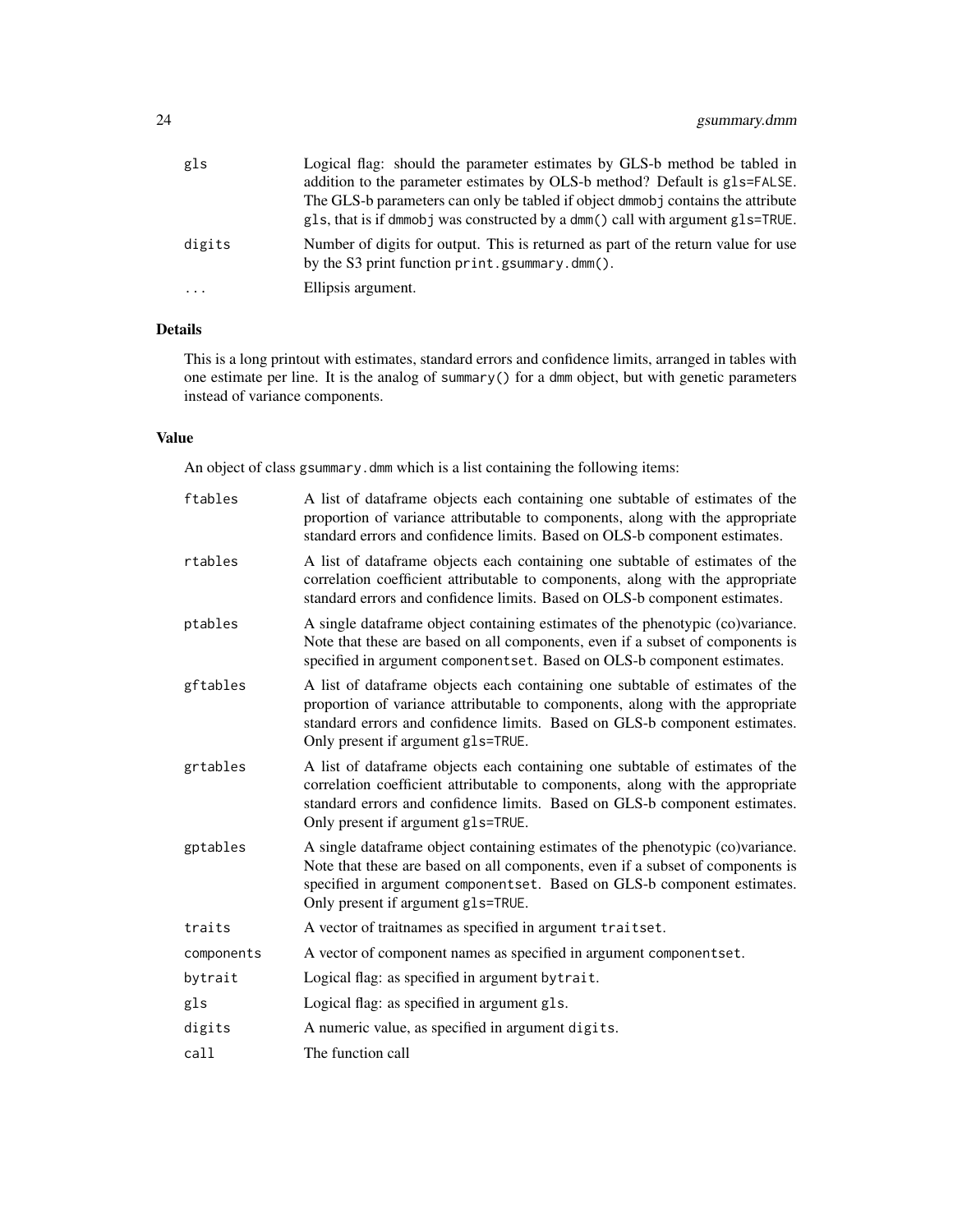| gls    | Logical flag: should the parameter estimates by GLS-b method be tabled in                                                           |
|--------|-------------------------------------------------------------------------------------------------------------------------------------|
|        | addition to the parameter estimates by OLS-b method? Default is gls=FALSE.                                                          |
|        | The GLS-b parameters can only be tabled if object dmmob j contains the attribute                                                    |
|        | gls, that is if dmmobj was constructed by a dmm() call with argument gls=TRUE.                                                      |
| digits | Number of digits for output. This is returned as part of the return value for use<br>by the S3 print function print.gsummary.dmm(). |
| .      | Ellipsis argument.                                                                                                                  |

# Details

This is a long printout with estimates, standard errors and confidence limits, arranged in tables with one estimate per line. It is the analog of summary() for a dmm object, but with genetic parameters instead of variance components.

# Value

An object of class gsummary.dmm which is a list containing the following items:

| A list of dataframe objects each containing one subtable of estimates of the<br>proportion of variance attributable to components, along with the appropriate<br>standard errors and confidence limits. Based on OLS-b component estimates.                                        |
|------------------------------------------------------------------------------------------------------------------------------------------------------------------------------------------------------------------------------------------------------------------------------------|
| A list of dataframe objects each containing one subtable of estimates of the<br>correlation coefficient attributable to components, along with the appropriate<br>standard errors and confidence limits. Based on OLS-b component estimates.                                       |
| A single dataframe object containing estimates of the phenotypic (co)variance.<br>Note that these are based on all components, even if a subset of components is<br>specified in argument componentset. Based on OLS-b component estimates.                                        |
| A list of dataframe objects each containing one subtable of estimates of the<br>proportion of variance attributable to components, along with the appropriate<br>standard errors and confidence limits. Based on GLS-b component estimates.<br>Only present if argument g1s=TRUE.  |
| A list of dataframe objects each containing one subtable of estimates of the<br>correlation coefficient attributable to components, along with the appropriate<br>standard errors and confidence limits. Based on GLS-b component estimates.<br>Only present if argument g1s=TRUE. |
| A single dataframe object containing estimates of the phenotypic (co)variance.<br>Note that these are based on all components, even if a subset of components is<br>specified in argument componentset. Based on GLS-b component estimates.<br>Only present if argument g1s=TRUE.  |
| A vector of traitnames as specified in argument traitset.                                                                                                                                                                                                                          |
| A vector of component names as specified in argument componentset.                                                                                                                                                                                                                 |
| Logical flag: as specified in argument by trait.                                                                                                                                                                                                                                   |
| Logical flag: as specified in argument g1s.                                                                                                                                                                                                                                        |
| A numeric value, as specified in argument digits.                                                                                                                                                                                                                                  |
| The function call                                                                                                                                                                                                                                                                  |
|                                                                                                                                                                                                                                                                                    |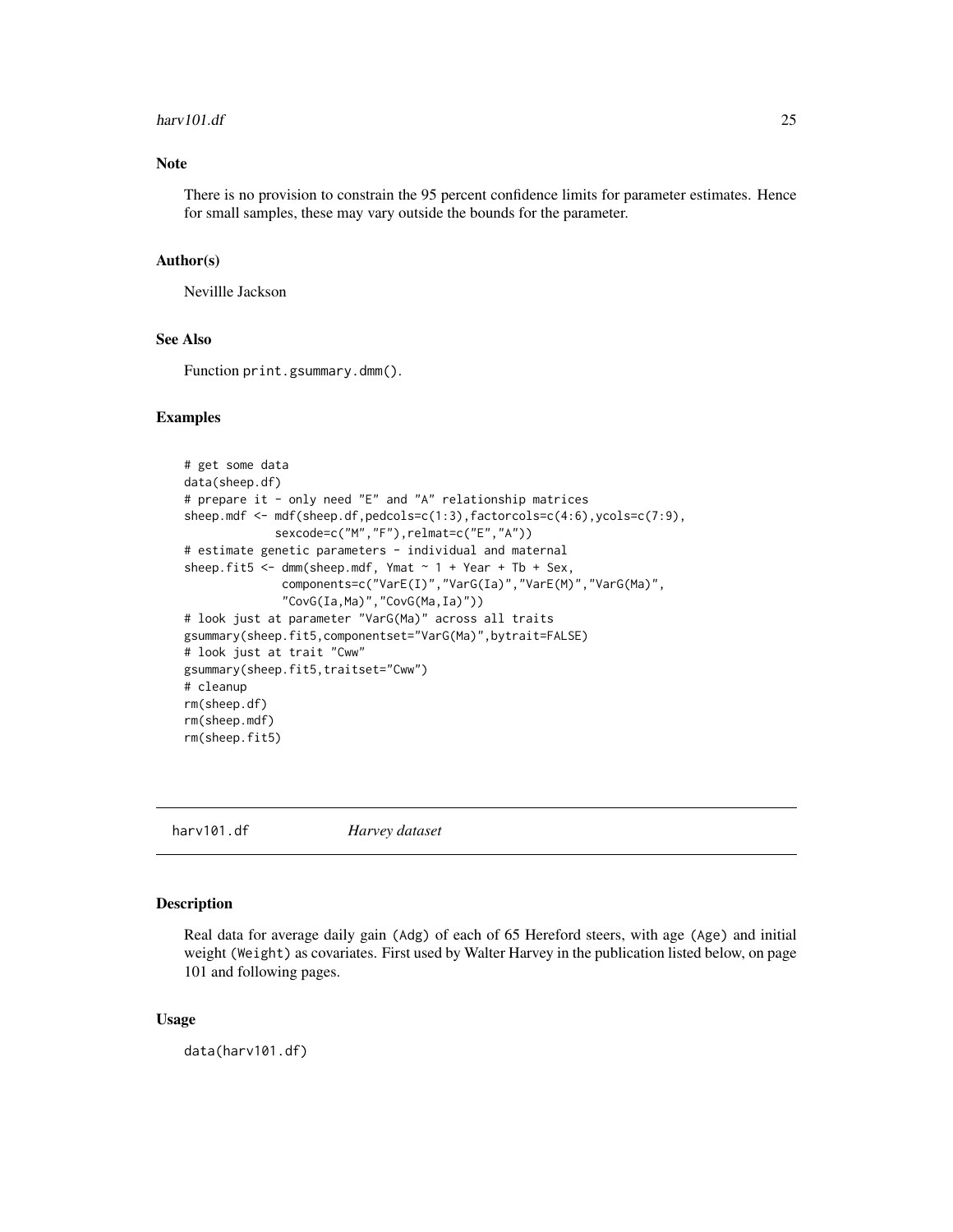#### <span id="page-24-0"></span>harv101.df 25

# Note

There is no provision to constrain the 95 percent confidence limits for parameter estimates. Hence for small samples, these may vary outside the bounds for the parameter.

#### Author(s)

Nevillle Jackson

# See Also

Function print.gsummary.dmm().

# Examples

```
# get some data
data(sheep.df)
# prepare it - only need "E" and "A" relationship matrices
sheep.mdf <- mdf(sheep.df,pedcols=c(1:3),factorcols=c(4:6),ycols=c(7:9),
             sexcode=c("M","F"),relmat=c("E","A"))
# estimate genetic parameters - individual and maternal
sheep.fit5 <- dmm(sheep.mdf, Ymat \sim 1 + Year + Tb + Sex,
              components=c("VarE(I)","VarG(Ia)","VarE(M)","VarG(Ma)",
              "CovG(Ia,Ma)","CovG(Ma,Ia)"))
# look just at parameter "VarG(Ma)" across all traits
gsummary(sheep.fit5,componentset="VarG(Ma)",bytrait=FALSE)
# look just at trait "Cww"
gsummary(sheep.fit5,traitset="Cww")
# cleanup
rm(sheep.df)
rm(sheep.mdf)
rm(sheep.fit5)
```
harv101.df *Harvey dataset*

# Description

Real data for average daily gain (Adg) of each of 65 Hereford steers, with age (Age) and initial weight (Weight) as covariates. First used by Walter Harvey in the publication listed below, on page 101 and following pages.

#### Usage

data(harv101.df)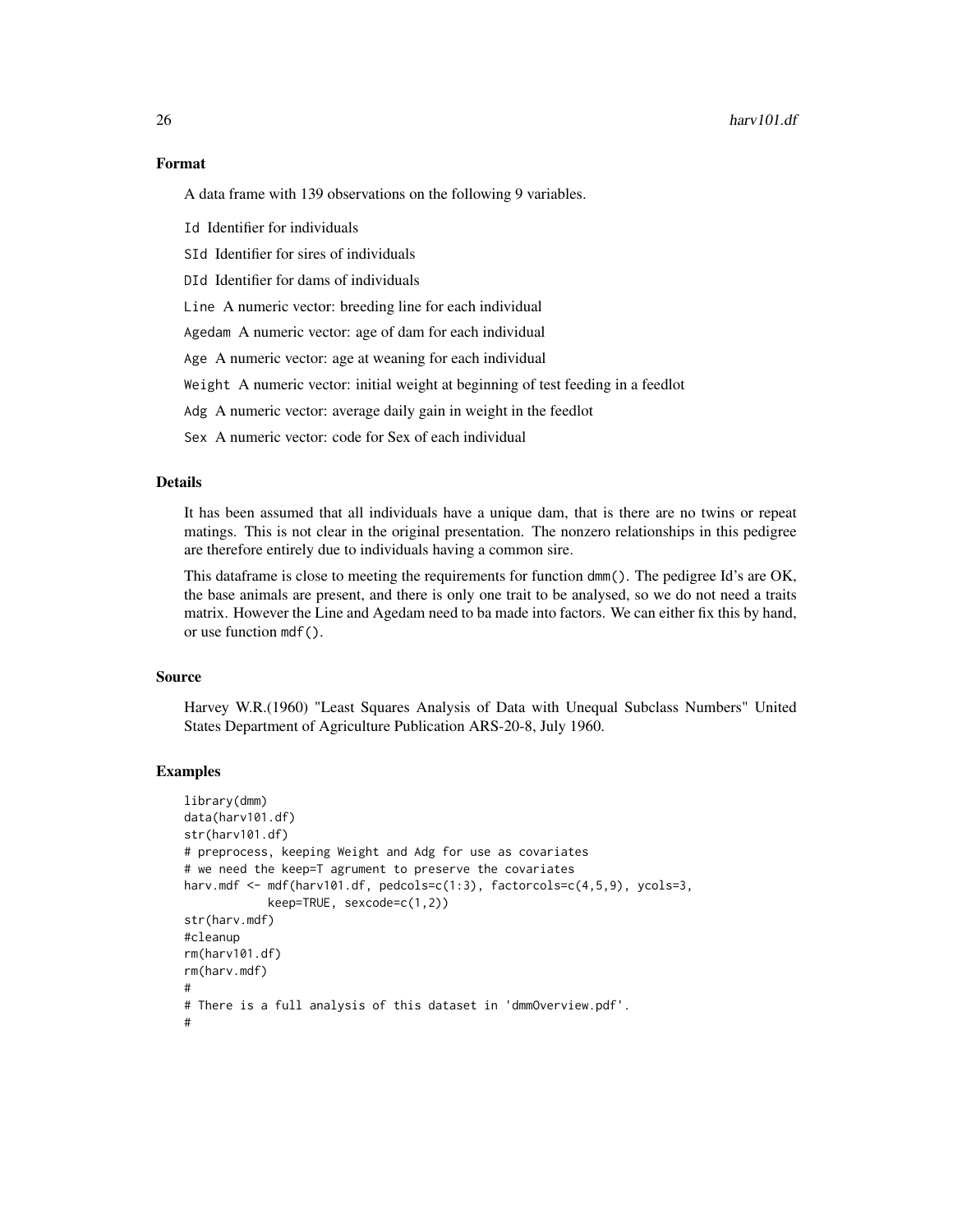A data frame with 139 observations on the following 9 variables.

Id Identifier for individuals

SId Identifier for sires of individuals

DId Identifier for dams of individuals

Line A numeric vector: breeding line for each individual

Agedam A numeric vector: age of dam for each individual

Age A numeric vector: age at weaning for each individual

Weight A numeric vector: initial weight at beginning of test feeding in a feedlot

Adg A numeric vector: average daily gain in weight in the feedlot

Sex A numeric vector: code for Sex of each individual

#### Details

It has been assumed that all individuals have a unique dam, that is there are no twins or repeat matings. This is not clear in the original presentation. The nonzero relationships in this pedigree are therefore entirely due to individuals having a common sire.

This dataframe is close to meeting the requirements for function dmm(). The pedigree Id's are OK, the base animals are present, and there is only one trait to be analysed, so we do not need a traits matrix. However the Line and Agedam need to ba made into factors. We can either fix this by hand, or use function mdf().

#### Source

Harvey W.R.(1960) "Least Squares Analysis of Data with Unequal Subclass Numbers" United States Department of Agriculture Publication ARS-20-8, July 1960.

```
library(dmm)
data(harv101.df)
str(harv101.df)
# preprocess, keeping Weight and Adg for use as covariates
# we need the keep=T agrument to preserve the covariates
harv.mdf <- mdf(harv101.df, pedcols=c(1:3), factorcols=c(4,5,9), ycols=3,
            keep=TRUE, sexcode=c(1,2))
str(harv.mdf)
#cleanup
rm(harv101.df)
rm(harv.mdf)
#
# There is a full analysis of this dataset in 'dmmOverview.pdf'.
#
```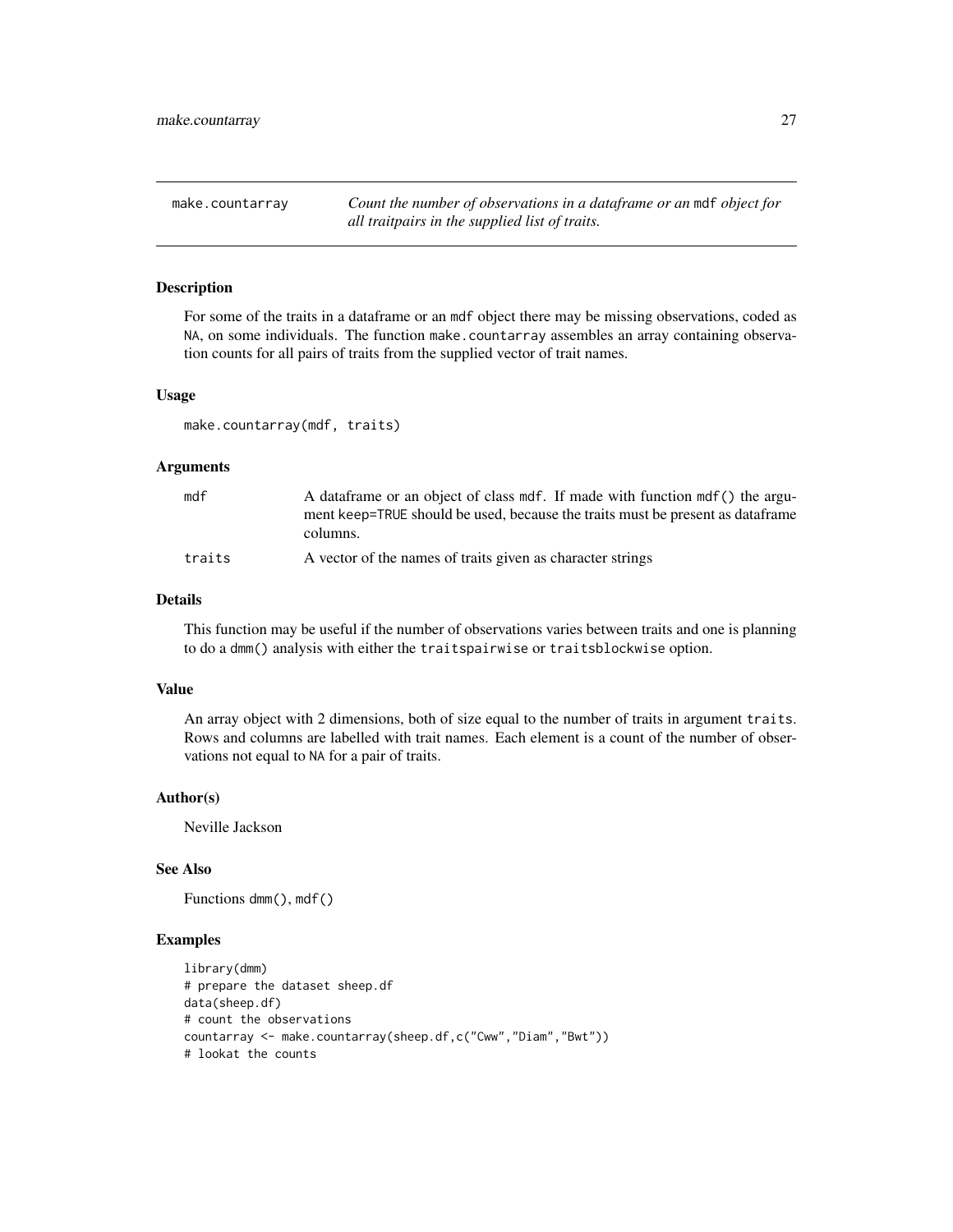<span id="page-26-0"></span>make.countarray *Count the number of observations in a dataframe or an* mdf *object for all traitpairs in the supplied list of traits.*

#### Description

For some of the traits in a dataframe or an mdf object there may be missing observations, coded as NA, on some individuals. The function make.countarray assembles an array containing observation counts for all pairs of traits from the supplied vector of trait names.

#### Usage

make.countarray(mdf, traits)

#### Arguments

| mdf    | A data frame or an object of class mdf. If made with function mdf () the argu-  |
|--------|---------------------------------------------------------------------------------|
|        | ment keep=TRUE should be used, because the traits must be present as data frame |
|        | columns.                                                                        |
| traits | A vector of the names of traits given as character strings                      |

# Details

This function may be useful if the number of observations varies between traits and one is planning to do a dmm() analysis with either the traitspairwise or traitsblockwise option.

#### Value

An array object with 2 dimensions, both of size equal to the number of traits in argument traits. Rows and columns are labelled with trait names. Each element is a count of the number of observations not equal to NA for a pair of traits.

# Author(s)

Neville Jackson

# See Also

Functions dmm(), mdf()

```
library(dmm)
# prepare the dataset sheep.df
data(sheep.df)
# count the observations
countarray <- make.countarray(sheep.df,c("Cww","Diam","Bwt"))
# lookat the counts
```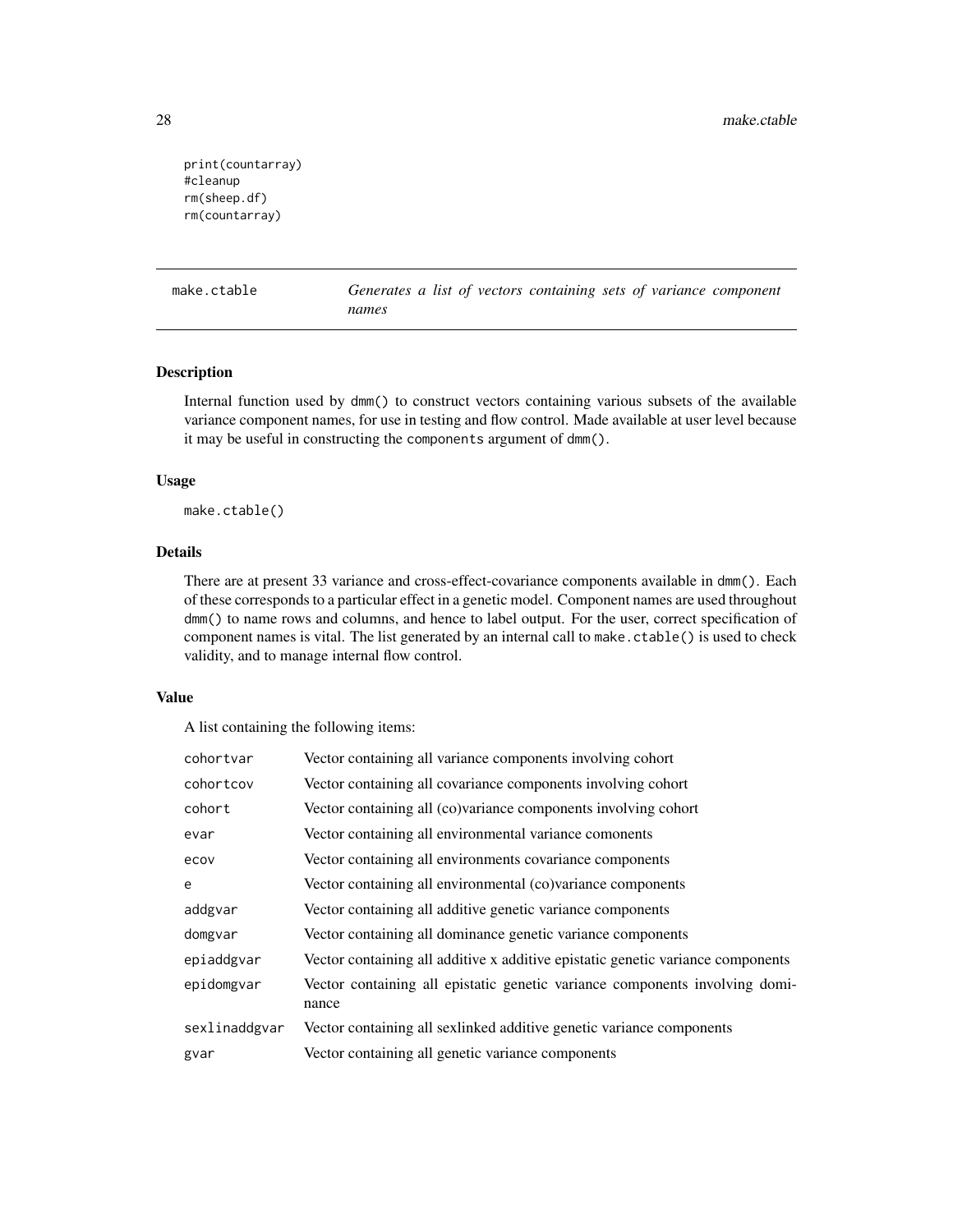```
print(countarray)
#cleanup
rm(sheep.df)
rm(countarray)
```
make.ctable *Generates a list of vectors containing sets of variance component names*

# Description

Internal function used by dmm() to construct vectors containing various subsets of the available variance component names, for use in testing and flow control. Made available at user level because it may be useful in constructing the components argument of dmm().

#### Usage

make.ctable()

# Details

There are at present 33 variance and cross-effect-covariance components available in dmm(). Each of these corresponds to a particular effect in a genetic model. Component names are used throughout dmm() to name rows and columns, and hence to label output. For the user, correct specification of component names is vital. The list generated by an internal call to make.ctable() is used to check validity, and to manage internal flow control.

#### Value

A list containing the following items:

| cohortvar     | Vector containing all variance components involving cohort                           |
|---------------|--------------------------------------------------------------------------------------|
| cohortcov     | Vector containing all covariance components involving cohort                         |
| cohort        | Vector containing all (co)variance components involving cohort                       |
| evar          | Vector containing all environmental variance comonents                               |
| ecov          | Vector containing all environments covariance components                             |
| e             | Vector containing all environmental (co)variance components                          |
| addgvar       | Vector containing all additive genetic variance components                           |
| domgvar       | Vector containing all dominance genetic variance components                          |
| epiaddgvar    | Vector containing all additive x additive epistatic genetic variance components      |
| epidomgvar    | Vector containing all epistatic genetic variance components involving domi-<br>nance |
| sexlinaddgvar | Vector containing all sexlinked additive genetic variance components                 |
| gvar          | Vector containing all genetic variance components                                    |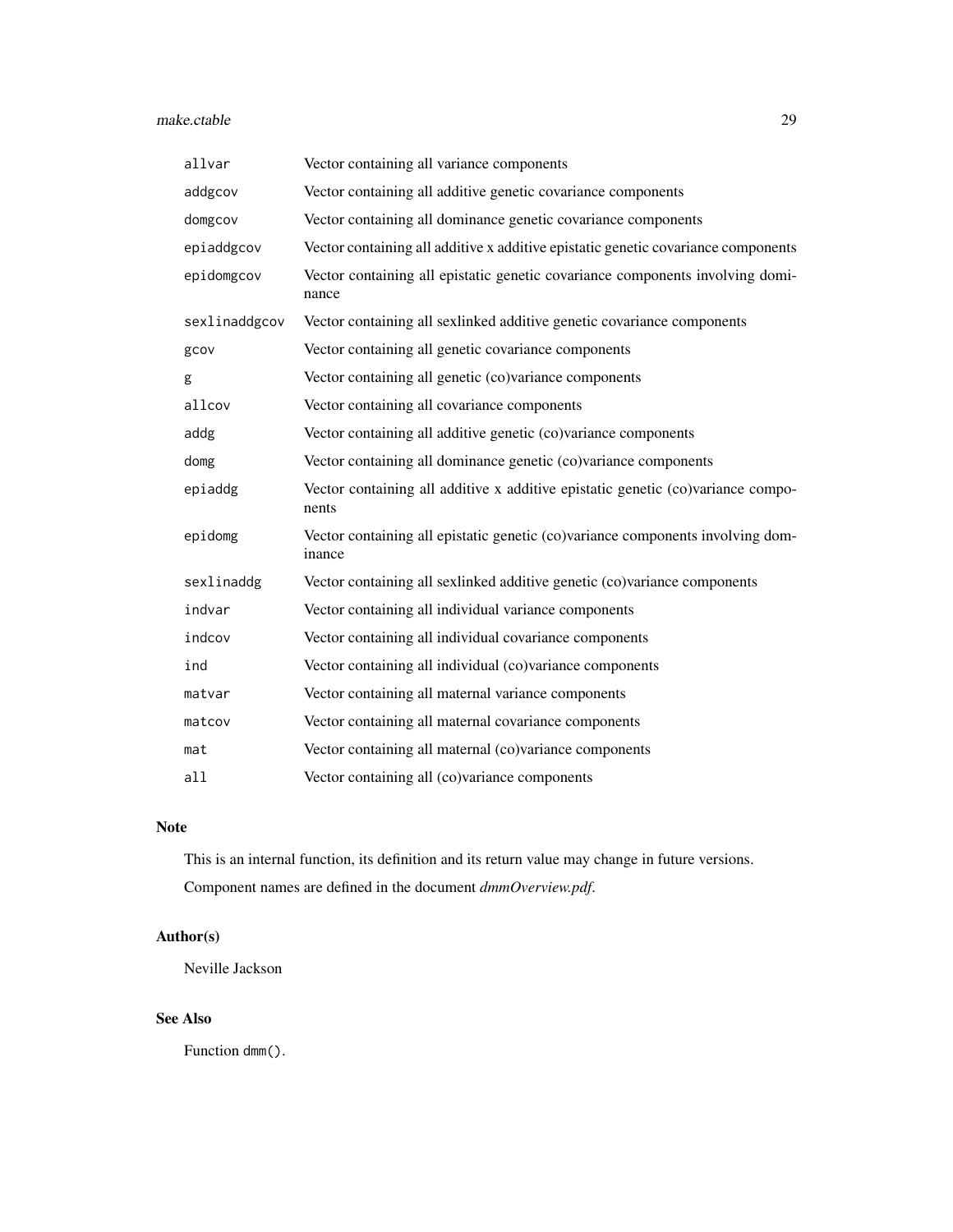#### make.ctable 29

| Vector containing all variance components                                                |
|------------------------------------------------------------------------------------------|
| Vector containing all additive genetic covariance components                             |
| Vector containing all dominance genetic covariance components                            |
| Vector containing all additive x additive epistatic genetic covariance components        |
| Vector containing all epistatic genetic covariance components involving domi-<br>nance   |
| Vector containing all sexlinked additive genetic covariance components                   |
| Vector containing all genetic covariance components                                      |
| Vector containing all genetic (co)variance components                                    |
| Vector containing all covariance components                                              |
| Vector containing all additive genetic (co)variance components                           |
| Vector containing all dominance genetic (co)variance components                          |
| Vector containing all additive x additive epistatic genetic (co)variance compo-<br>nents |
| Vector containing all epistatic genetic (co)variance components involving dom-<br>inance |
| Vector containing all sexlinked additive genetic (co)variance components                 |
| Vector containing all individual variance components                                     |
| Vector containing all individual covariance components                                   |
| Vector containing all individual (co)variance components                                 |
| Vector containing all maternal variance components                                       |
| Vector containing all maternal covariance components                                     |
| Vector containing all maternal (co)variance components                                   |
| Vector containing all (co)variance components                                            |
|                                                                                          |

# Note

This is an internal function, its definition and its return value may change in future versions. Component names are defined in the document *dmmOverview.pdf*.

# Author(s)

Neville Jackson

# See Also

Function dmm().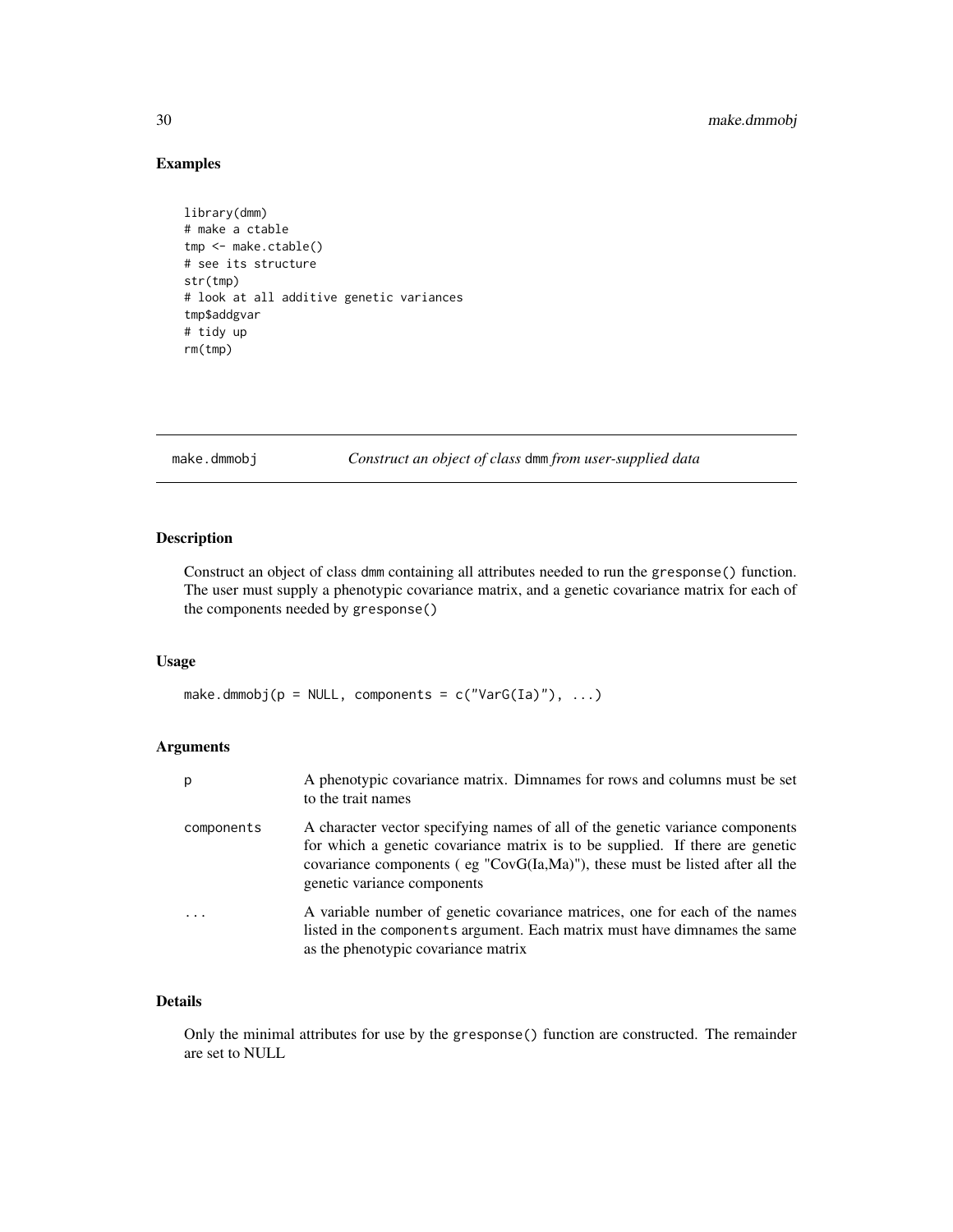# Examples

```
library(dmm)
# make a ctable
tmp <- make.ctable()
# see its structure
str(tmp)
# look at all additive genetic variances
tmp$addgvar
# tidy up
rm(tmp)
```
make.dmmobj *Construct an object of class* dmm *from user-supplied data*

# Description

Construct an object of class dmm containing all attributes needed to run the gresponse() function. The user must supply a phenotypic covariance matrix, and a genetic covariance matrix for each of the components needed by gresponse()

# Usage

make.dmmobj( $p = NULL$ , components =  $c("VarG(Ia)"), ...$ )

# Arguments

| p          | A phenotypic covariance matrix. Dimnames for rows and columns must be set<br>to the trait names                                                                                                                                                                                    |
|------------|------------------------------------------------------------------------------------------------------------------------------------------------------------------------------------------------------------------------------------------------------------------------------------|
| components | A character vector specifying names of all of the genetic variance components<br>for which a genetic covariance matrix is to be supplied. If there are genetic<br>covariance components (eg " $CovG(Ia, Ma)$ "), these must be listed after all the<br>genetic variance components |
|            | A variable number of genetic covariance matrices, one for each of the names<br>listed in the components argument. Each matrix must have dimnames the same<br>as the phenotypic covariance matrix                                                                                   |

# Details

Only the minimal attributes for use by the gresponse() function are constructed. The remainder are set to NULL

<span id="page-29-0"></span>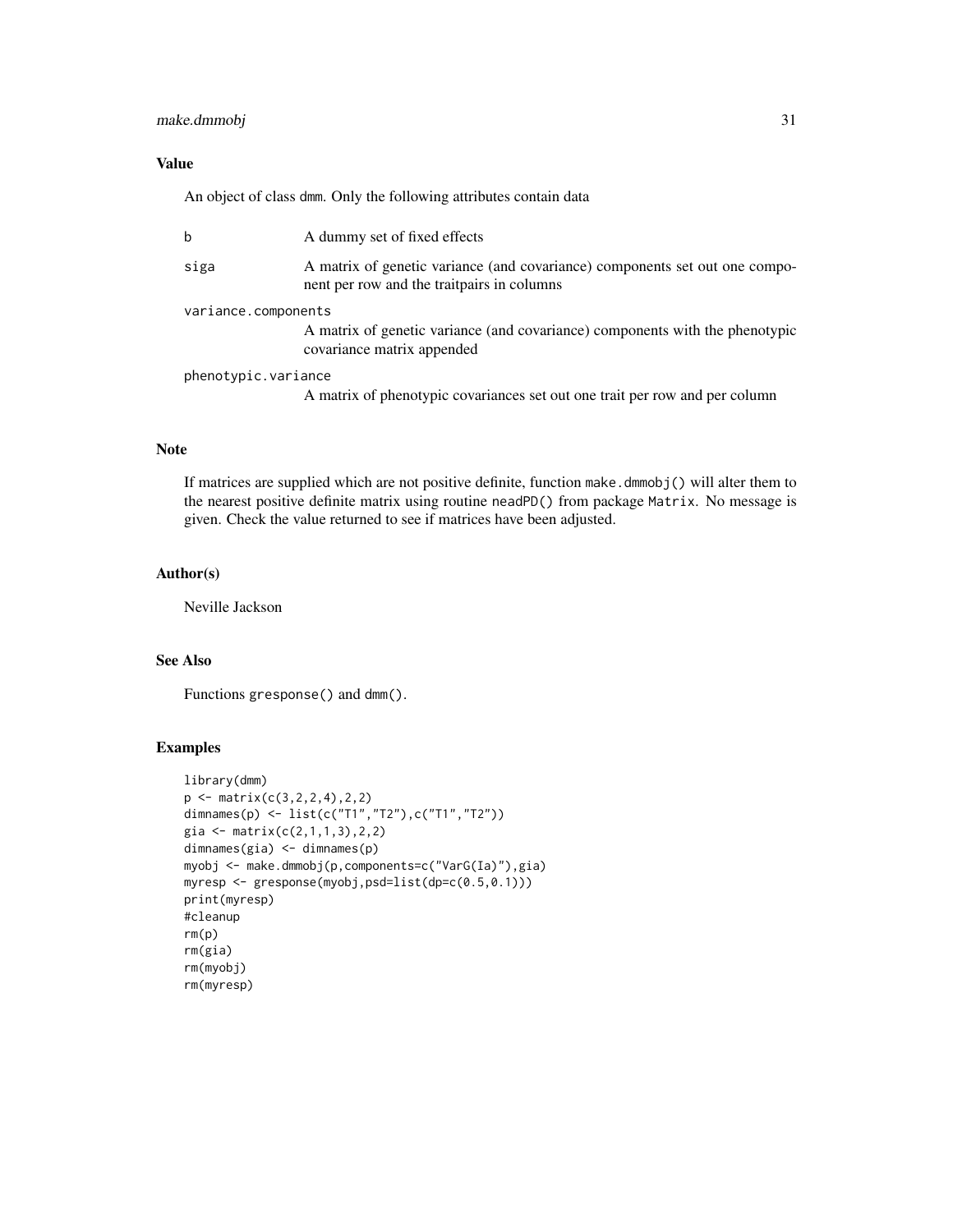# make.dmmobj 31

# Value

An object of class dmm. Only the following attributes contain data

| $\mathbf b$         | A dummy set of fixed effects                                                                                              |  |
|---------------------|---------------------------------------------------------------------------------------------------------------------------|--|
| siga                | A matrix of genetic variance (and covariance) components set out one compo-<br>nent per row and the traitpairs in columns |  |
| variance.components |                                                                                                                           |  |
|                     | A matrix of genetic variance (and covariance) components with the phenotypic<br>covariance matrix appended                |  |
| phenotypic.variance |                                                                                                                           |  |
|                     | A matrix of phenotypic covariances set out one trait per row and per column                                               |  |

# Note

If matrices are supplied which are not positive definite, function make.dmmobj() will alter them to the nearest positive definite matrix using routine neadPD() from package Matrix. No message is given. Check the value returned to see if matrices have been adjusted.

# Author(s)

Neville Jackson

# See Also

Functions gresponse() and dmm().

```
library(dmm)
p \leftarrow matrix(c(3, 2, 2, 4), 2, 2)dimnames(p) <- list(c("T1","T2"),c("T1","T2"))
gia <- matrix(c(2,1,1,3),2,2)
dimnames(gia) <- dimnames(p)
myobj <- make.dmmobj(p,components=c("VarG(Ia)"),gia)
myresp <- gresponse(myobj,psd=list(dp=c(0.5,0.1)))
print(myresp)
#cleanup
rm(p)
rm(gia)
rm(myobj)
rm(myresp)
```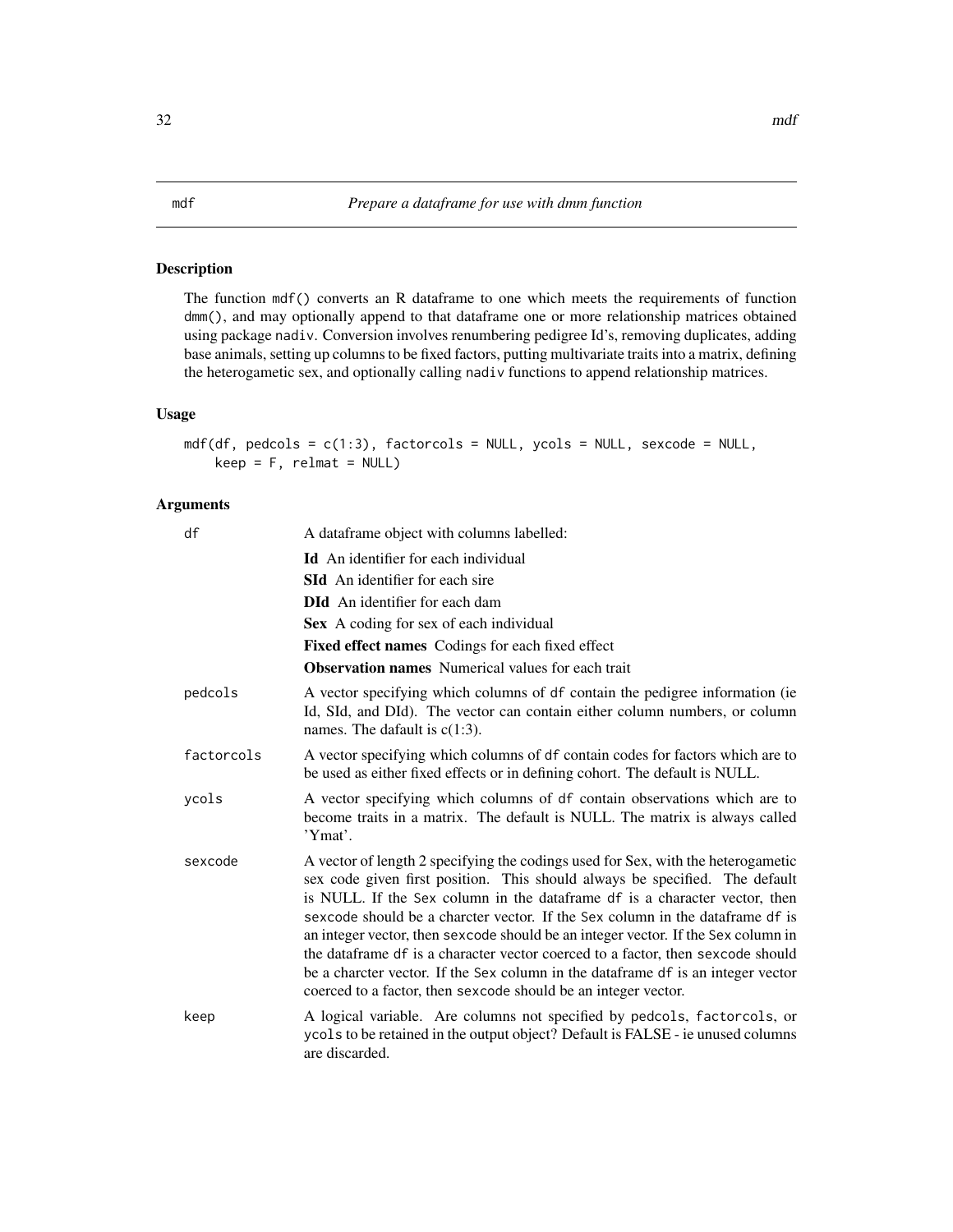# <span id="page-31-0"></span>Description

The function mdf() converts an R dataframe to one which meets the requirements of function dmm(), and may optionally append to that dataframe one or more relationship matrices obtained using package nadiv. Conversion involves renumbering pedigree Id's, removing duplicates, adding base animals, setting up columns to be fixed factors, putting multivariate traits into a matrix, defining the heterogametic sex, and optionally calling nadiv functions to append relationship matrices.

## Usage

```
mdf(df, pedcols = c(1:3), factorcols = NULL, ycols = NULL, sexcode = NULL,
    keep = F, relmat = NULL)
```
# Arguments

| df         | A dataframe object with columns labelled:                                                                                                                                                                                                                                                                                                                                                                                                                                                                                                                                                                                                                    |
|------------|--------------------------------------------------------------------------------------------------------------------------------------------------------------------------------------------------------------------------------------------------------------------------------------------------------------------------------------------------------------------------------------------------------------------------------------------------------------------------------------------------------------------------------------------------------------------------------------------------------------------------------------------------------------|
|            | <b>Id</b> An identifier for each individual                                                                                                                                                                                                                                                                                                                                                                                                                                                                                                                                                                                                                  |
|            | <b>SId</b> An identifier for each sire                                                                                                                                                                                                                                                                                                                                                                                                                                                                                                                                                                                                                       |
|            | <b>DId</b> An identifier for each dam                                                                                                                                                                                                                                                                                                                                                                                                                                                                                                                                                                                                                        |
|            | Sex A coding for sex of each individual                                                                                                                                                                                                                                                                                                                                                                                                                                                                                                                                                                                                                      |
|            | Fixed effect names Codings for each fixed effect                                                                                                                                                                                                                                                                                                                                                                                                                                                                                                                                                                                                             |
|            | <b>Observation names</b> Numerical values for each trait                                                                                                                                                                                                                                                                                                                                                                                                                                                                                                                                                                                                     |
| pedcols    | A vector specifying which columns of df contain the pedigree information (ie<br>Id, SId, and DId). The vector can contain either column numbers, or column<br>names. The dafault is $c(1:3)$ .                                                                                                                                                                                                                                                                                                                                                                                                                                                               |
| factorcols | A vector specifying which columns of df contain codes for factors which are to<br>be used as either fixed effects or in defining cohort. The default is NULL.                                                                                                                                                                                                                                                                                                                                                                                                                                                                                                |
| ycols      | A vector specifying which columns of df contain observations which are to<br>become traits in a matrix. The default is NULL. The matrix is always called<br>'Ymat'.                                                                                                                                                                                                                                                                                                                                                                                                                                                                                          |
| sexcode    | A vector of length 2 specifying the codings used for Sex, with the heterogametic<br>sex code given first position. This should always be specified. The default<br>is NULL. If the Sex column in the dataframe df is a character vector, then<br>sexcode should be a charcter vector. If the Sex column in the dataframe df is<br>an integer vector, then sexcode should be an integer vector. If the Sex column in<br>the dataframe df is a character vector coerced to a factor, then sexcode should<br>be a charcter vector. If the Sex column in the dataframe df is an integer vector<br>coerced to a factor, then sexcode should be an integer vector. |
| keep       | A logical variable. Are columns not specified by pedcols, factorcols, or<br>ycols to be retained in the output object? Default is FALSE - ie unused columns<br>are discarded.                                                                                                                                                                                                                                                                                                                                                                                                                                                                                |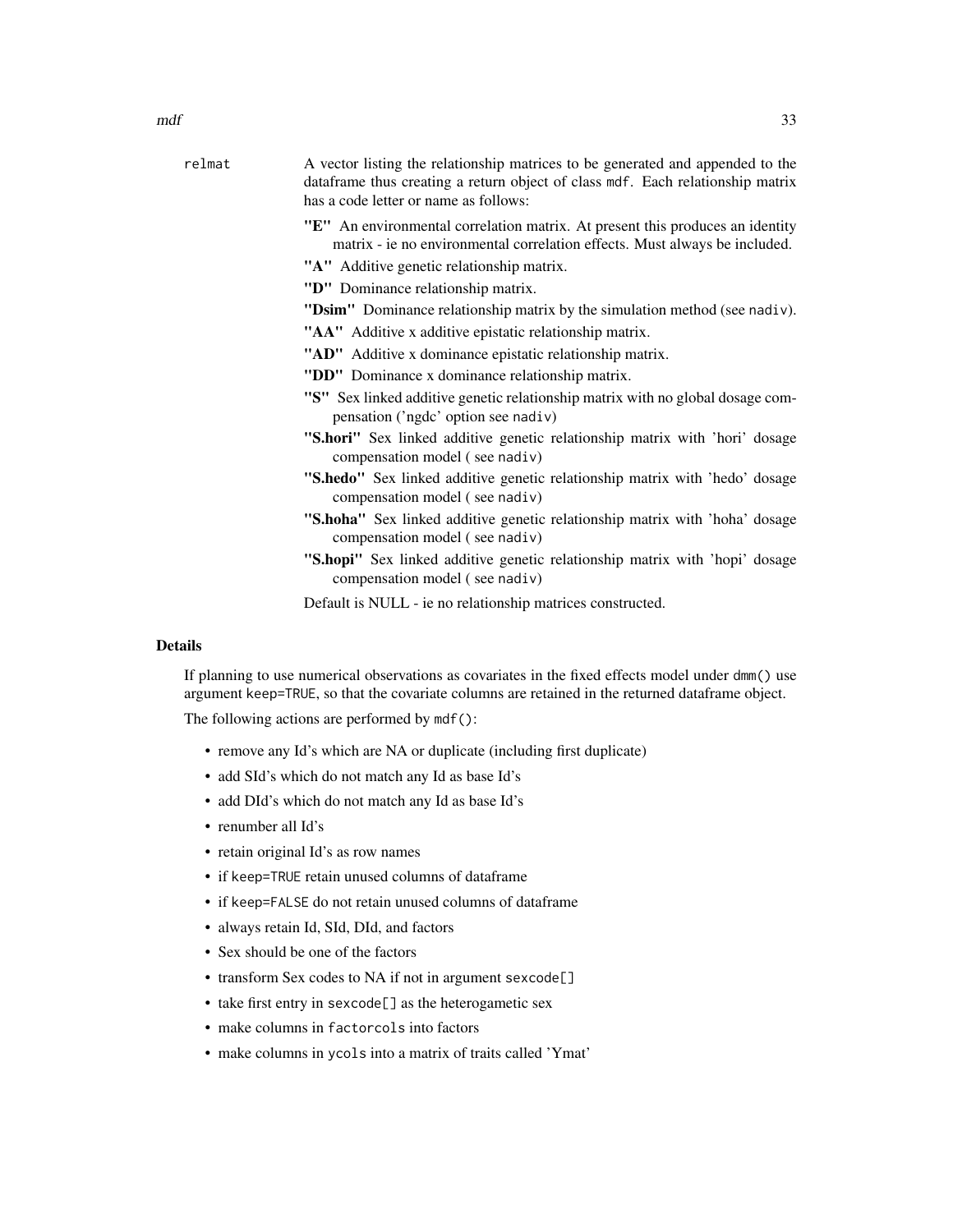| relmat | A vector listing the relationship matrices to be generated and appended to the<br>dataframe thus creating a return object of class mdf. Each relationship matrix<br>has a code letter or name as follows: |
|--------|-----------------------------------------------------------------------------------------------------------------------------------------------------------------------------------------------------------|
|        | "E" An environmental correlation matrix. At present this produces an identity<br>matrix - ie no environmental correlation effects. Must always be included.                                               |
|        | "A" Additive genetic relationship matrix.                                                                                                                                                                 |
|        | "D" Dominance relationship matrix.                                                                                                                                                                        |
|        | "Dsim" Dominance relationship matrix by the simulation method (see nadiv).                                                                                                                                |
|        | "AA" Additive x additive epistatic relationship matrix.                                                                                                                                                   |
|        | "AD" Additive x dominance epistatic relationship matrix.                                                                                                                                                  |
|        | "DD" Dominance x dominance relationship matrix.                                                                                                                                                           |
|        | "S" Sex linked additive genetic relationship matrix with no global dosage com-<br>pensation ('ngdc' option see nadiv)                                                                                     |
|        | "S.hori" Sex linked additive genetic relationship matrix with 'hori' dosage<br>compensation model (see nadiv)                                                                                             |
|        | "S.hedo" Sex linked additive genetic relationship matrix with 'hedo' dosage<br>compensation model (see nadiv)                                                                                             |
|        | "S.hoha" Sex linked additive genetic relationship matrix with 'hoha' dosage<br>compensation model (see nadiv)                                                                                             |
|        | "S.hopi" Sex linked additive genetic relationship matrix with 'hopi' dosage<br>compensation model (see nadiv)                                                                                             |
|        | Default is NULL - ie no relationship matrices constructed.                                                                                                                                                |

# Details

If planning to use numerical observations as covariates in the fixed effects model under dmm() use argument keep=TRUE, so that the covariate columns are retained in the returned dataframe object.

The following actions are performed by mdf():

- remove any Id's which are NA or duplicate (including first duplicate)
- add SId's which do not match any Id as base Id's
- add DId's which do not match any Id as base Id's
- renumber all Id's
- retain original Id's as row names
- if keep=TRUE retain unused columns of dataframe
- if keep=FALSE do not retain unused columns of dataframe
- always retain Id, SId, DId, and factors
- Sex should be one of the factors
- transform Sex codes to NA if not in argument sexcode[]
- take first entry in sexcode[] as the heterogametic sex
- make columns in factorcols into factors
- make columns in ycols into a matrix of traits called 'Ymat'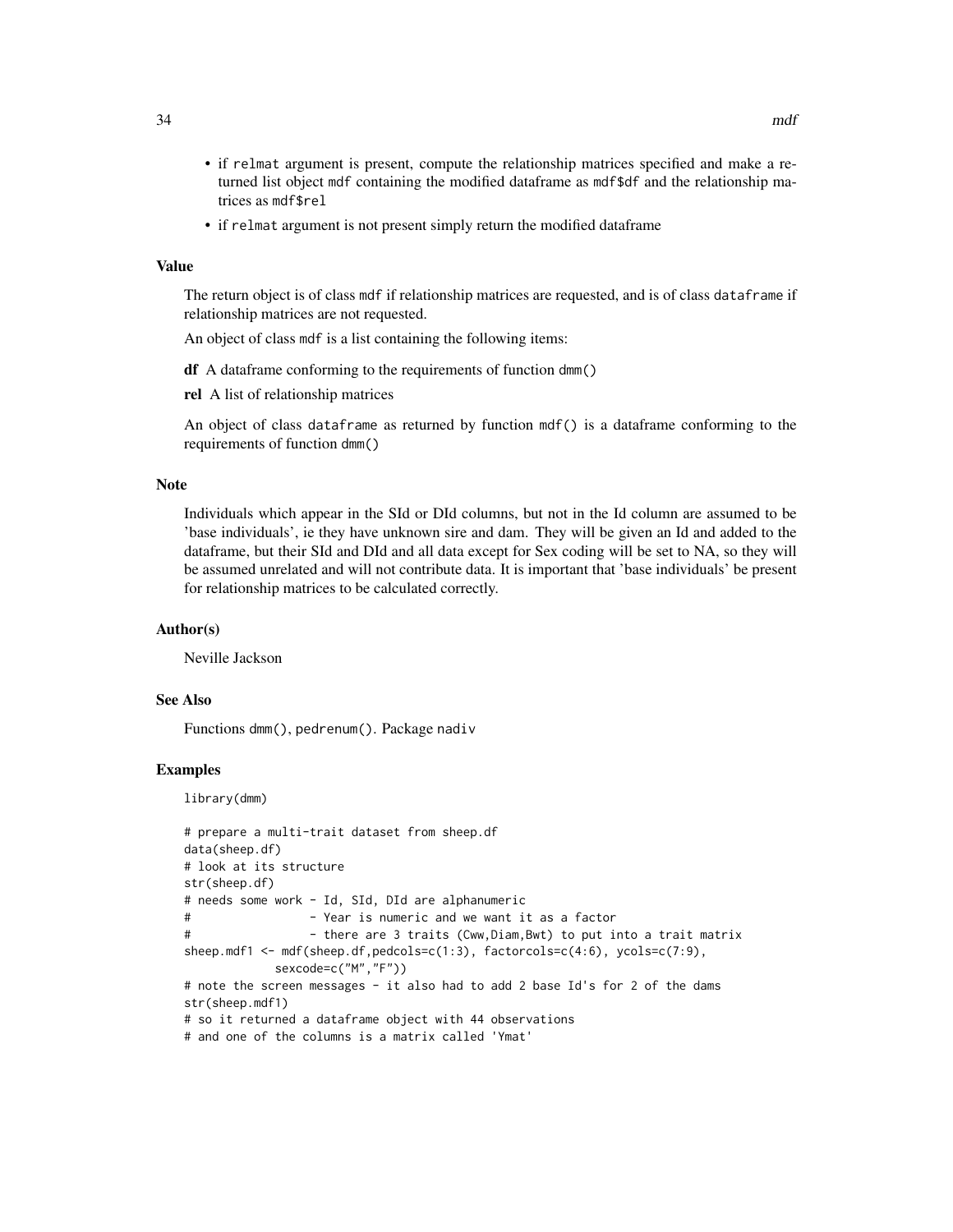- if relmat argument is present, compute the relationship matrices specified and make a returned list object mdf containing the modified dataframe as mdf\$df and the relationship matrices as mdf\$rel
- if relmat argument is not present simply return the modified dataframe

#### Value

The return object is of class mdf if relationship matrices are requested, and is of class dataframe if relationship matrices are not requested.

An object of class mdf is a list containing the following items:

df A dataframe conforming to the requirements of function dmm()

rel A list of relationship matrices

An object of class dataframe as returned by function mdf() is a dataframe conforming to the requirements of function dmm()

#### Note

Individuals which appear in the SId or DId columns, but not in the Id column are assumed to be 'base individuals', ie they have unknown sire and dam. They will be given an Id and added to the dataframe, but their SId and DId and all data except for Sex coding will be set to NA, so they will be assumed unrelated and will not contribute data. It is important that 'base individuals' be present for relationship matrices to be calculated correctly.

#### Author(s)

Neville Jackson

# See Also

Functions dmm(), pedrenum(). Package nadiv

#### Examples

library(dmm)

```
# prepare a multi-trait dataset from sheep.df
data(sheep.df)
# look at its structure
str(sheep.df)
# needs some work - Id, SId, DId are alphanumeric
# - Year is numeric and we want it as a factor
# - there are 3 traits (Cww,Diam,Bwt) to put into a trait matrix
sheep.mdf1 <- mdf(sheep.df,pedcols=c(1:3), factorcols=c(4:6), ycols=c(7:9),
            sexcode=c("M","F"))
# note the screen messages - it also had to add 2 base Id's for 2 of the dams
str(sheep.mdf1)
# so it returned a dataframe object with 44 observations
# and one of the columns is a matrix called 'Ymat'
```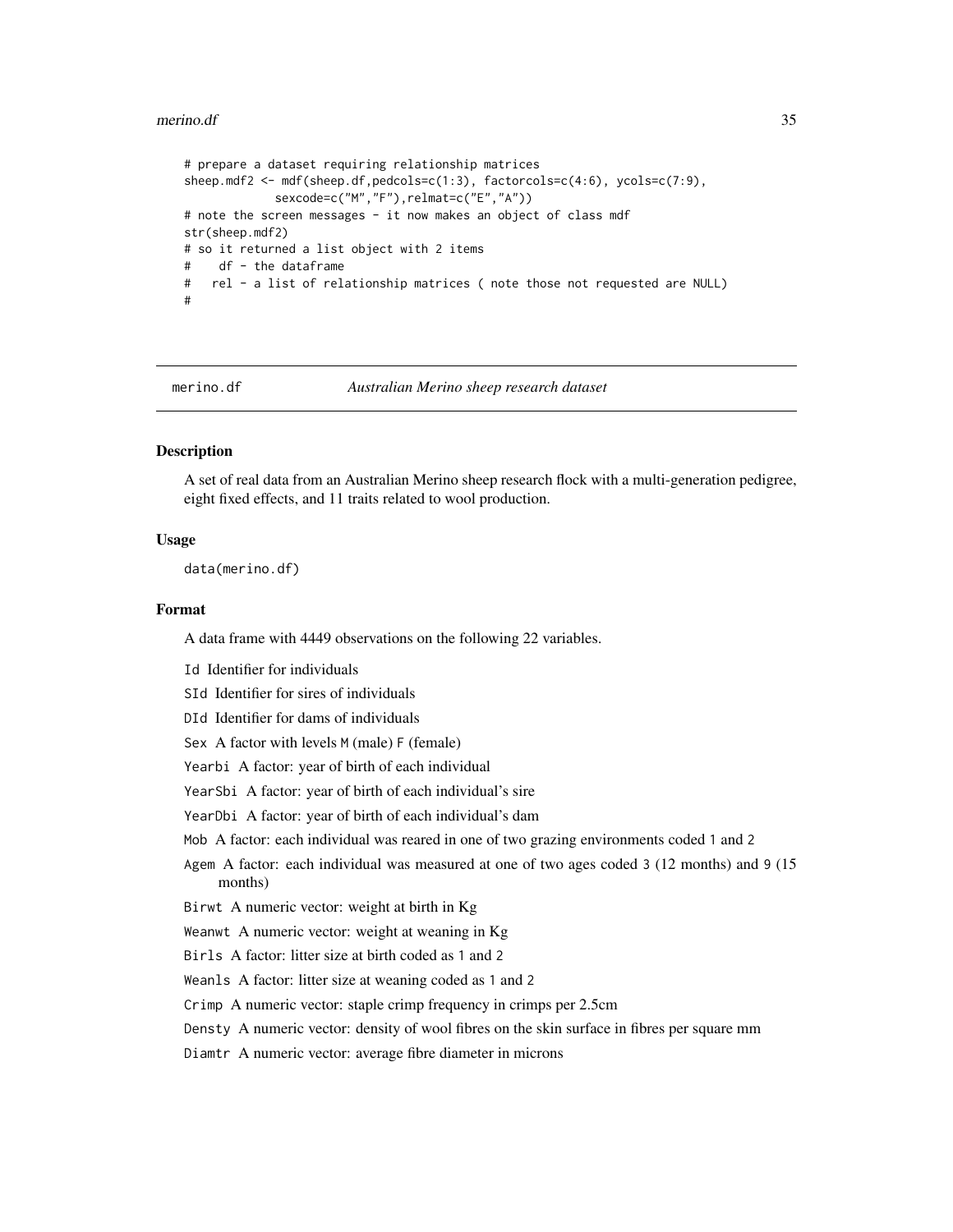#### <span id="page-34-0"></span>merino.df 35

```
# prepare a dataset requiring relationship matrices
sheep.mdf2 <- mdf(sheep.df,pedcols=c(1:3), factorcols=c(4:6), ycols=c(7:9),
            sexcode=c("M","F"),relmat=c("E","A"))
# note the screen messages - it now makes an object of class mdf
str(sheep.mdf2)
# so it returned a list object with 2 items
# df - the dataframe
# rel - a list of relationship matrices ( note those not requested are NULL)
#
```
merino.df *Australian Merino sheep research dataset*

# **Description**

A set of real data from an Australian Merino sheep research flock with a multi-generation pedigree, eight fixed effects, and 11 traits related to wool production.

# Usage

data(merino.df)

#### Format

A data frame with 4449 observations on the following 22 variables.

Id Identifier for individuals

SId Identifier for sires of individuals

DId Identifier for dams of individuals

Sex A factor with levels M (male) F (female)

Yearbi A factor: year of birth of each individual

YearSbi A factor: year of birth of each individual's sire

YearDbi A factor: year of birth of each individual's dam

Mob A factor: each individual was reared in one of two grazing environments coded 1 and 2

Agem A factor: each individual was measured at one of two ages coded 3 (12 months) and 9 (15 months)

Birwt A numeric vector: weight at birth in Kg

Weanwt A numeric vector: weight at weaning in Kg

Birls A factor: litter size at birth coded as 1 and 2

Weanls A factor: litter size at weaning coded as 1 and 2

Crimp A numeric vector: staple crimp frequency in crimps per 2.5cm

Densty A numeric vector: density of wool fibres on the skin surface in fibres per square mm

Diamtr A numeric vector: average fibre diameter in microns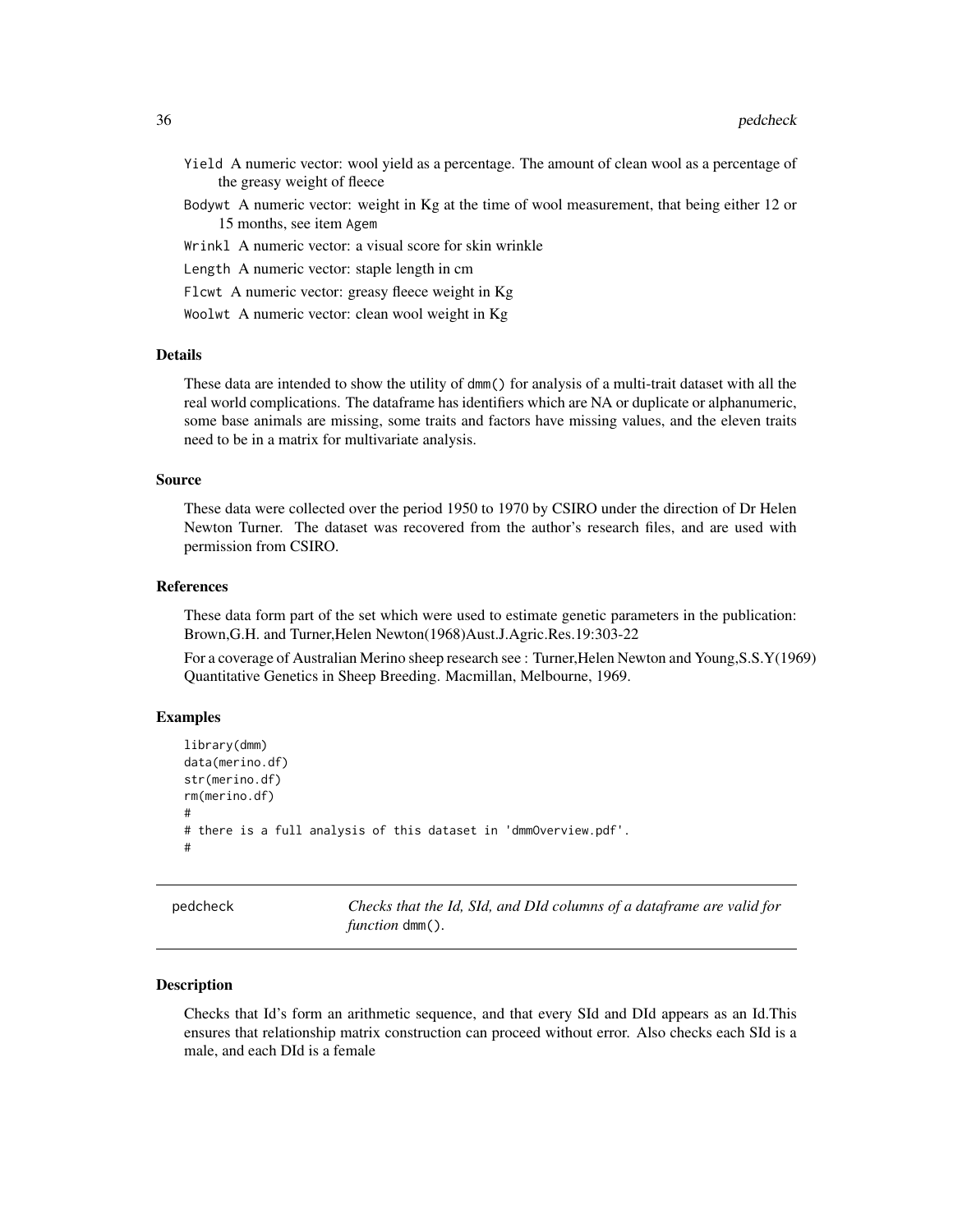- <span id="page-35-0"></span>Yield A numeric vector: wool yield as a percentage. The amount of clean wool as a percentage of the greasy weight of fleece
- Bodywt A numeric vector: weight in Kg at the time of wool measurement, that being either 12 or 15 months, see item Agem
- Wrinkl A numeric vector: a visual score for skin wrinkle
- Length A numeric vector: staple length in cm
- Flcwt A numeric vector: greasy fleece weight in Kg
- Woolwt A numeric vector: clean wool weight in Kg

#### **Details**

These data are intended to show the utility of dmm() for analysis of a multi-trait dataset with all the real world complications. The dataframe has identifiers which are NA or duplicate or alphanumeric, some base animals are missing, some traits and factors have missing values, and the eleven traits need to be in a matrix for multivariate analysis.

#### Source

These data were collected over the period 1950 to 1970 by CSIRO under the direction of Dr Helen Newton Turner. The dataset was recovered from the author's research files, and are used with permission from CSIRO.

#### References

These data form part of the set which were used to estimate genetic parameters in the publication: Brown,G.H. and Turner,Helen Newton(1968)Aust.J.Agric.Res.19:303-22

For a coverage of Australian Merino sheep research see : Turner,Helen Newton and Young,S.S.Y(1969) Quantitative Genetics in Sheep Breeding. Macmillan, Melbourne, 1969.

# Examples

```
library(dmm)
data(merino.df)
str(merino.df)
rm(merino.df)
#
# there is a full analysis of this dataset in 'dmmOverview.pdf'.
#
```
pedcheck *Checks that the Id, SId, and DId columns of a dataframe are valid for function* dmm()*.*

#### Description

Checks that Id's form an arithmetic sequence, and that every SId and DId appears as an Id.This ensures that relationship matrix construction can proceed without error. Also checks each SId is a male, and each DId is a female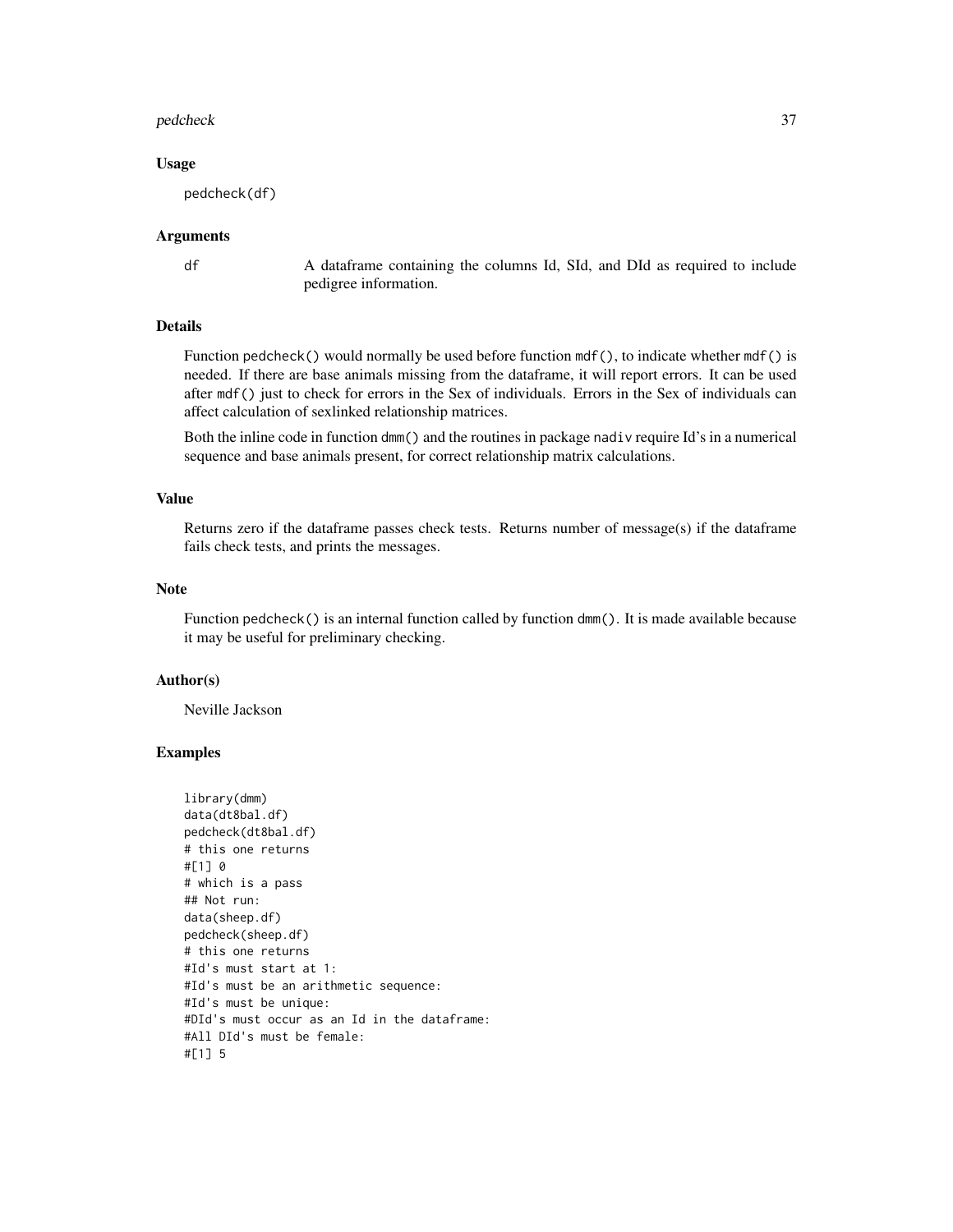#### pedcheck 37

#### Usage

pedcheck(df)

#### Arguments

df A dataframe containing the columns Id, SId, and DId as required to include pedigree information.

# Details

Function pedcheck() would normally be used before function  $mdf()$ , to indicate whether  $mdf()$  is needed. If there are base animals missing from the dataframe, it will report errors. It can be used after mdf() just to check for errors in the Sex of individuals. Errors in the Sex of individuals can affect calculation of sexlinked relationship matrices.

Both the inline code in function dmm() and the routines in package nadiv require Id's in a numerical sequence and base animals present, for correct relationship matrix calculations.

# Value

Returns zero if the dataframe passes check tests. Returns number of message(s) if the dataframe fails check tests, and prints the messages.

# Note

Function pedcheck() is an internal function called by function dmm(). It is made available because it may be useful for preliminary checking.

#### Author(s)

Neville Jackson

```
library(dmm)
data(dt8bal.df)
pedcheck(dt8bal.df)
# this one returns
#[1] 0
# which is a pass
## Not run:
data(sheep.df)
pedcheck(sheep.df)
# this one returns
#Id's must start at 1:
#Id's must be an arithmetic sequence:
#Id's must be unique:
#DId's must occur as an Id in the dataframe:
#All DId's must be female:
#[1] 5
```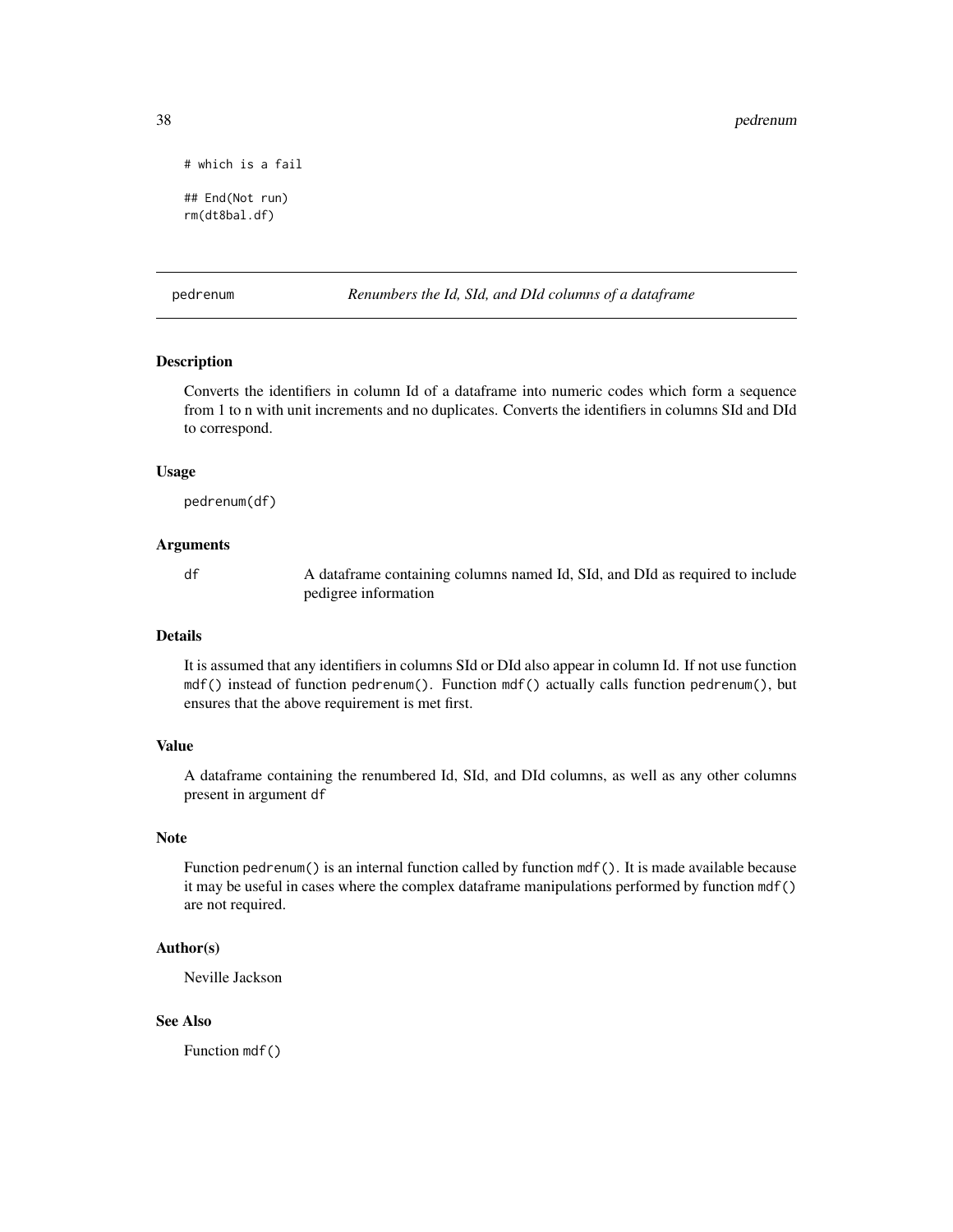```
# which is a fail
## End(Not run)
```
rm(dt8bal.df)

pedrenum *Renumbers the Id, SId, and DId columns of a dataframe*

#### **Description**

Converts the identifiers in column Id of a dataframe into numeric codes which form a sequence from 1 to n with unit increments and no duplicates. Converts the identifiers in columns SId and DId to correspond.

#### Usage

pedrenum(df)

# Arguments

df A dataframe containing columns named Id, SId, and DId as required to include pedigree information

#### Details

It is assumed that any identifiers in columns SId or DId also appear in column Id. If not use function mdf() instead of function pedrenum(). Function mdf() actually calls function pedrenum(), but ensures that the above requirement is met first.

# Value

A dataframe containing the renumbered Id, SId, and DId columns, as well as any other columns present in argument df

#### Note

Function pedrenum() is an internal function called by function mdf(). It is made available because it may be useful in cases where the complex dataframe manipulations performed by function mdf() are not required.

#### Author(s)

Neville Jackson

# See Also

Function mdf()

<span id="page-37-0"></span>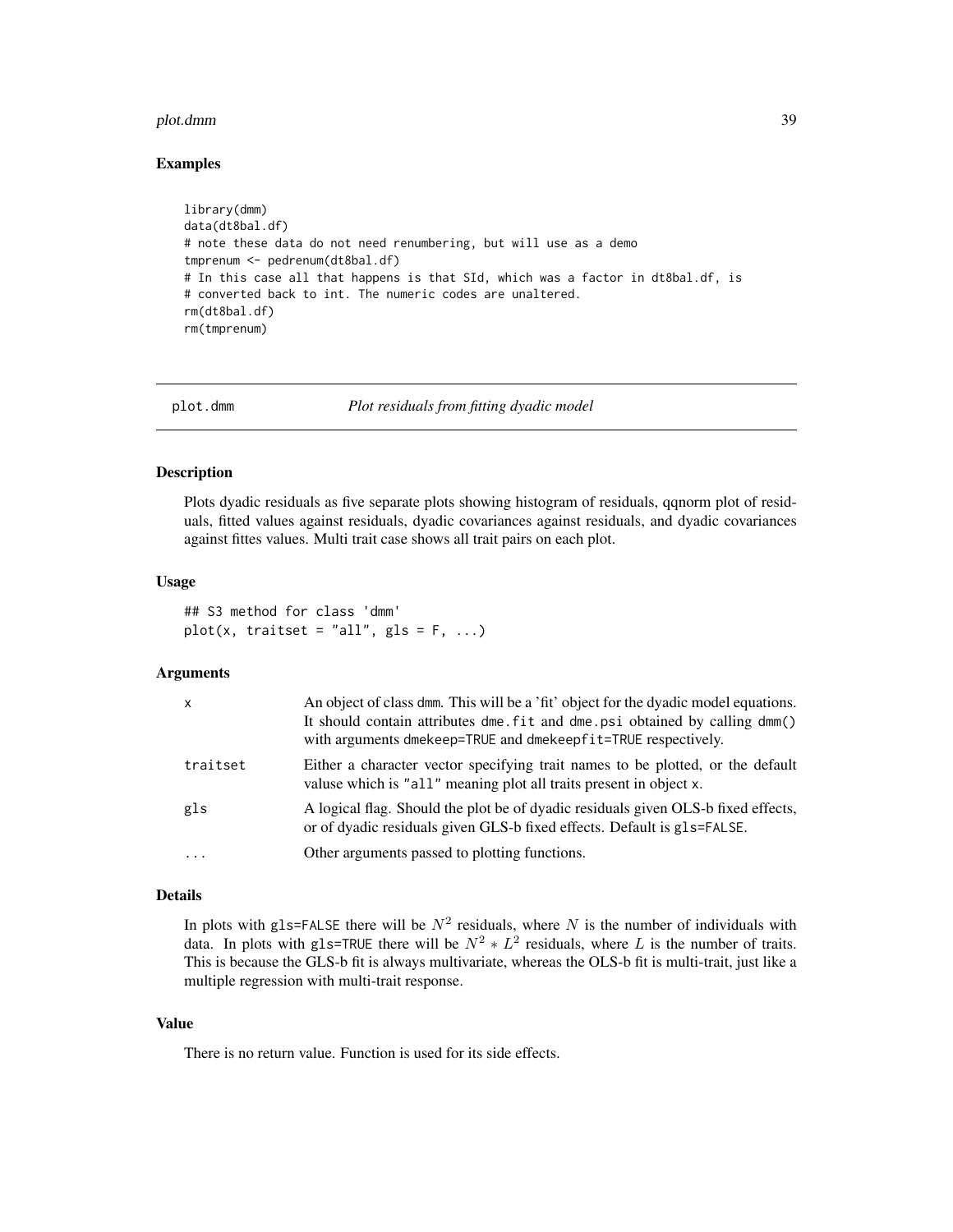#### <span id="page-38-0"></span>plot.dmm 39

#### Examples

```
library(dmm)
data(dt8bal.df)
# note these data do not need renumbering, but will use as a demo
tmprenum <- pedrenum(dt8bal.df)
# In this case all that happens is that SId, which was a factor in dt8bal.df, is
# converted back to int. The numeric codes are unaltered.
rm(dt8bal.df)
rm(tmprenum)
```
plot.dmm *Plot residuals from fitting dyadic model*

#### Description

Plots dyadic residuals as five separate plots showing histogram of residuals, qqnorm plot of residuals, fitted values against residuals, dyadic covariances against residuals, and dyadic covariances against fittes values. Multi trait case shows all trait pairs on each plot.

#### Usage

```
## S3 method for class 'dmm'
plot(x, traitset = "all", gls = F, ...)
```
#### Arguments

| $\mathsf{x}$ | An object of class dmm. This will be a 'fit' object for the dyadic model equations.<br>It should contain attributes dme. fit and dme. psi obtained by calling dmm()<br>with arguments dmekeep=TRUE and dmekeepfit=TRUE respectively. |
|--------------|--------------------------------------------------------------------------------------------------------------------------------------------------------------------------------------------------------------------------------------|
| traitset     | Either a character vector specifying trait names to be plotted, or the default<br>valuse which is "all" meaning plot all traits present in object x.                                                                                 |
| gls          | A logical flag. Should the plot be of dyadic residuals given OLS-b fixed effects,<br>or of dyadic residuals given GLS-b fixed effects. Default is gls=FALSE.                                                                         |
| $\cdots$     | Other arguments passed to plotting functions.                                                                                                                                                                                        |

## Details

In plots with gls=FALSE there will be  $N^2$  residuals, where N is the number of individuals with data. In plots with gls=TRUE there will be  $N^2 * L^2$  residuals, where L is the number of traits. This is because the GLS-b fit is always multivariate, whereas the OLS-b fit is multi-trait, just like a multiple regression with multi-trait response.

#### Value

There is no return value. Function is used for its side effects.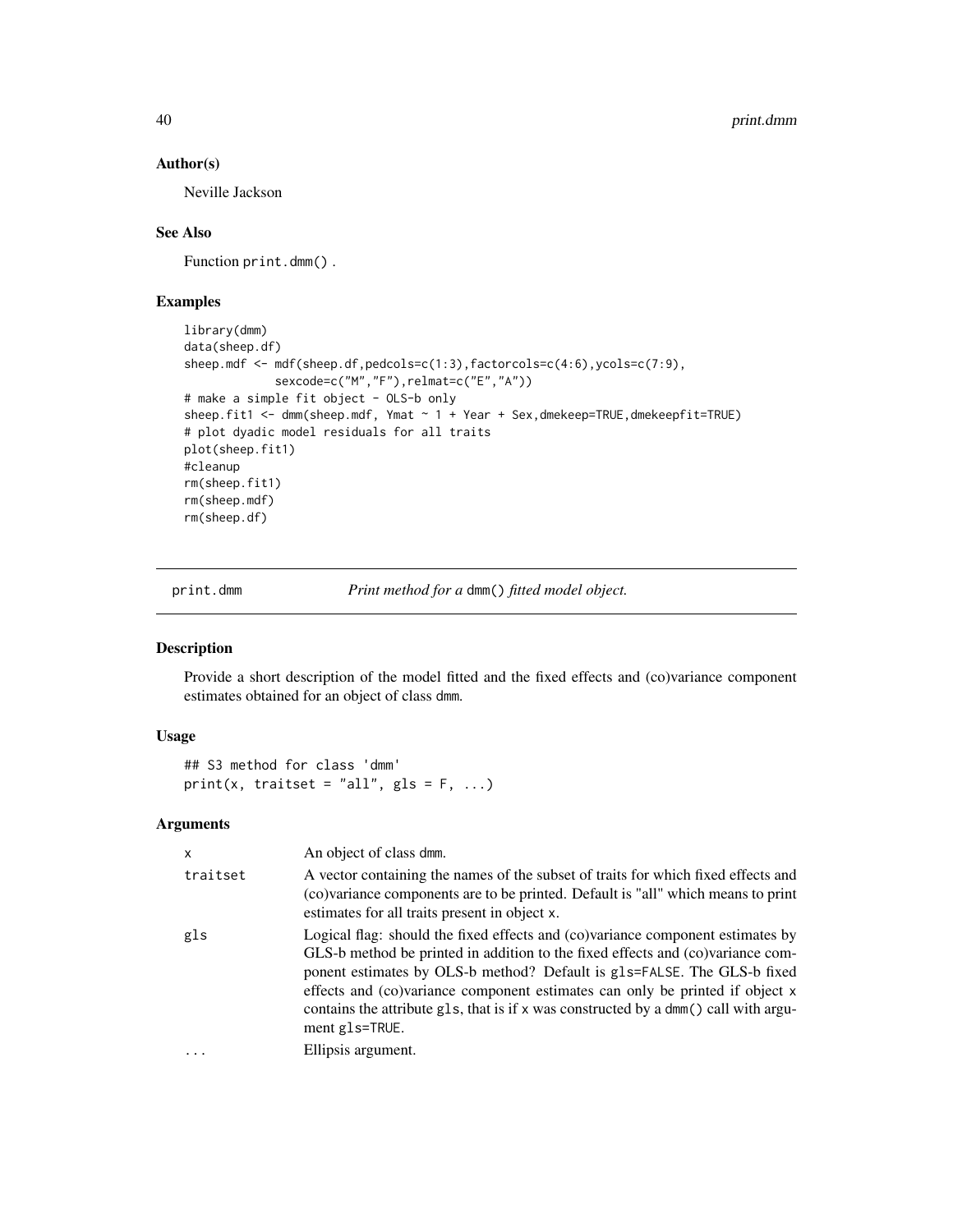# Author(s)

Neville Jackson

# See Also

Function print.dmm() .

# Examples

```
library(dmm)
data(sheep.df)
sheep.mdf <- mdf(sheep.df,pedcols=c(1:3),factorcols=c(4:6),ycols=c(7:9),
             sexcode=c("M","F"),relmat=c("E","A"))
# make a simple fit object - OLS-b only
sheep.fit1 <- dmm(sheep.mdf, Ymat ~ 1 + Year + Sex,dmekeep=TRUE,dmekeepfit=TRUE)
# plot dyadic model residuals for all traits
plot(sheep.fit1)
#cleanup
rm(sheep.fit1)
rm(sheep.mdf)
rm(sheep.df)
```
print.dmm *Print method for a* dmm() *fitted model object.*

#### Description

Provide a short description of the model fitted and the fixed effects and (co)variance component estimates obtained for an object of class dmm.

# Usage

## S3 method for class 'dmm' print(x, traitset = "all",  $gls = F, ...$ )

#### Arguments

| X        | An object of class dmm.                                                                                                                                                                                                                                                                                                                                                                                                              |
|----------|--------------------------------------------------------------------------------------------------------------------------------------------------------------------------------------------------------------------------------------------------------------------------------------------------------------------------------------------------------------------------------------------------------------------------------------|
| traitset | A vector containing the names of the subset of traits for which fixed effects and<br>(co)variance components are to be printed. Default is "all" which means to print<br>estimates for all traits present in object x.                                                                                                                                                                                                               |
| gls      | Logical flag: should the fixed effects and (co)variance component estimates by<br>GLS-b method be printed in addition to the fixed effects and (co)variance com-<br>ponent estimates by OLS-b method? Default is gls=FALSE. The GLS-b fixed<br>effects and (co)variance component estimates can only be printed if object x<br>contains the attribute g1s, that is if x was constructed by a dmm() call with argu-<br>ment g1s=TRUE. |
|          | Ellipsis argument.                                                                                                                                                                                                                                                                                                                                                                                                                   |

<span id="page-39-0"></span>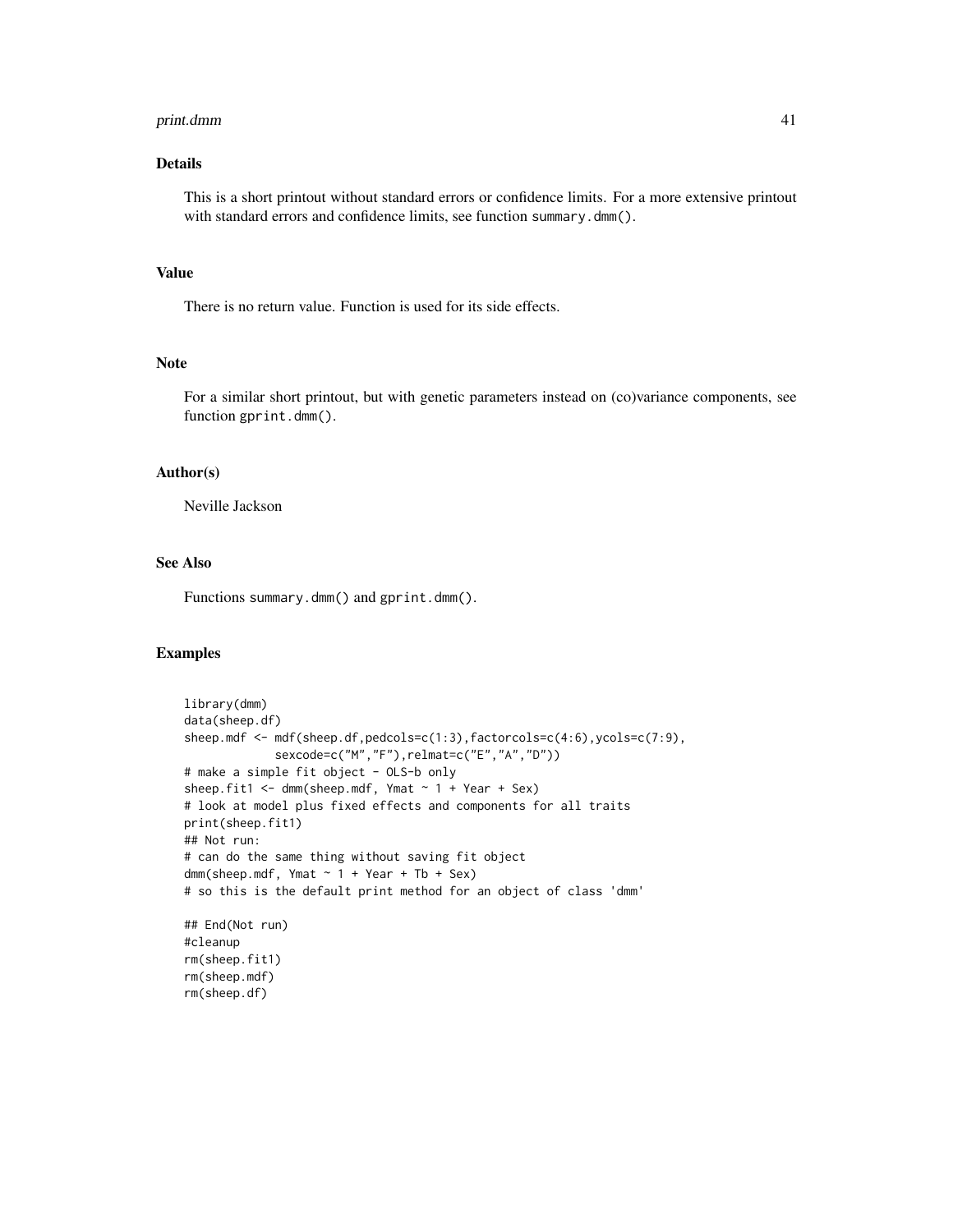#### print.dmm 41

# Details

This is a short printout without standard errors or confidence limits. For a more extensive printout with standard errors and confidence limits, see function summary.dmm().

# Value

There is no return value. Function is used for its side effects.

# Note

For a similar short printout, but with genetic parameters instead on (co)variance components, see function gprint.dmm().

#### Author(s)

Neville Jackson

# See Also

Functions summary.dmm() and gprint.dmm().

```
library(dmm)
data(sheep.df)
sheep.mdf <- mdf(sheep.df,pedcols=c(1:3),factorcols=c(4:6),ycols=c(7:9),
             sexcode=c("M","F"),relmat=c("E","A","D"))
# make a simple fit object - OLS-b only
sheep.fit1 <- dmm(sheep.mdf, Ymat ~ 1 + Year + Sex)# look at model plus fixed effects and components for all traits
print(sheep.fit1)
## Not run:
# can do the same thing without saving fit object
dmm(sheep.mdf, Ymat ~ 1 + Year + Tb + Sex)# so this is the default print method for an object of class 'dmm'
## End(Not run)
#cleanup
rm(sheep.fit1)
rm(sheep.mdf)
rm(sheep.df)
```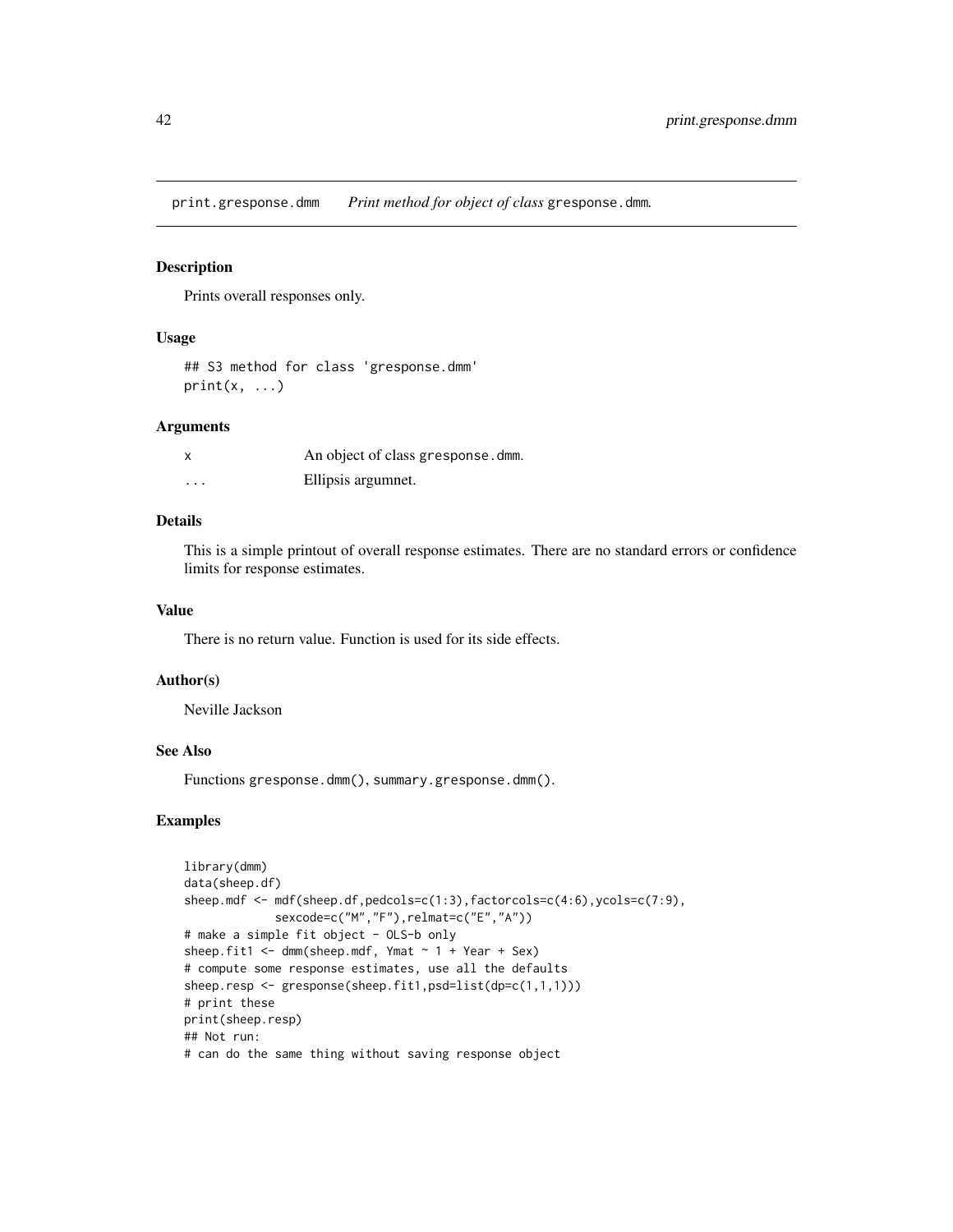<span id="page-41-0"></span>print.gresponse.dmm *Print method for object of class* gresponse.dmm*.*

#### Description

Prints overall responses only.

#### Usage

```
## S3 method for class 'gresponse.dmm'
print(x, \ldots)
```
# Arguments

| $\boldsymbol{\mathsf{x}}$ | An object of class gresponse.dmm. |
|---------------------------|-----------------------------------|
| .                         | Ellipsis argumnet.                |

# Details

This is a simple printout of overall response estimates. There are no standard errors or confidence limits for response estimates.

# Value

There is no return value. Function is used for its side effects.

#### Author(s)

Neville Jackson

# See Also

Functions gresponse.dmm(), summary.gresponse.dmm().

```
library(dmm)
data(sheep.df)
sheep.mdf <- mdf(sheep.df,pedcols=c(1:3),factorcols=c(4:6),ycols=c(7:9),
             sexcode=c("M","F"),relmat=c("E","A"))
# make a simple fit object - OLS-b only
sheep.fit1 \leq dmm(sheep.mdf, Ymat \sim 1 + Year + Sex)
# compute some response estimates, use all the defaults
sheep.resp <- gresponse(sheep.fit1,psd=list(dp=c(1,1,1)))
# print these
print(sheep.resp)
## Not run:
# can do the same thing without saving response object
```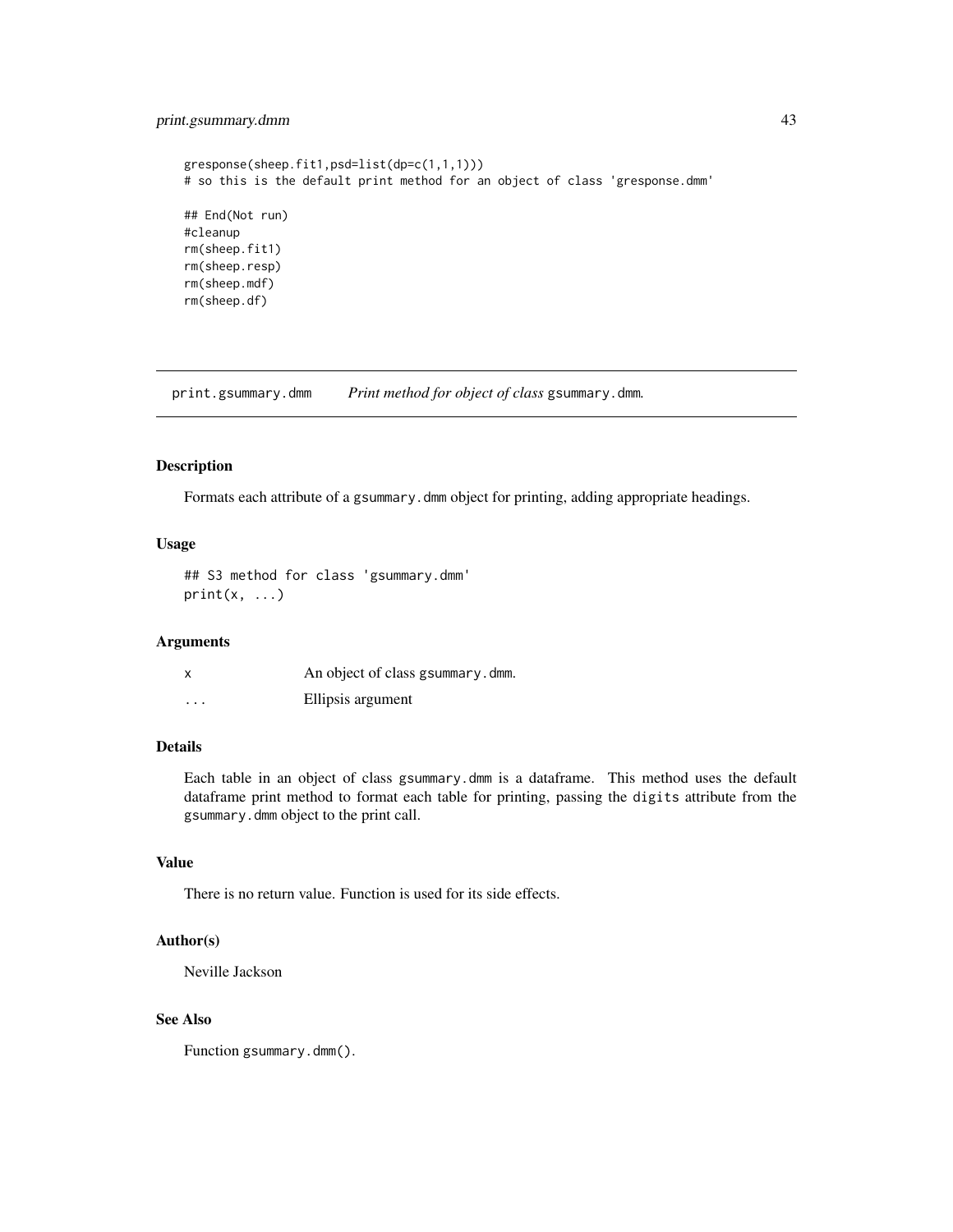# <span id="page-42-0"></span>print.gsummary.dmm 43

```
gresponse(sheep.fit1,psd=list(dp=c(1,1,1)))
# so this is the default print method for an object of class 'gresponse.dmm'
## End(Not run)
#cleanup
rm(sheep.fit1)
rm(sheep.resp)
rm(sheep.mdf)
rm(sheep.df)
```
print.gsummary.dmm *Print method for object of class* gsummary.dmm*.*

# Description

Formats each attribute of a gsummary.dmm object for printing, adding appropriate headings.

#### Usage

## S3 method for class 'gsummary.dmm'  $print(x, \ldots)$ 

# Arguments

| x | An object of class gsummary.dmm. |
|---|----------------------------------|
| . | Ellipsis argument                |

#### Details

Each table in an object of class gsummary.dmm is a dataframe. This method uses the default dataframe print method to format each table for printing, passing the digits attribute from the gsummary.dmm object to the print call.

# Value

There is no return value. Function is used for its side effects.

# Author(s)

Neville Jackson

# See Also

Function gsummary.dmm().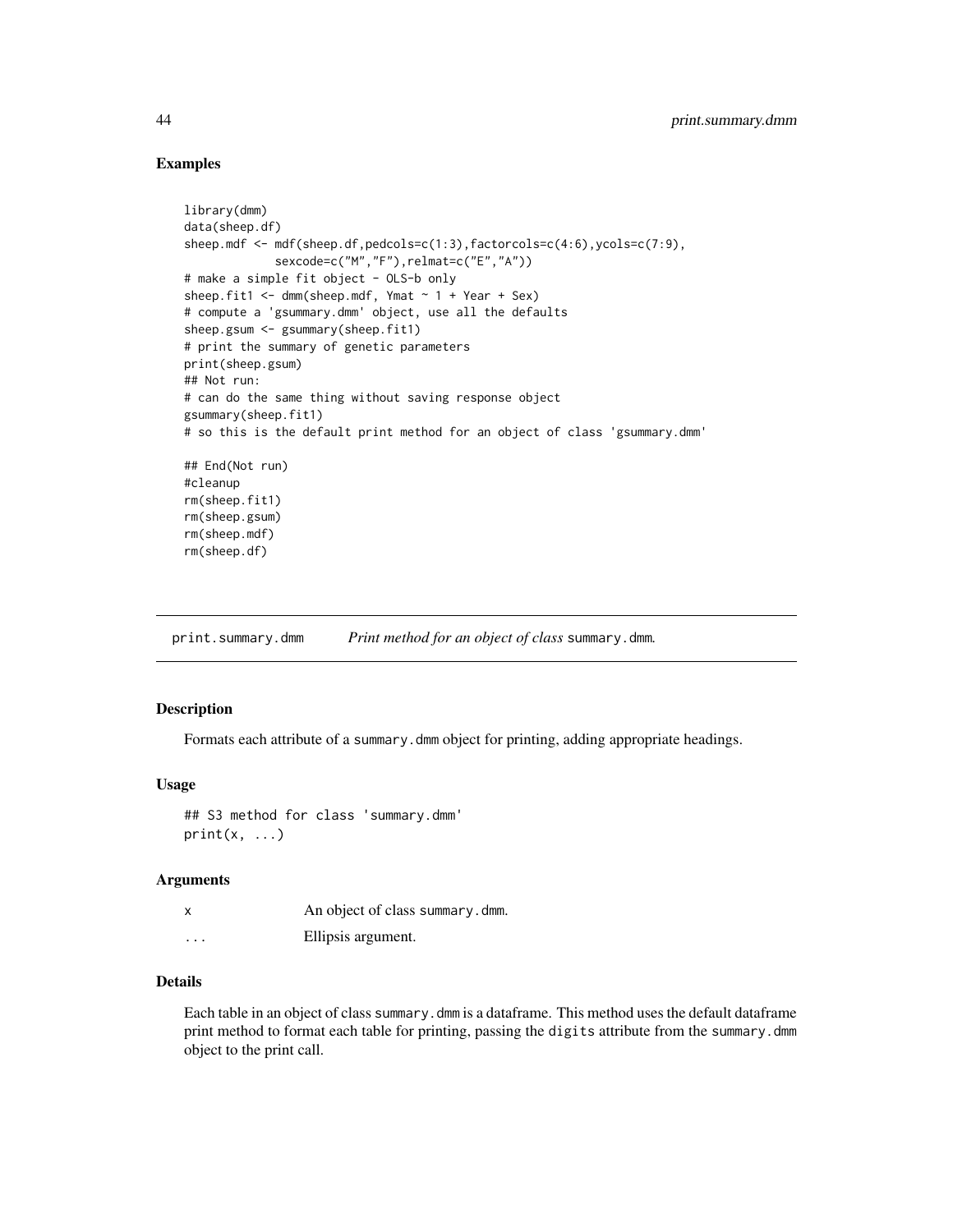# Examples

```
library(dmm)
data(sheep.df)
sheep.mdf <- mdf(sheep.df,pedcols=c(1:3),factorcols=c(4:6),ycols=c(7:9),
             sexcode=c("M","F"),relmat=c("E","A"))
# make a simple fit object - OLS-b only
sheep.fit1 \leq dmm(sheep.mdf, Ymat \sim 1 + Year + Sex)
# compute a 'gsummary.dmm' object, use all the defaults
sheep.gsum <- gsummary(sheep.fit1)
# print the summary of genetic parameters
print(sheep.gsum)
## Not run:
# can do the same thing without saving response object
gsummary(sheep.fit1)
# so this is the default print method for an object of class 'gsummary.dmm'
## End(Not run)
#cleanup
rm(sheep.fit1)
rm(sheep.gsum)
rm(sheep.mdf)
rm(sheep.df)
```
print.summary.dmm *Print method for an object of class* summary.dmm*.*

# Description

Formats each attribute of a summary.dmm object for printing, adding appropriate headings.

#### Usage

## S3 method for class 'summary.dmm'  $print(x, \ldots)$ 

#### Arguments

|          | An object of class summary.dmm. |
|----------|---------------------------------|
| $\cdots$ | Ellipsis argument.              |

#### Details

Each table in an object of class summary.dmm is a dataframe. This method uses the default dataframe print method to format each table for printing, passing the digits attribute from the summary.dmm object to the print call.

<span id="page-43-0"></span>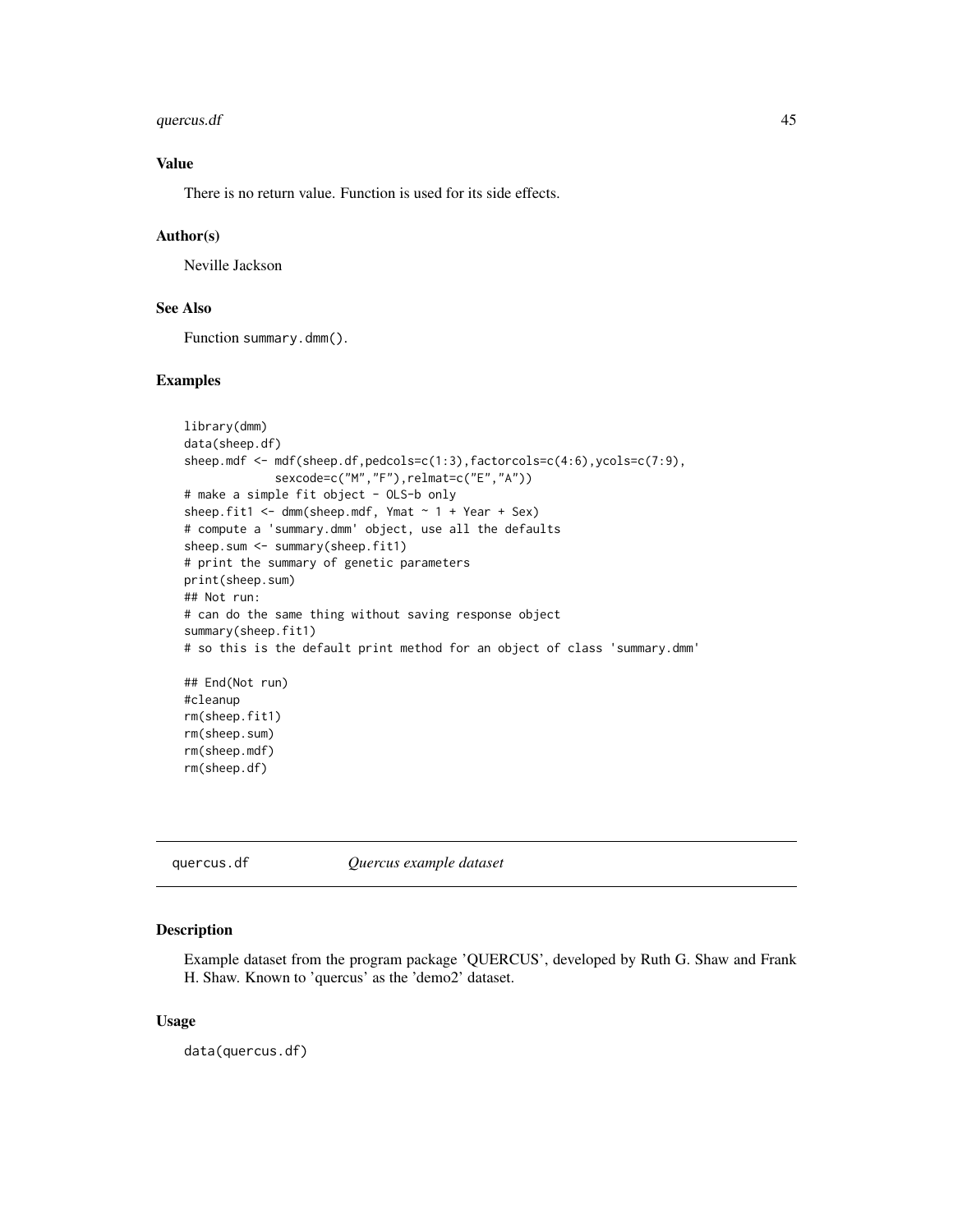#### <span id="page-44-0"></span>quercus.df 45

# Value

There is no return value. Function is used for its side effects.

#### Author(s)

Neville Jackson

# See Also

Function summary.dmm().

# Examples

```
library(dmm)
data(sheep.df)
sheep.mdf <- mdf(sheep.df,pedcols=c(1:3),factorcols=c(4:6),ycols=c(7:9),
             sexcode=c("M","F"),relmat=c("E","A"))
# make a simple fit object - OLS-b only
sheep.fit1 <- dmm(sheep.mdf, Ymat ~ 1 + Year + Sex)# compute a 'summary.dmm' object, use all the defaults
sheep.sum <- summary(sheep.fit1)
# print the summary of genetic parameters
print(sheep.sum)
## Not run:
# can do the same thing without saving response object
summary(sheep.fit1)
# so this is the default print method for an object of class 'summary.dmm'
## End(Not run)
#cleanup
rm(sheep.fit1)
rm(sheep.sum)
rm(sheep.mdf)
rm(sheep.df)
```
quercus.df *Quercus example dataset*

# Description

Example dataset from the program package 'QUERCUS', developed by Ruth G. Shaw and Frank H. Shaw. Known to 'quercus' as the 'demo2' dataset.

#### Usage

data(quercus.df)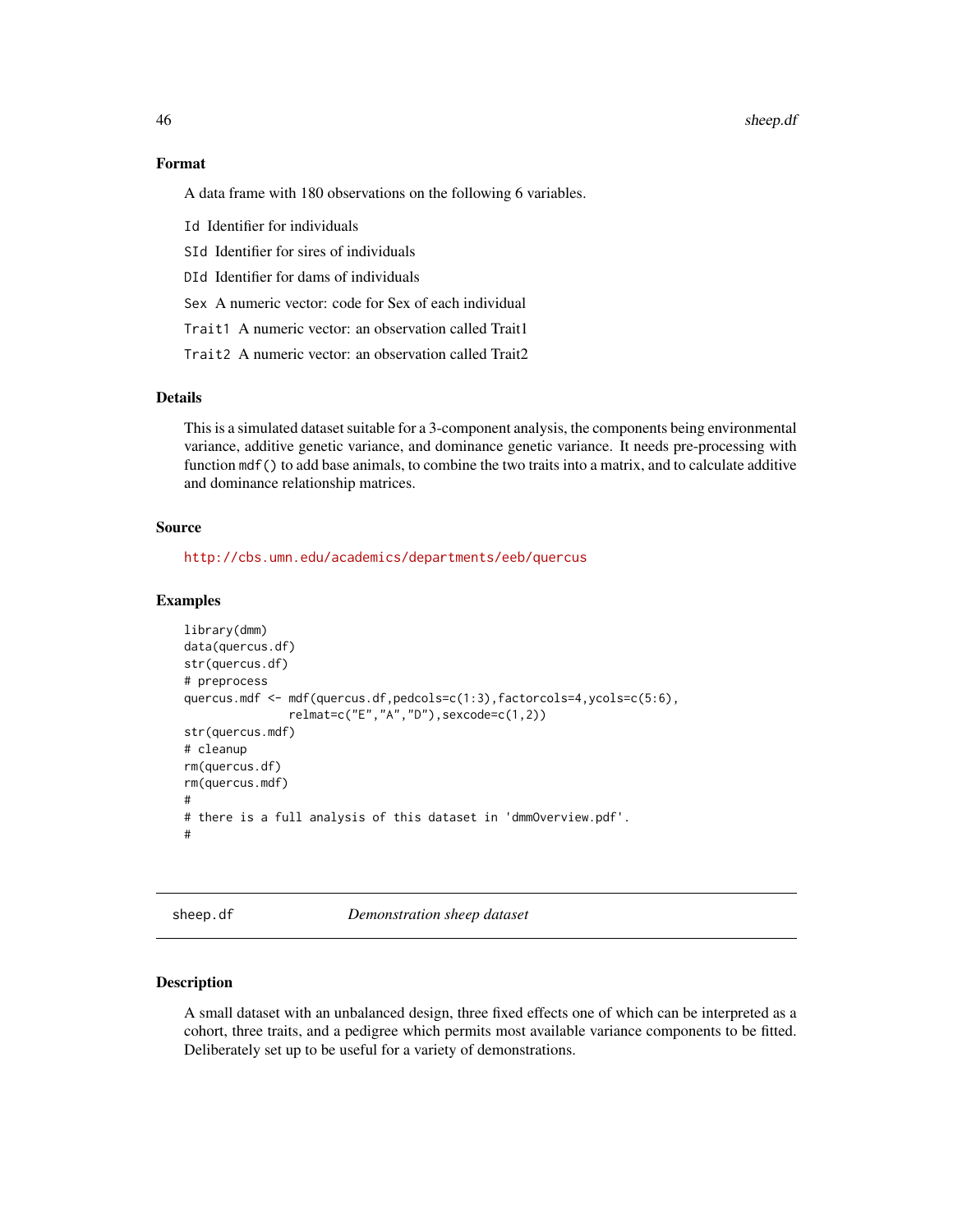#### 46 sheep.df

#### Format

A data frame with 180 observations on the following 6 variables.

Id Identifier for individuals

- SId Identifier for sires of individuals
- DId Identifier for dams of individuals

Sex A numeric vector: code for Sex of each individual

- Trait1 A numeric vector: an observation called Trait1
- Trait2 A numeric vector: an observation called Trait2

# Details

This is a simulated dataset suitable for a 3-component analysis, the components being environmental variance, additive genetic variance, and dominance genetic variance. It needs pre-processing with function mdf() to add base animals, to combine the two traits into a matrix, and to calculate additive and dominance relationship matrices.

#### Source

<http://cbs.umn.edu/academics/departments/eeb/quercus>

# Examples

```
library(dmm)
data(quercus.df)
str(quercus.df)
# preprocess
quercus.mdf <- mdf(quercus.df,pedcols=c(1:3),factorcols=4,ycols=c(5:6),
               relmat=c("E","A","D"),sexcode=c(1,2))
str(quercus.mdf)
# cleanup
rm(quercus.df)
rm(quercus.mdf)
#
# there is a full analysis of this dataset in 'dmmOverview.pdf'.
#
```
sheep.df *Demonstration sheep dataset*

# Description

A small dataset with an unbalanced design, three fixed effects one of which can be interpreted as a cohort, three traits, and a pedigree which permits most available variance components to be fitted. Deliberately set up to be useful for a variety of demonstrations.

<span id="page-45-0"></span>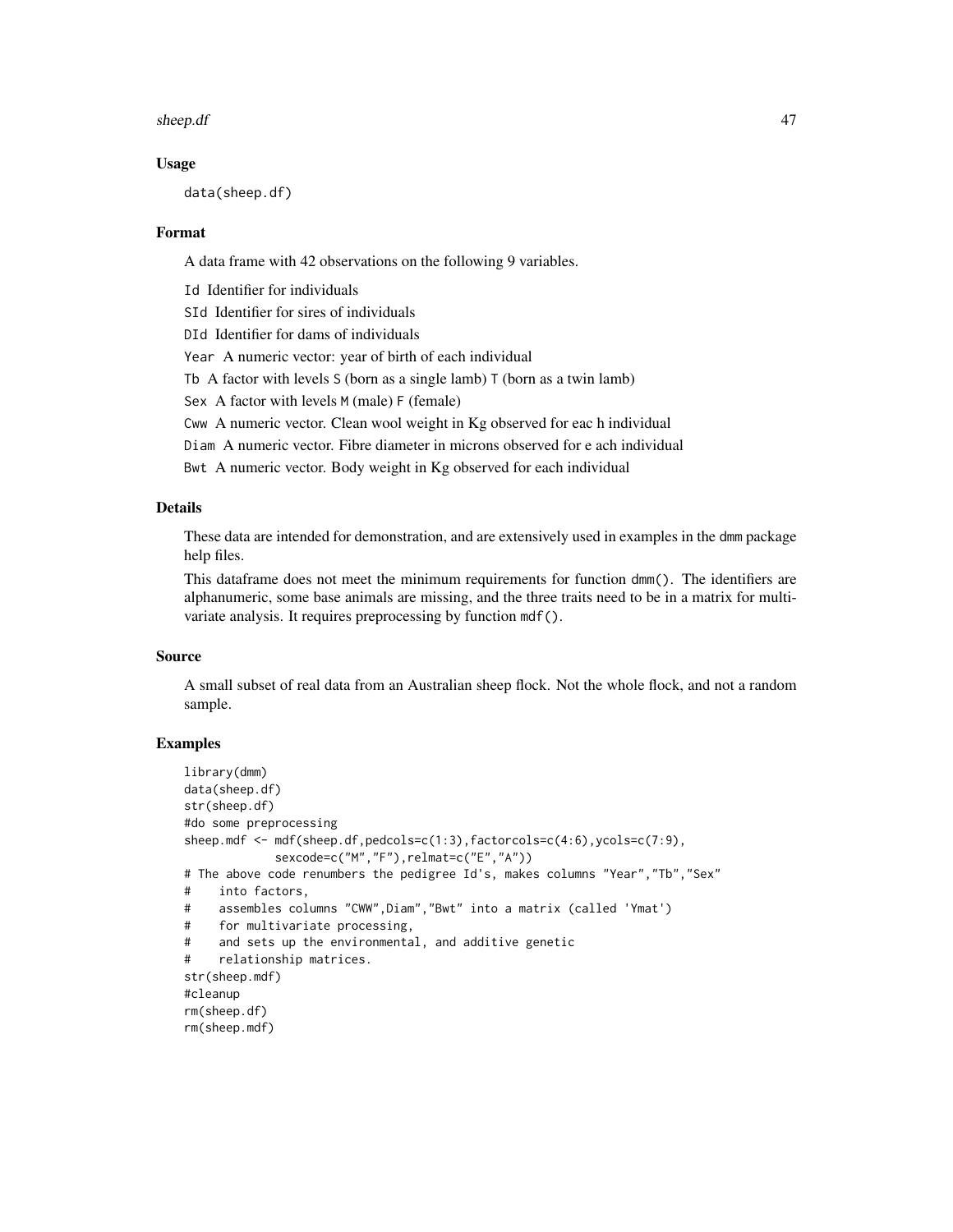#### sheep.df 47

#### Usage

data(sheep.df)

#### Format

A data frame with 42 observations on the following 9 variables.

Id Identifier for individuals

SId Identifier for sires of individuals

DId Identifier for dams of individuals

Year A numeric vector: year of birth of each individual

Tb A factor with levels  $S$  (born as a single lamb)  $T$  (born as a twin lamb)

Sex A factor with levels M (male) F (female)

Cww A numeric vector. Clean wool weight in Kg observed for eac h individual

Diam A numeric vector. Fibre diameter in microns observed for e ach individual

Bwt A numeric vector. Body weight in Kg observed for each individual

#### Details

These data are intended for demonstration, and are extensively used in examples in the dmm package help files.

This dataframe does not meet the minimum requirements for function dmm(). The identifiers are alphanumeric, some base animals are missing, and the three traits need to be in a matrix for multivariate analysis. It requires preprocessing by function mdf().

# Source

A small subset of real data from an Australian sheep flock. Not the whole flock, and not a random sample.

```
library(dmm)
data(sheep.df)
str(sheep.df)
#do some preprocessing
sheep.mdf <- mdf(sheep.df,pedcols=c(1:3),factorcols=c(4:6),ycols=c(7:9),
            sexcode=c("M","F"),relmat=c("E","A"))
# The above code renumbers the pedigree Id's, makes columns "Year","Tb","Sex"
# into factors,
# assembles columns "CWW",Diam","Bwt" into a matrix (called 'Ymat')
# for multivariate processing,
# and sets up the environmental, and additive genetic
# relationship matrices.
str(sheep.mdf)
#cleanup
rm(sheep.df)
rm(sheep.mdf)
```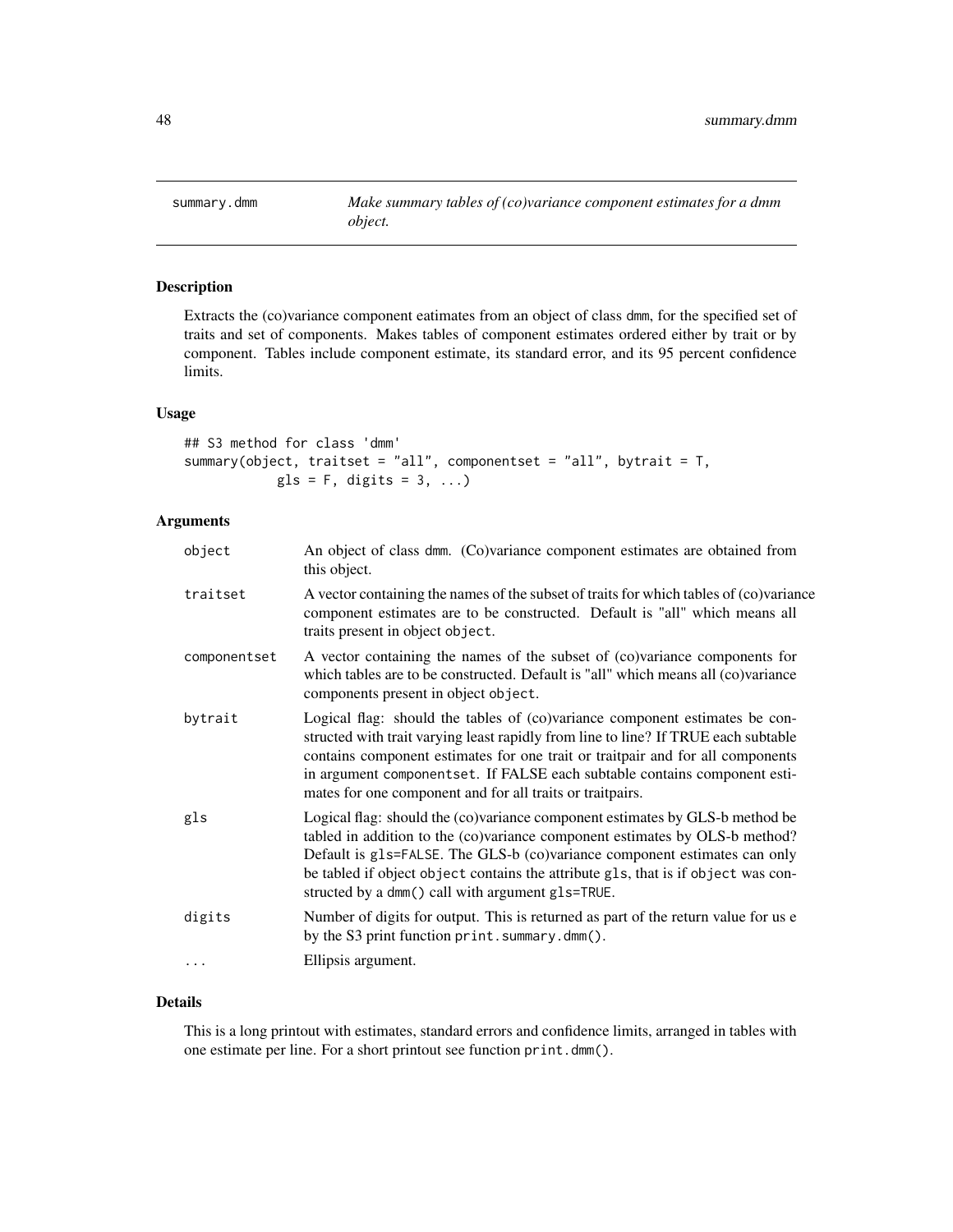<span id="page-47-0"></span>

# Description

Extracts the (co)variance component eatimates from an object of class dmm, for the specified set of traits and set of components. Makes tables of component estimates ordered either by trait or by component. Tables include component estimate, its standard error, and its 95 percent confidence limits.

#### Usage

## S3 method for class 'dmm' summary(object, traitset = "all", componentset = "all", bytrait = T,  $gls = F$ , digits = 3, ...)

# Arguments

| object       | An object of class dmm. (Co)variance component estimates are obtained from<br>this object.                                                                                                                                                                                                                                                                                                    |
|--------------|-----------------------------------------------------------------------------------------------------------------------------------------------------------------------------------------------------------------------------------------------------------------------------------------------------------------------------------------------------------------------------------------------|
| traitset     | A vector containing the names of the subset of traits for which tables of (co)variance<br>component estimates are to be constructed. Default is "all" which means all<br>traits present in object object.                                                                                                                                                                                     |
| componentset | A vector containing the names of the subset of (co)variance components for<br>which tables are to be constructed. Default is "all" which means all (co)variance<br>components present in object object.                                                                                                                                                                                       |
| bytrait      | Logical flag: should the tables of (co)variance component estimates be con-<br>structed with trait varying least rapidly from line to line? If TRUE each subtable<br>contains component estimates for one trait or traitpair and for all components<br>in argument componentset. If FALSE each subtable contains component esti-<br>mates for one component and for all traits or traitpairs. |
| gls          | Logical flag: should the (co)variance component estimates by GLS-b method be<br>tabled in addition to the (co)variance component estimates by OLS-b method?<br>Default is gls=FALSE. The GLS-b (co)variance component estimates can only<br>be tabled if object object contains the attribute gls, that is if object was con-<br>structed by a dmm() call with argument g1s=TRUE.             |
| digits       | Number of digits for output. This is returned as part of the return value for us e<br>by the S3 print function print. summary.dmm().                                                                                                                                                                                                                                                          |
|              | Ellipsis argument.                                                                                                                                                                                                                                                                                                                                                                            |

# Details

This is a long printout with estimates, standard errors and confidence limits, arranged in tables with one estimate per line. For a short printout see function print.dmm().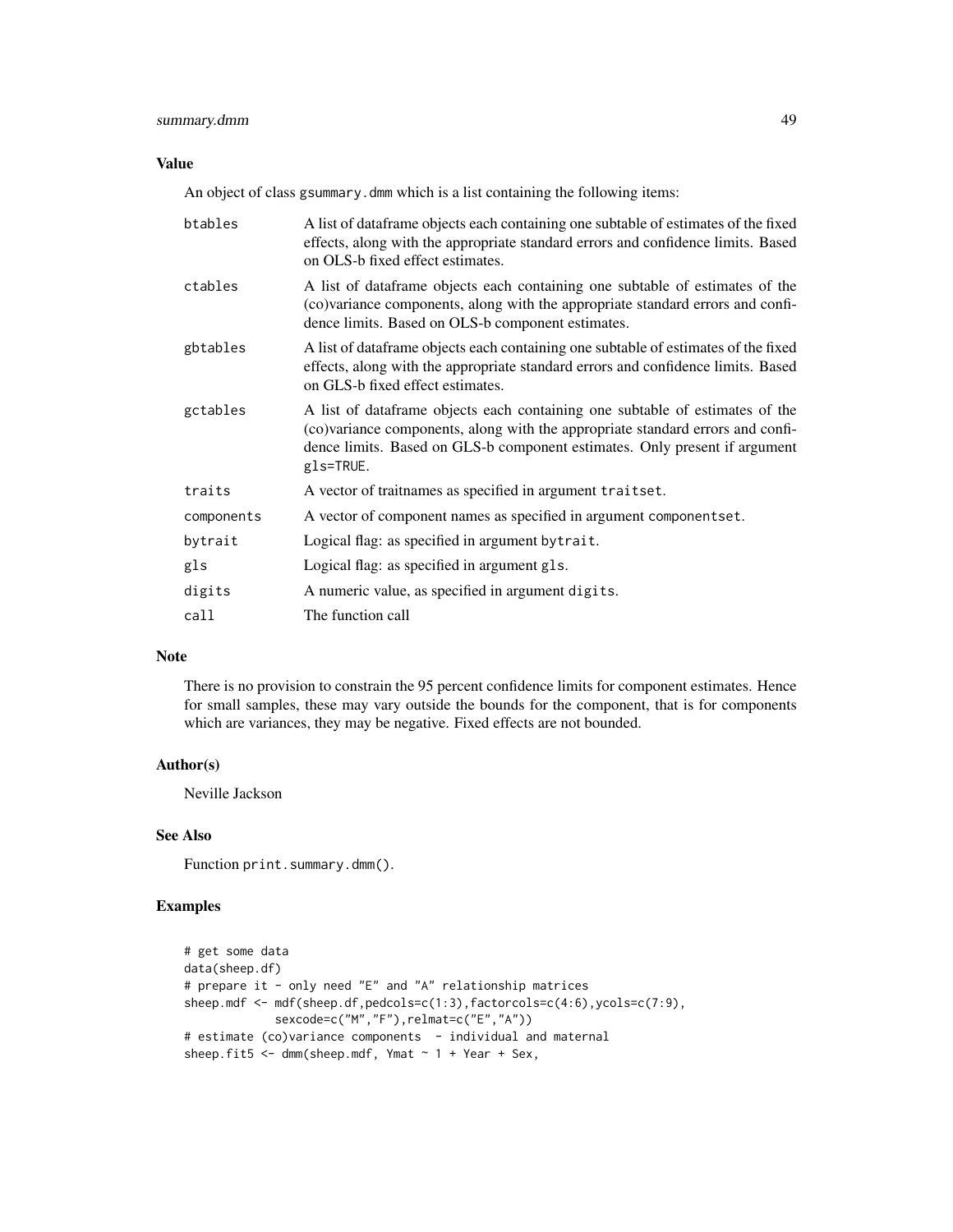# Value

An object of class gsummary.dmm which is a list containing the following items:

| btables    | A list of dataframe objects each containing one subtable of estimates of the fixed<br>effects, along with the appropriate standard errors and confidence limits. Based<br>on OLS-b fixed effect estimates.                                                   |
|------------|--------------------------------------------------------------------------------------------------------------------------------------------------------------------------------------------------------------------------------------------------------------|
| ctables    | A list of dataframe objects each containing one subtable of estimates of the<br>(co)variance components, along with the appropriate standard errors and confi-<br>dence limits. Based on OLS-b component estimates.                                          |
| gbtables   | A list of dataframe objects each containing one subtable of estimates of the fixed<br>effects, along with the appropriate standard errors and confidence limits. Based<br>on GLS-b fixed effect estimates.                                                   |
| gctables   | A list of dataframe objects each containing one subtable of estimates of the<br>(co)variance components, along with the appropriate standard errors and confi-<br>dence limits. Based on GLS-b component estimates. Only present if argument<br>$gls$ =TRUE. |
| traits     | A vector of traitnames as specified in argument traitset.                                                                                                                                                                                                    |
| components | A vector of component names as specified in argument componentset.                                                                                                                                                                                           |
| bytrait    | Logical flag: as specified in argument by trait.                                                                                                                                                                                                             |
| gls        | Logical flag: as specified in argument gls.                                                                                                                                                                                                                  |
| digits     | A numeric value, as specified in argument digits.                                                                                                                                                                                                            |
| call       | The function call                                                                                                                                                                                                                                            |

# Note

There is no provision to constrain the 95 percent confidence limits for component estimates. Hence for small samples, these may vary outside the bounds for the component, that is for components which are variances, they may be negative. Fixed effects are not bounded.

# Author(s)

Neville Jackson

# See Also

Function print.summary.dmm().

```
# get some data
data(sheep.df)
# prepare it - only need "E" and "A" relationship matrices
sheep.mdf <- mdf(sheep.df,pedcols=c(1:3),factorcols=c(4:6),ycols=c(7:9),
             sexcode=c("M","F"),relmat=c("E","A"))
# estimate (co)variance components - individual and maternal
sheep.fit5 \leq dmm(sheep.mdf, Ymat \sim 1 + Year + Sex,
```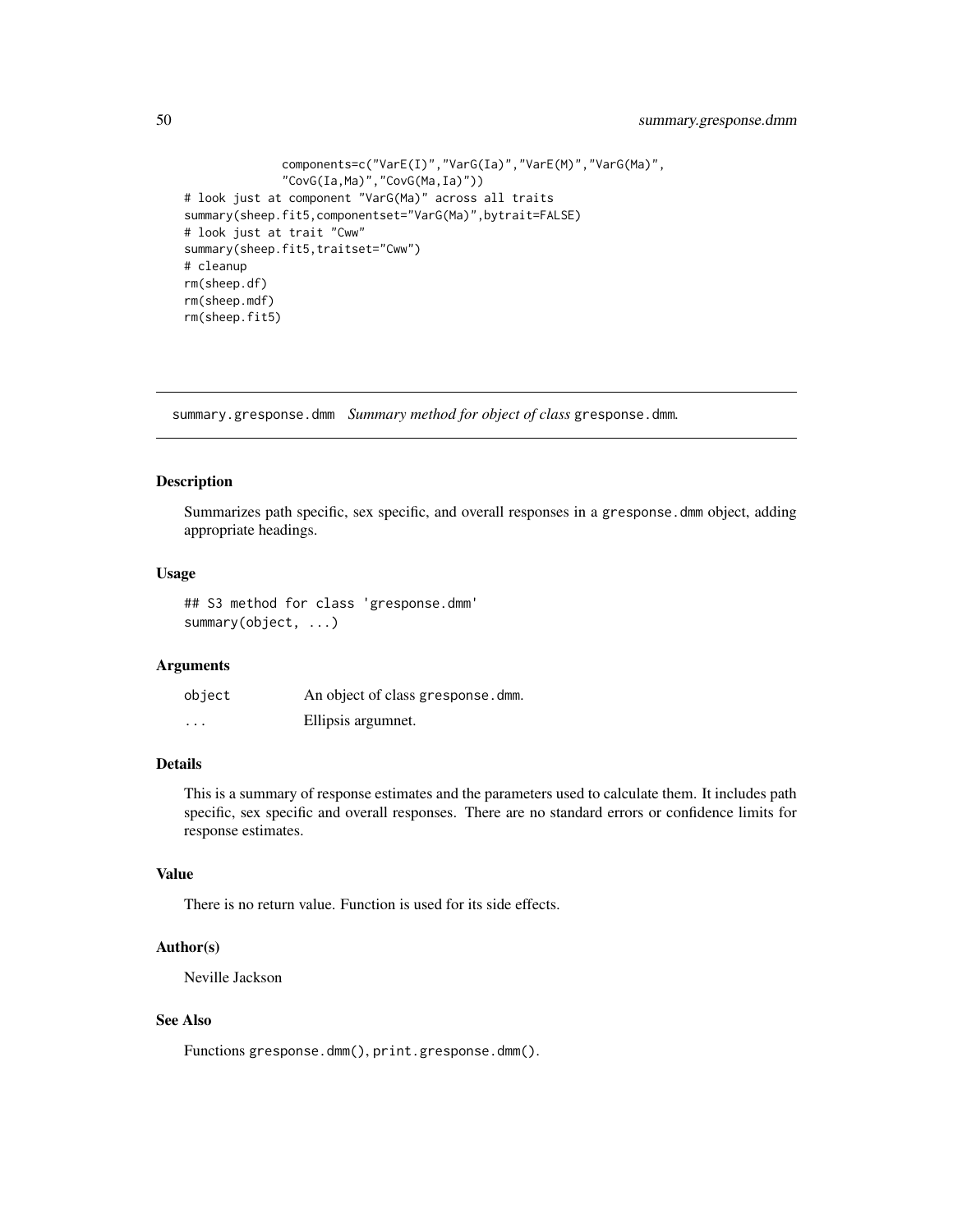```
components=c("VarE(I)","VarG(Ia)","VarE(M)","VarG(Ma)",
              "CovG(Ia,Ma)","CovG(Ma,Ia)"))
# look just at component "VarG(Ma)" across all traits
summary(sheep.fit5,componentset="VarG(Ma)",bytrait=FALSE)
# look just at trait "Cww"
summary(sheep.fit5,traitset="Cww")
# cleanup
rm(sheep.df)
rm(sheep.mdf)
rm(sheep.fit5)
```
summary.gresponse.dmm *Summary method for object of class* gresponse.dmm*.*

# Description

Summarizes path specific, sex specific, and overall responses in a gresponse.dmm object, adding appropriate headings.

# Usage

```
## S3 method for class 'gresponse.dmm'
summary(object, ...)
```
# Arguments

| object   | An object of class gresponse.dmm. |
|----------|-----------------------------------|
| $\cdots$ | Ellipsis argumnet.                |

# Details

This is a summary of response estimates and the parameters used to calculate them. It includes path specific, sex specific and overall responses. There are no standard errors or confidence limits for response estimates.

#### Value

There is no return value. Function is used for its side effects.

# Author(s)

Neville Jackson

# See Also

Functions gresponse.dmm(), print.gresponse.dmm().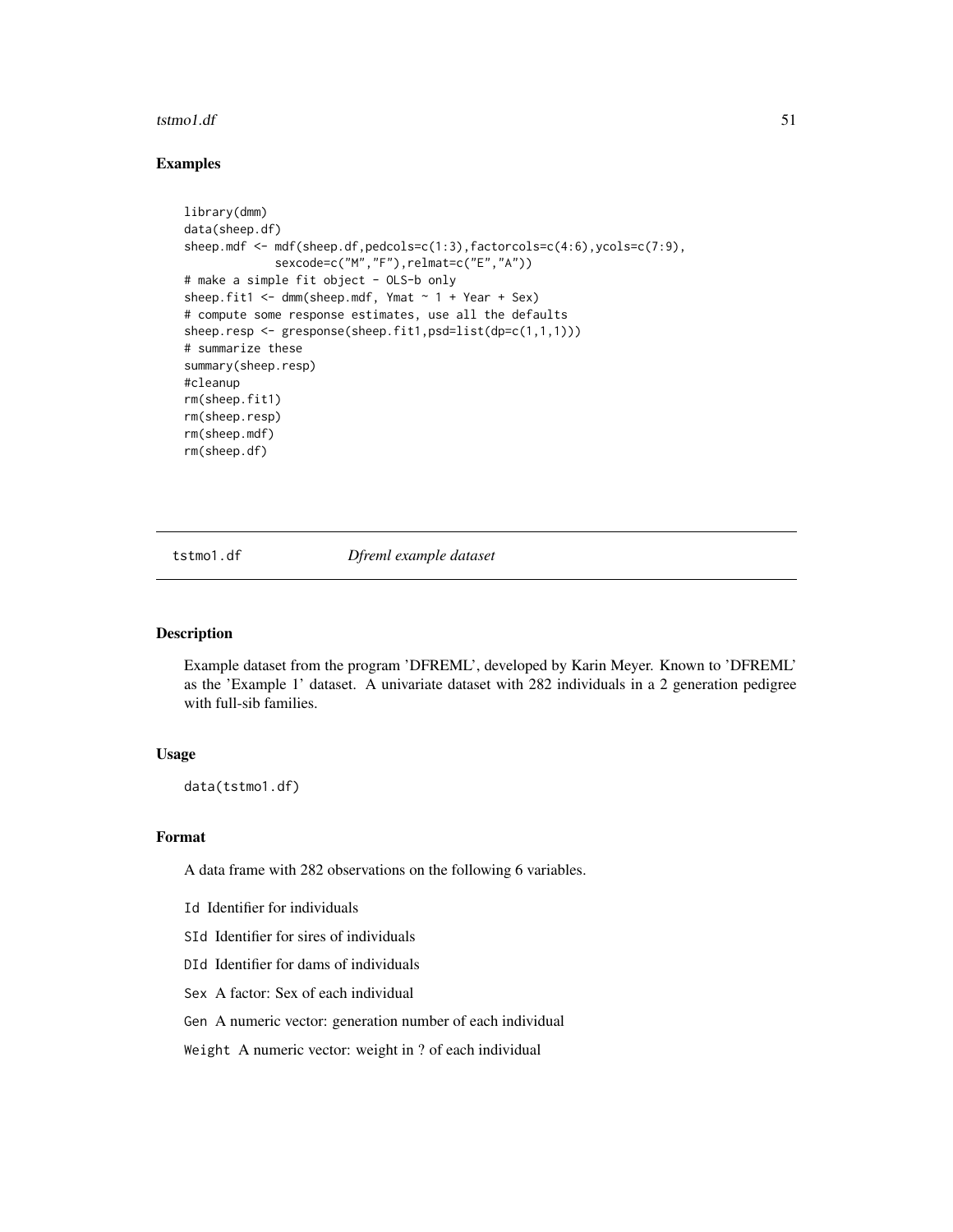#### <span id="page-50-0"></span> $t$ stmo $1.$ df  $51$

# Examples

```
library(dmm)
data(sheep.df)
sheep.mdf <- mdf(sheep.df,pedcols=c(1:3),factorcols=c(4:6),ycols=c(7:9),
             sexcode=c("M","F"),relmat=c("E","A"))
# make a simple fit object - OLS-b only
sheep.fit1 <- dmm(sheep.mdf, Ymat ~ 1 + Year + Sex)
# compute some response estimates, use all the defaults
sheep.resp <- gresponse(sheep.fit1,psd=list(dp=c(1,1,1)))
# summarize these
summary(sheep.resp)
#cleanup
rm(sheep.fit1)
rm(sheep.resp)
rm(sheep.mdf)
rm(sheep.df)
```
tstmo1.df *Dfreml example dataset*

# Description

Example dataset from the program 'DFREML', developed by Karin Meyer. Known to 'DFREML' as the 'Example 1' dataset. A univariate dataset with 282 individuals in a 2 generation pedigree with full-sib families.

# Usage

data(tstmo1.df)

#### Format

A data frame with 282 observations on the following 6 variables.

- Id Identifier for individuals
- SId Identifier for sires of individuals
- DId Identifier for dams of individuals
- Sex A factor: Sex of each individual
- Gen A numeric vector: generation number of each individual

Weight A numeric vector: weight in ? of each individual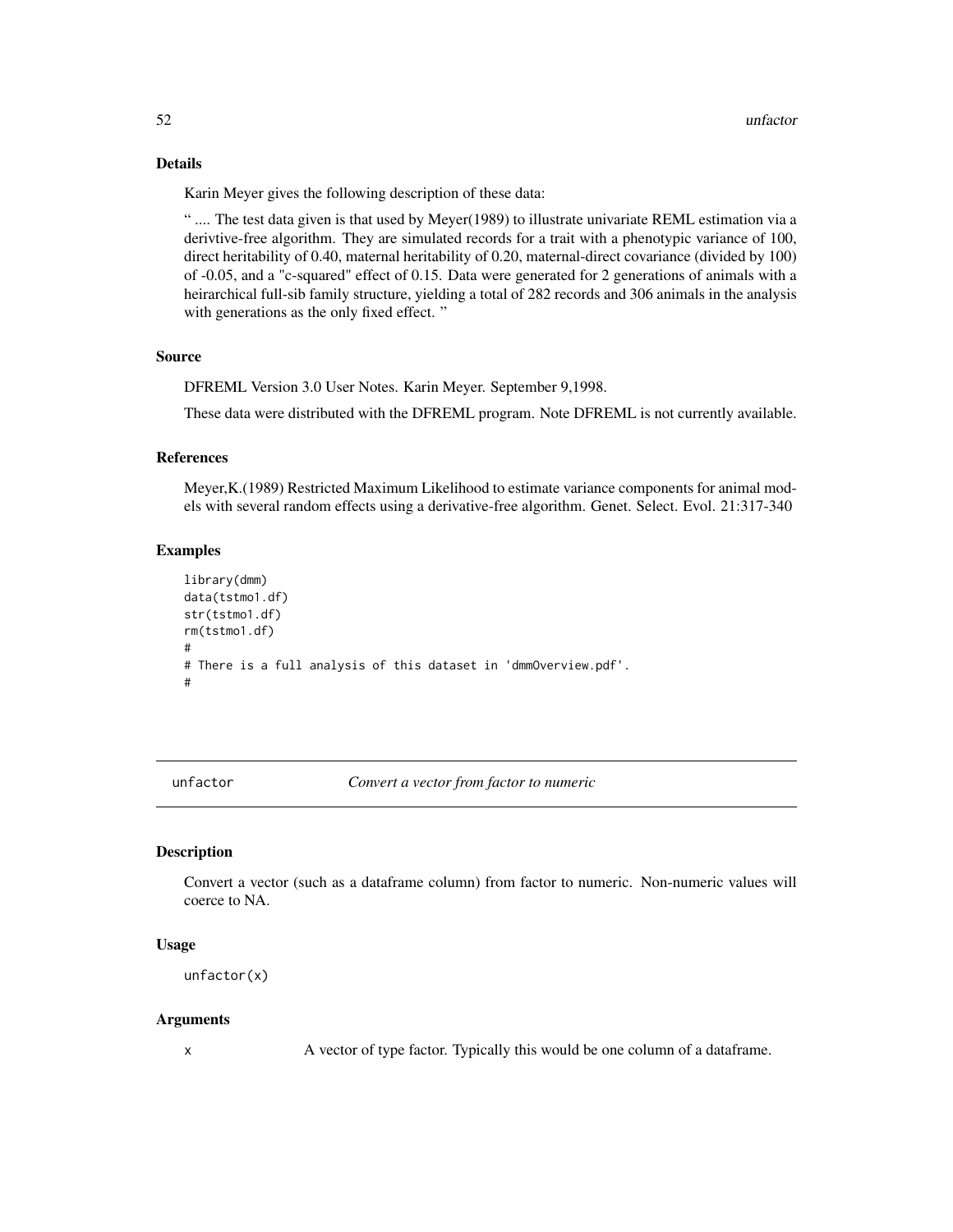# <span id="page-51-0"></span>Details

Karin Meyer gives the following description of these data:

" .... The test data given is that used by Meyer(1989) to illustrate univariate REML estimation via a derivtive-free algorithm. They are simulated records for a trait with a phenotypic variance of 100, direct heritability of 0.40, maternal heritability of 0.20, maternal-direct covariance (divided by 100) of -0.05, and a "c-squared" effect of 0.15. Data were generated for 2 generations of animals with a heirarchical full-sib family structure, yielding a total of 282 records and 306 animals in the analysis with generations as the only fixed effect. "

# Source

DFREML Version 3.0 User Notes. Karin Meyer. September 9,1998.

These data were distributed with the DFREML program. Note DFREML is not currently available.

#### References

Meyer,K.(1989) Restricted Maximum Likelihood to estimate variance components for animal models with several random effects using a derivative-free algorithm. Genet. Select. Evol. 21:317-340

#### Examples

```
library(dmm)
data(tstmo1.df)
str(tstmo1.df)
rm(tstmo1.df)
#
# There is a full analysis of this dataset in 'dmmOverview.pdf'.
#
```
unfactor *Convert a vector from factor to numeric*

#### Description

Convert a vector (such as a dataframe column) from factor to numeric. Non-numeric values will coerce to NA.

#### Usage

```
unfactor(x)
```
#### Arguments

x A vector of type factor. Typically this would be one column of a dataframe.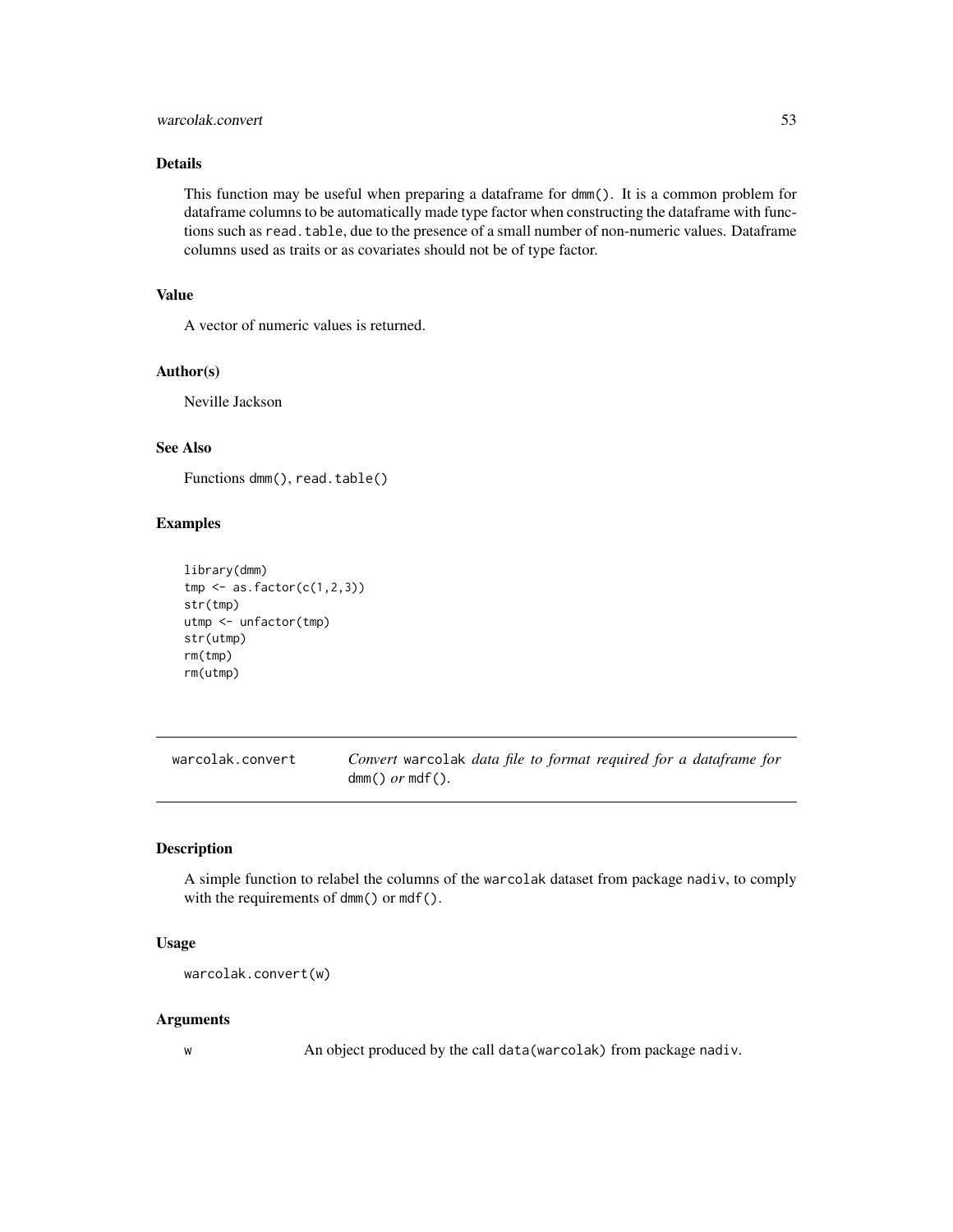# <span id="page-52-0"></span>warcolak.convert 53

# Details

This function may be useful when preparing a dataframe for dmm(). It is a common problem for dataframe columns to be automatically made type factor when constructing the dataframe with functions such as read. table, due to the presence of a small number of non-numeric values. Dataframe columns used as traits or as covariates should not be of type factor.

#### Value

A vector of numeric values is returned.

# Author(s)

Neville Jackson

# See Also

Functions dmm(), read.table()

# Examples

```
library(dmm)
tmp \leftarrow as.factor(c(1,2,3))str(tmp)
utmp <- unfactor(tmp)
str(utmp)
rm(tmp)
rm(utmp)
```

| warcolak.convert | Convert warcolak data file to format required for a dataframe for |
|------------------|-------------------------------------------------------------------|
|                  | $dmm()$ or mdf().                                                 |

# Description

A simple function to relabel the columns of the warcolak dataset from package nadiv, to comply with the requirements of dmm() or mdf().

#### Usage

```
warcolak.convert(w)
```
# Arguments

w An object produced by the call data(warcolak) from package nadiv.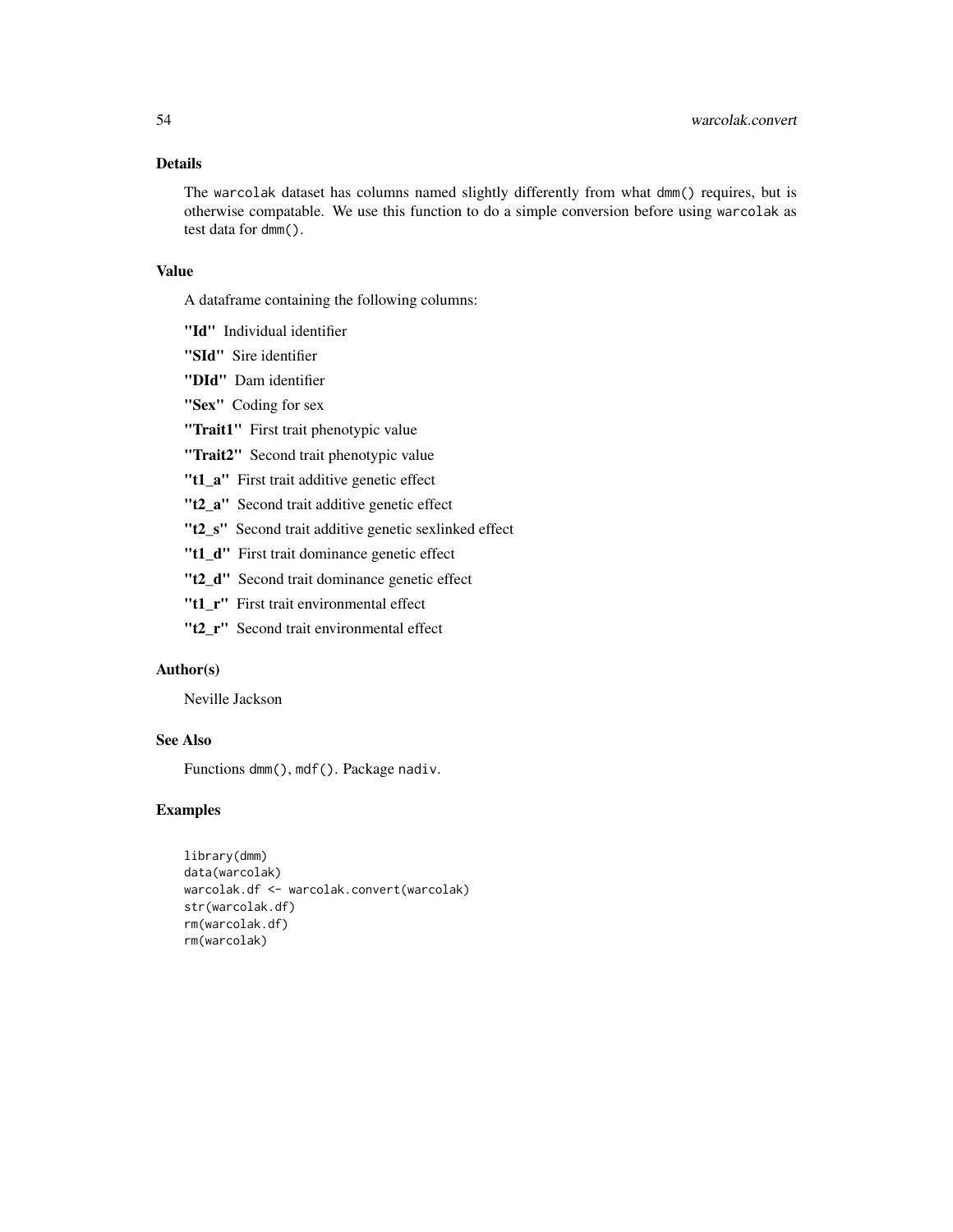# Details

The warcolak dataset has columns named slightly differently from what dmm() requires, but is otherwise compatable. We use this function to do a simple conversion before using warcolak as test data for dmm().

#### Value

A dataframe containing the following columns:

- "Id" Individual identifier
- "SId" Sire identifier
- "DId" Dam identifier
- "Sex" Coding for sex
- "Trait1" First trait phenotypic value
- "Trait2" Second trait phenotypic value
- "t1\_a" First trait additive genetic effect
- "t2\_a" Second trait additive genetic effect
- "t2\_s" Second trait additive genetic sexlinked effect
- "t1\_d" First trait dominance genetic effect
- "t2\_d" Second trait dominance genetic effect
- "t1\_r" First trait environmental effect
- "t2 r" Second trait environmental effect

# Author(s)

Neville Jackson

# See Also

Functions dmm(), mdf(). Package nadiv.

```
library(dmm)
data(warcolak)
warcolak.df <- warcolak.convert(warcolak)
str(warcolak.df)
rm(warcolak.df)
rm(warcolak)
```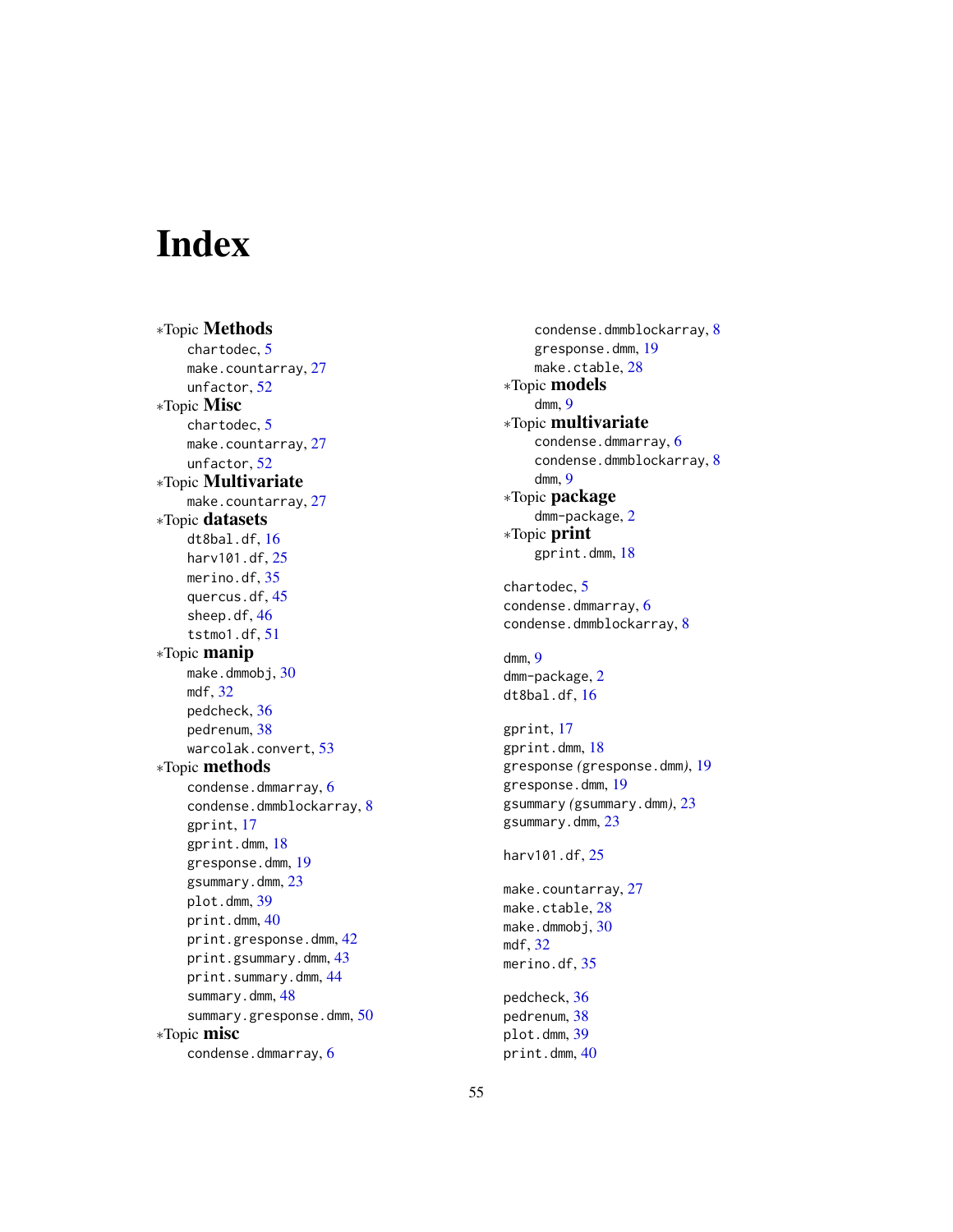# <span id="page-54-0"></span>Index

∗Topic Methods chartodec, [5](#page-4-0) make.countarray, [27](#page-26-0) unfactor, [52](#page-51-0) ∗Topic Misc chartodec, [5](#page-4-0) make.countarray, [27](#page-26-0) unfactor, [52](#page-51-0) ∗Topic Multivariate make.countarray, [27](#page-26-0) ∗Topic datasets dt8bal.df, [16](#page-15-0) harv101.df, [25](#page-24-0) merino.df, [35](#page-34-0) quercus.df, [45](#page-44-0) sheep.df, [46](#page-45-0) tstmo1.df, [51](#page-50-0) ∗Topic manip make.dmmobj, [30](#page-29-0) mdf, [32](#page-31-0) pedcheck, [36](#page-35-0) pedrenum, [38](#page-37-0) warcolak.convert, [53](#page-52-0) ∗Topic methods condense.dmmarray, [6](#page-5-0) condense.dmmblockarray, [8](#page-7-0) gprint, [17](#page-16-0) gprint.dmm, [18](#page-17-0) gresponse.dmm, [19](#page-18-0) gsummary.dmm, [23](#page-22-0) plot.dmm, [39](#page-38-0) print.dmm, [40](#page-39-0) print.gresponse.dmm, [42](#page-41-0) print.gsummary.dmm, [43](#page-42-0) print.summary.dmm, [44](#page-43-0) summary.dmm, [48](#page-47-0) summary.gresponse.dmm, [50](#page-49-0) ∗Topic misc condense.dmmarray, [6](#page-5-0)

condense.dmmblockarray, [8](#page-7-0) gresponse.dmm, [19](#page-18-0) make.ctable, [28](#page-27-0) ∗Topic models dmm, [9](#page-8-0) ∗Topic multivariate condense.dmmarray, [6](#page-5-0) condense.dmmblockarray, [8](#page-7-0) dmm, [9](#page-8-0) ∗Topic package dmm-package, [2](#page-1-0) ∗Topic print gprint.dmm, [18](#page-17-0) chartodec, [5](#page-4-0)

condense.dmmarray, [6](#page-5-0) condense.dmmblockarray, [8](#page-7-0)

dmm, [9](#page-8-0) dmm-package, [2](#page-1-0) dt8bal.df, [16](#page-15-0)

gprint, [17](#page-16-0) gprint.dmm, [18](#page-17-0) gresponse *(*gresponse.dmm*)*, [19](#page-18-0) gresponse.dmm, [19](#page-18-0) gsummary *(*gsummary.dmm*)*, [23](#page-22-0) gsummary.dmm, [23](#page-22-0)

harv101.df, [25](#page-24-0)

make.countarray, [27](#page-26-0) make.ctable, [28](#page-27-0) make.dmmobj, [30](#page-29-0) mdf, [32](#page-31-0) merino.df, [35](#page-34-0)

pedcheck, [36](#page-35-0) pedrenum, [38](#page-37-0) plot.dmm, [39](#page-38-0) print.dmm, [40](#page-39-0)